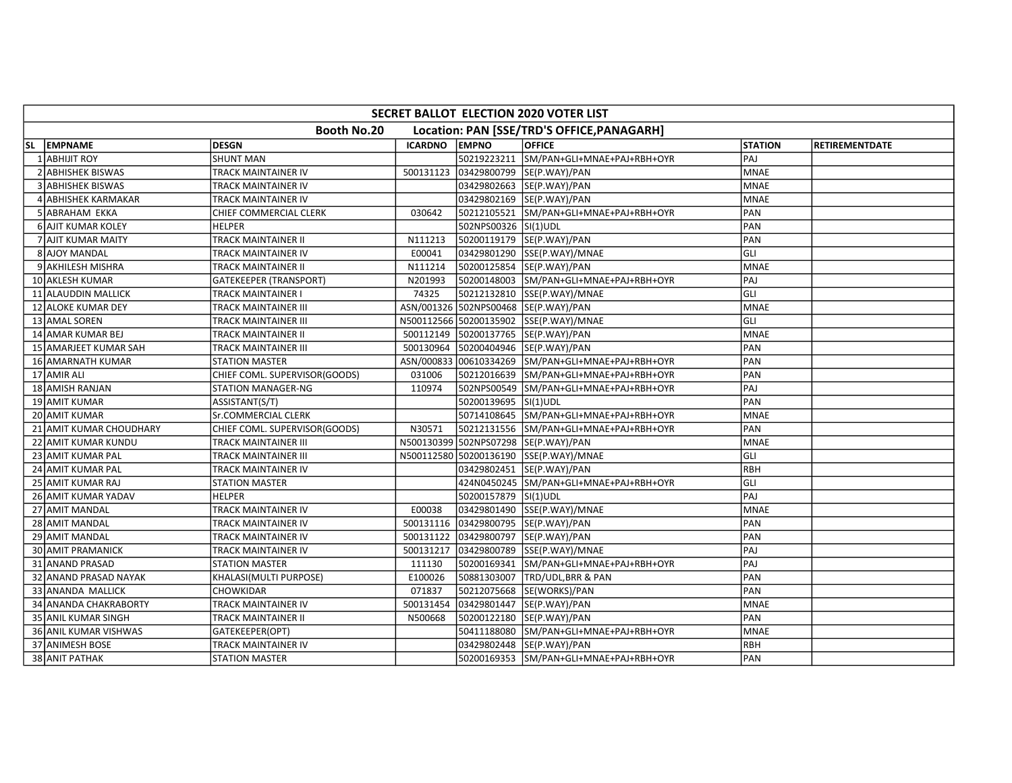|     | SECRET BALLOT ELECTION 2020 VOTER LIST |                               |                |                      |                                            |                |                       |  |  |  |
|-----|----------------------------------------|-------------------------------|----------------|----------------------|--------------------------------------------|----------------|-----------------------|--|--|--|
|     |                                        | Booth No.20                   |                |                      | Location: PAN [SSE/TRD'S OFFICE, PANAGARH] |                |                       |  |  |  |
| SL. | <b>EMPNAME</b>                         | DESGN                         | <b>ICARDNO</b> | <b>EMPNO</b>         | <b>OFFICE</b>                              | <b>STATION</b> | <b>RETIREMENTDATE</b> |  |  |  |
|     | <b>ABHIJIT ROY</b>                     | <b>SHUNT MAN</b>              |                |                      | 50219223211 SM/PAN+GLI+MNAE+PAJ+RBH+OYR    | PAJ            |                       |  |  |  |
|     | 2 ABHISHEK BISWAS                      | TRACK MAINTAINER IV           | 500131123      |                      | 03429800799 SE(P.WAY)/PAN                  | <b>MNAE</b>    |                       |  |  |  |
|     | <b>3 ABHISHEK BISWAS</b>               | TRACK MAINTAINER IV           |                |                      | 03429802663  SE(P.WAY)/PAN                 | <b>MNAE</b>    |                       |  |  |  |
|     | 4 ABHISHEK KARMAKAR                    | TRACK MAINTAINER IV           |                |                      | 03429802169 SE(P.WAY)/PAN                  | <b>MNAE</b>    |                       |  |  |  |
|     | 5 ABRAHAM EKKA                         | CHIEF COMMERCIAL CLERK        | 030642         |                      | 50212105521 SM/PAN+GLI+MNAE+PAJ+RBH+OYR    | PAN            |                       |  |  |  |
|     | <b>6 AJIT KUMAR KOLEY</b>              | <b>HELPER</b>                 |                | 502NPS00326 SI(1)UDL |                                            | PAN            |                       |  |  |  |
|     | 7 AJIT KUMAR MAITY                     | TRACK MAINTAINER II           | N111213        |                      | 50200119179 SE(P.WAY)/PAN                  | PAN            |                       |  |  |  |
|     | 8 AJOY MANDAL                          | TRACK MAINTAINER IV           | E00041         |                      | 03429801290 SSE(P.WAY)/MNAE                | GLI            |                       |  |  |  |
|     | 9 AKHILESH MISHRA                      | TRACK MAINTAINER II           | N111214        |                      | 50200125854 SE(P.WAY)/PAN                  | <b>MNAE</b>    |                       |  |  |  |
|     | 10 AKLESH KUMAR                        | <b>GATEKEEPER (TRANSPORT)</b> | N201993        |                      | 50200148003 SM/PAN+GLI+MNAE+PAJ+RBH+OYR    | PAJ            |                       |  |  |  |
|     | 11 ALAUDDIN MALLICK                    | TRACK MAINTAINER I            | 74325          |                      | 50212132810 SSE(P.WAY)/MNAE                | GLI            |                       |  |  |  |
|     | 12 ALOKE KUMAR DEY                     | TRACK MAINTAINER III          |                |                      | ASN/001326 502NPS00468 SE(P.WAY)/PAN       | <b>MNAE</b>    |                       |  |  |  |
|     | 13 AMAL SOREN                          | TRACK MAINTAINER III          |                |                      | N500112566 50200135902 SSE(P.WAY)/MNAE     | GLI            |                       |  |  |  |
|     | 14 AMAR KUMAR BEJ                      | TRACK MAINTAINER II           | 500112149      |                      | 50200137765 SE(P.WAY)/PAN                  | <b>MNAE</b>    |                       |  |  |  |
|     | 15 AMARJEET KUMAR SAH                  | TRACK MAINTAINER III          | 500130964      |                      | 50200404946 SE(P.WAY)/PAN                  | PAN            |                       |  |  |  |
|     | 16 AMARNATH KUMAR                      | STATION MASTER                | ASN/000833     |                      | 00610334269 SM/PAN+GLI+MNAE+PAJ+RBH+OYR    | PAN            |                       |  |  |  |
|     | 17 AMIR ALI                            | CHIEF COML. SUPERVISOR(GOODS) | 031006         | 50212016639          | SM/PAN+GLI+MNAE+PAJ+RBH+OYR                | PAN            |                       |  |  |  |
|     | 18 AMISH RANJAN                        | <b>STATION MANAGER-NG</b>     | 110974         |                      | 502NPS00549 SM/PAN+GLI+MNAE+PAJ+RBH+OYR    | PAJ            |                       |  |  |  |
|     | 19 AMIT KUMAR                          | ASSISTANT(S/T)                |                | 50200139695 SI(1)UDL |                                            | PAN            |                       |  |  |  |
|     | 20 AMIT KUMAR                          | <b>Sr.COMMERCIAL CLERK</b>    |                |                      | 50714108645 SM/PAN+GLI+MNAE+PAJ+RBH+OYR    | <b>MNAE</b>    |                       |  |  |  |
|     | 21 AMIT KUMAR CHOUDHARY                | CHIEF COML. SUPERVISOR(GOODS) | N30571         |                      | 50212131556 SM/PAN+GLI+MNAE+PAJ+RBH+OYR    | PAN            |                       |  |  |  |
|     | 22 AMIT KUMAR KUNDU                    | TRACK MAINTAINER III          |                |                      | N500130399 502NPS07298 SE(P.WAY)/PAN       | <b>MNAE</b>    |                       |  |  |  |
|     | 23 AMIT KUMAR PAL                      | TRACK MAINTAINER III          |                |                      | N500112580 50200136190 SSE(P.WAY)/MNAE     | GLI            |                       |  |  |  |
|     | 24 AMIT KUMAR PAL                      | TRACK MAINTAINER IV           |                |                      | 03429802451 SE(P.WAY)/PAN                  | RBH            |                       |  |  |  |
|     | 25 AMIT KUMAR RAJ                      | <b>STATION MASTER</b>         |                |                      | 424N0450245 SM/PAN+GLI+MNAE+PAJ+RBH+OYR    | GLI            |                       |  |  |  |
|     | 26 AMIT KUMAR YADAV                    | <b>HELPER</b>                 |                | 50200157879 SI(1)UDL |                                            | PAJ            |                       |  |  |  |
|     | 27 AMIT MANDAL                         | TRACK MAINTAINER IV           | E00038         |                      | 03429801490 SSE(P.WAY)/MNAE                | <b>MNAE</b>    |                       |  |  |  |
|     | 28 AMIT MANDAL                         | TRACK MAINTAINER IV           | 500131116      | 03429800795          | SE(P.WAY)/PAN                              | PAN            |                       |  |  |  |
|     | 29 AMIT MANDAL                         | TRACK MAINTAINER IV           | 500131122      |                      | 03429800797 SE(P.WAY)/PAN                  | PAN            |                       |  |  |  |
|     | 30 AMIT PRAMANICK                      | TRACK MAINTAINER IV           | 500131217      |                      | 03429800789 SSE(P.WAY)/MNAE                | PAJ            |                       |  |  |  |
|     | 31 ANAND PRASAD                        | STATION MASTER                | 111130         |                      | 50200169341 SM/PAN+GLI+MNAE+PAJ+RBH+OYR    | PAJ            |                       |  |  |  |
|     | 32 ANAND PRASAD NAYAK                  | KHALASI(MULTI PURPOSE)        | E100026        |                      | 50881303007 TRD/UDL,BRR & PAN              | PAN            |                       |  |  |  |
|     | 33 ANANDA MALLICK                      | CHOWKIDAR                     | 071837         |                      | 50212075668 SE(WORKS)/PAN                  | PAN            |                       |  |  |  |
|     | 34 ANANDA CHAKRABORTY                  | TRACK MAINTAINER IV           | 500131454      |                      | 03429801447 SE(P.WAY)/PAN                  | <b>MNAE</b>    |                       |  |  |  |
|     | 35 ANIL KUMAR SINGH                    | TRACK MAINTAINER II           | N500668        |                      | 50200122180 SE(P.WAY)/PAN                  | PAN            |                       |  |  |  |
|     | 36 ANIL KUMAR VISHWAS                  | GATEKEEPER(OPT)               |                | 50411188080          | SM/PAN+GLI+MNAE+PAJ+RBH+OYR                | <b>MNAE</b>    |                       |  |  |  |
|     | 37 ANIMESH BOSE                        | TRACK MAINTAINER IV           |                |                      | 03429802448  SE(P.WAY)/PAN                 | RBH            |                       |  |  |  |
|     | 38 ANIT PATHAK                         | <b>STATION MASTER</b>         |                |                      | 50200169353 SM/PAN+GLI+MNAE+PAJ+RBH+OYR    | PAN            |                       |  |  |  |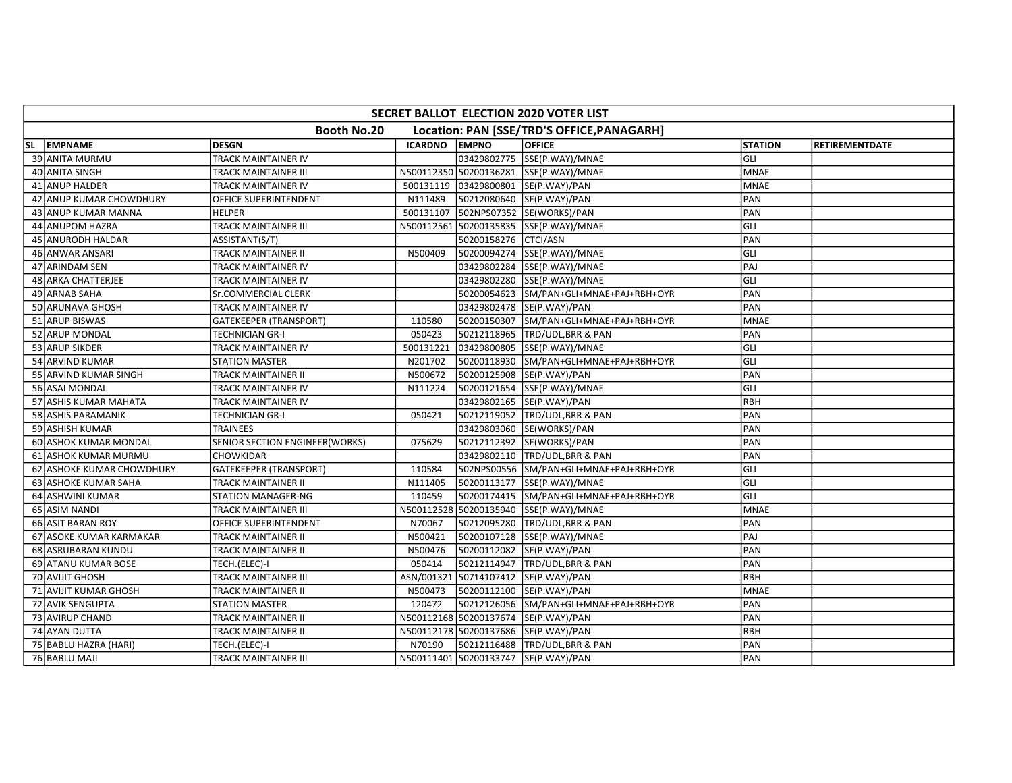| SECRET BALLOT ELECTION 2020 VOTER LIST |                                       |                |                      |                                            |                |                       |  |  |  |
|----------------------------------------|---------------------------------------|----------------|----------------------|--------------------------------------------|----------------|-----------------------|--|--|--|
|                                        | Booth No.20                           |                |                      | Location: PAN [SSE/TRD'S OFFICE, PANAGARH] |                |                       |  |  |  |
| SL EMPNAME                             | <b>DESGN</b>                          | <b>ICARDNO</b> | <b>EMPNO</b>         | <b>OFFICE</b>                              | <b>STATION</b> | <b>RETIREMENTDATE</b> |  |  |  |
| 39 ANITA MURMU                         | TRACK MAINTAINER IV                   |                |                      | 03429802775 SSE(P.WAY)/MNAE                | GLI            |                       |  |  |  |
| 40 ANITA SINGH                         | TRACK MAINTAINER III                  |                |                      | N500112350 50200136281 SSE(P.WAY)/MNAE     | <b>MNAE</b>    |                       |  |  |  |
| 41 ANUP HALDER                         | TRACK MAINTAINER IV                   | 500131119      |                      | 03429800801 SE(P.WAY)/PAN                  | <b>MNAE</b>    |                       |  |  |  |
| 42 ANUP KUMAR CHOWDHURY                | OFFICE SUPERINTENDENT                 | N111489        |                      | 50212080640 SE(P.WAY)/PAN                  | PAN            |                       |  |  |  |
| 43 ANUP KUMAR MANNA                    | <b>HELPER</b>                         | 500131107      |                      | 502NPS07352 SE(WORKS)/PAN                  | PAN            |                       |  |  |  |
| 44 ANUPOM HAZRA                        | TRACK MAINTAINER III                  | N500112561     |                      |                                            | GLI            |                       |  |  |  |
| 45 ANURODH HALDAR                      | ASSISTANT(S/T)                        |                | 50200158276 CTCI/ASN |                                            | PAN            |                       |  |  |  |
| 46 ANWAR ANSARI                        | TRACK MAINTAINER II                   | N500409        |                      | 50200094274 SSE(P.WAY)/MNAE                | GLI            |                       |  |  |  |
| 47 ARINDAM SEN                         | TRACK MAINTAINER IV                   |                |                      | 03429802284 SSE(P.WAY)/MNAE                | PAJ            |                       |  |  |  |
| 48 ARKA CHATTERJEE                     | TRACK MAINTAINER IV                   |                |                      |                                            | GLI            |                       |  |  |  |
| 49 ARNAB SAHA                          | Sr.COMMERCIAL CLERK                   |                |                      | 50200054623 SM/PAN+GLI+MNAE+PAJ+RBH+OYR    | PAN            |                       |  |  |  |
| 50 ARUNAVA GHOSH                       | TRACK MAINTAINER IV                   |                |                      | 03429802478 SE(P.WAY)/PAN                  | PAN            |                       |  |  |  |
| 51 ARUP BISWAS                         | GATEKEEPER (TRANSPORT)                | 110580         |                      | 50200150307 SM/PAN+GLI+MNAE+PAJ+RBH+OYR    | <b>MNAE</b>    |                       |  |  |  |
| 52 ARUP MONDAL                         | TECHNICIAN GR-I                       | 050423         |                      | 50212118965 TRD/UDL,BRR & PAN              | PAN            |                       |  |  |  |
| 53 ARUP SIKDER                         | TRACK MAINTAINER IV                   | 500131221      |                      | 03429800805 SSE(P.WAY)/MNAE                | GLI            |                       |  |  |  |
| 54 ARVIND KUMAR                        | STATION MASTER                        | N201702        |                      | 50200118930 SM/PAN+GLI+MNAE+PAJ+RBH+OYR    | GLI            |                       |  |  |  |
| 55 ARVIND KUMAR SINGH                  | TRACK MAINTAINER II                   | N500672        |                      | 50200125908 SE(P.WAY)/PAN                  | PAN            |                       |  |  |  |
| 56 ASAI MONDAL                         | TRACK MAINTAINER IV                   | N111224        |                      | 50200121654 SSE(P.WAY)/MNAE                | GLI            |                       |  |  |  |
| 57 ASHIS KUMAR MAHATA                  | TRACK MAINTAINER IV                   |                |                      | 03429802165 SE(P.WAY)/PAN                  | RBH            |                       |  |  |  |
| 58 ASHIS PARAMANIK                     | <b>TECHNICIAN GR-I</b>                | 050421         |                      | 50212119052 TRD/UDL,BRR & PAN              | PAN            |                       |  |  |  |
| 59 ASHISH KUMAR                        | <b>TRAINEES</b>                       |                |                      | 03429803060 SE(WORKS)/PAN                  | PAN            |                       |  |  |  |
| 60 ASHOK KUMAR MONDAL                  | <b>SENIOR SECTION ENGINEER(WORKS)</b> | 075629         |                      | 50212112392 SE(WORKS)/PAN                  | PAN            |                       |  |  |  |
| 61 ASHOK KUMAR MURMU                   | CHOWKIDAR                             |                |                      | 03429802110 TRD/UDL, BRR & PAN             | PAN            |                       |  |  |  |
| 62 ASHOKE KUMAR CHOWDHURY              | <b>GATEKEEPER (TRANSPORT)</b>         | 110584         |                      | 502NPS00556 SM/PAN+GLI+MNAE+PAJ+RBH+OYR    | GLI            |                       |  |  |  |
| 63 ASHOKE KUMAR SAHA                   | TRACK MAINTAINER II                   | N111405        |                      | 50200113177 SSE(P.WAY)/MNAE                | GLI            |                       |  |  |  |
| 64 ASHWINI KUMAR                       | <b>STATION MANAGER-NG</b>             | 110459         |                      | 50200174415 SM/PAN+GLI+MNAE+PAJ+RBH+OYR    | lgul           |                       |  |  |  |
| 65 ASIM NANDI                          | TRACK MAINTAINER III                  |                |                      | N500112528 50200135940 SSE(P.WAY)/MNAE     | MNAE           |                       |  |  |  |
| 66 ASIT BARAN ROY                      | OFFICE SUPERINTENDENT                 | N70067         |                      | 50212095280 TRD/UDL,BRR & PAN              | PAN            |                       |  |  |  |
| 67 ASOKE KUMAR KARMAKAR                | TRACK MAINTAINER II                   | N500421        |                      | 50200107128 SSE(P.WAY)/MNAE                | PAJ            |                       |  |  |  |
| 68 ASRUBARAN KUNDU                     | TRACK MAINTAINER II                   | N500476        |                      | 50200112082 SE(P.WAY)/PAN                  | PAN            |                       |  |  |  |
| 69 ATANU KUMAR BOSE                    | TECH.(ELEC)-I                         | 050414         |                      | 50212114947 TRD/UDL,BRR & PAN              | PAN            |                       |  |  |  |
| 70 AVIJIT GHOSH                        | TRACK MAINTAINER III                  | ASN/001321     |                      | 50714107412  SE(P.WAY)/PAN                 | <b>RBH</b>     |                       |  |  |  |
| 71 AVIJIT KUMAR GHOSH                  | TRACK MAINTAINER II                   | N500473        |                      | 50200112100 SE(P.WAY)/PAN                  | <b>MNAE</b>    |                       |  |  |  |
| 72 AVIK SENGUPTA                       | <b>STATION MASTER</b>                 | 120472         |                      | 50212126056 SM/PAN+GLI+MNAE+PAJ+RBH+OYR    | PAN            |                       |  |  |  |
| 73 AVIRUP CHAND                        | TRACK MAINTAINER II                   |                |                      | N500112168 50200137674 SE(P.WAY)/PAN       | PAN            |                       |  |  |  |
| 74 AYAN DUTTA                          | TRACK MAINTAINER II                   |                |                      | N500112178 50200137686 SE(P.WAY)/PAN       | RBH            |                       |  |  |  |
| 75 BABLU HAZRA (HARI)                  | TECH.(ELEC)-I                         | N70190         |                      | 50212116488 TRD/UDL, BRR & PAN             | PAN            |                       |  |  |  |
| 76 BABLU MAJI                          | TRACK MAINTAINER III                  |                |                      | N500111401 50200133747 SE(P.WAY)/PAN       | PAN            |                       |  |  |  |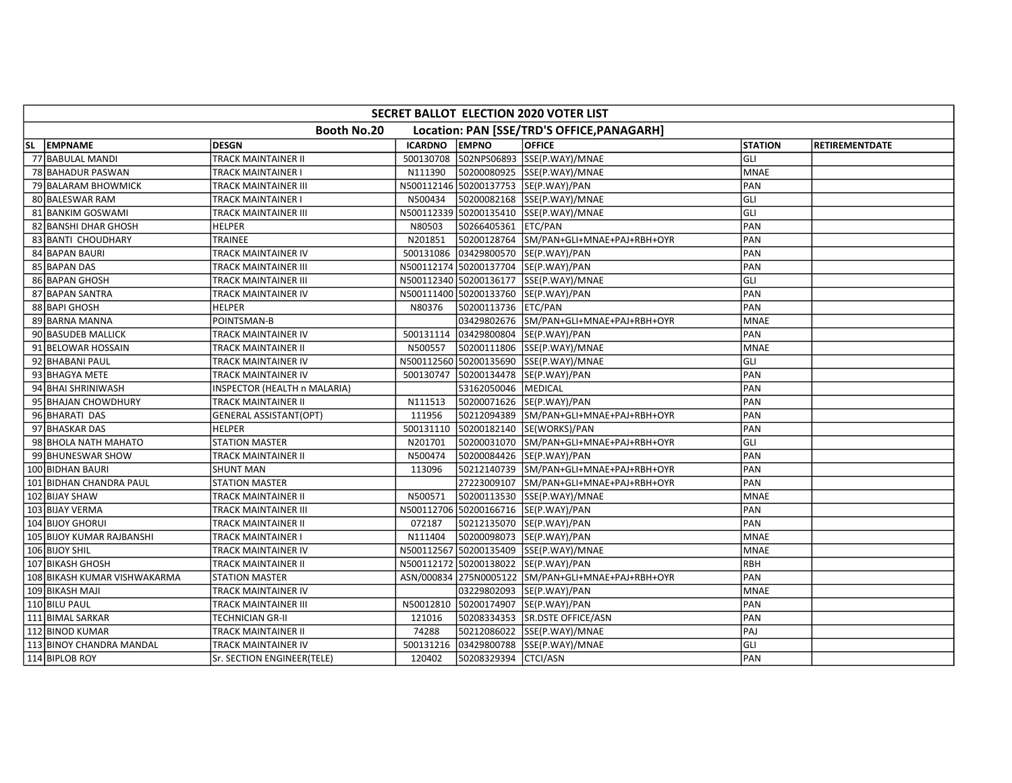| SECRET BALLOT ELECTION 2020 VOTER LIST                    |                               |                |                      |                                                    |                |                       |  |  |  |  |
|-----------------------------------------------------------|-------------------------------|----------------|----------------------|----------------------------------------------------|----------------|-----------------------|--|--|--|--|
| Booth No.20<br>Location: PAN [SSE/TRD'S OFFICE, PANAGARH] |                               |                |                      |                                                    |                |                       |  |  |  |  |
| SL EMPNAME                                                | <b>DESGN</b>                  | <b>ICARDNO</b> | <b>EMPNO</b>         | <b>OFFICE</b>                                      | <b>STATION</b> | <b>RETIREMENTDATE</b> |  |  |  |  |
| 77 BABULAL MANDI                                          | TRACK MAINTAINER II           | 500130708      |                      | 502NPS06893 SSE(P.WAY)/MNAE                        | GLI            |                       |  |  |  |  |
| 78 BAHADUR PASWAN                                         | TRACK MAINTAINER I            | N111390        |                      | 50200080925 SSE(P.WAY)/MNAE                        | <b>MNAE</b>    |                       |  |  |  |  |
| 79 BALARAM BHOWMICK                                       | TRACK MAINTAINER III          |                |                      | N500112146 50200137753 SE(P.WAY)/PAN               | PAN            |                       |  |  |  |  |
| 80 BALESWAR RAM                                           | TRACK MAINTAINER I            | N500434        |                      | 50200082168 SSE(P.WAY)/MNAE                        | GLI            |                       |  |  |  |  |
| 81 BANKIM GOSWAMI                                         | TRACK MAINTAINER III          |                |                      | N500112339 50200135410 SSE(P.WAY)/MNAE             | GLI            |                       |  |  |  |  |
| 82 BANSHI DHAR GHOSH                                      | <b>HELPER</b>                 | N80503         | 50266405361 ETC/PAN  |                                                    | PAN            |                       |  |  |  |  |
| 83 BANTI CHOUDHARY                                        | <b>TRAINEE</b>                | N201851        |                      | 50200128764 SM/PAN+GLI+MNAE+PAJ+RBH+OYR            | PAN            |                       |  |  |  |  |
| 84 BAPAN BAURI                                            | TRACK MAINTAINER IV           | 500131086      |                      | 03429800570 SE(P.WAY)/PAN                          | PAN            |                       |  |  |  |  |
| 85 BAPAN DAS                                              | TRACK MAINTAINER III          |                |                      | N500112174 50200137704 SE(P.WAY)/PAN               | PAN            |                       |  |  |  |  |
| 86 BAPAN GHOSH                                            | TRACK MAINTAINER III          |                |                      | N500112340 50200136177 SSE(P.WAY)/MNAE             | GLI            |                       |  |  |  |  |
| 87 BAPAN SANTRA                                           | TRACK MAINTAINER IV           |                |                      | N500111400 50200133760 SE(P.WAY)/PAN               | PAN            |                       |  |  |  |  |
| 88 BAPI GHOSH                                             | HELPER                        | N80376         | 50200113736 ETC/PAN  |                                                    | PAN            |                       |  |  |  |  |
| 89 BARNA MANNA                                            | POINTSMAN-B                   |                |                      | 03429802676 SM/PAN+GLI+MNAE+PAJ+RBH+OYR            | <b>MNAE</b>    |                       |  |  |  |  |
| 90 BASUDEB MALLICK                                        | TRACK MAINTAINER IV           | 500131114      |                      | 03429800804 SE(P.WAY)/PAN                          | PAN            |                       |  |  |  |  |
| 91 BELOWAR HOSSAIN                                        | TRACK MAINTAINER II           | N500557        |                      | 50200111806 SSE(P.WAY)/MNAE                        | <b>MNAE</b>    |                       |  |  |  |  |
| 92 BHABANI PAUL                                           | TRACK MAINTAINER IV           |                |                      | N500112560 50200135690 SSE(P.WAY)/MNAE             | GLI            |                       |  |  |  |  |
| 93 BHAGYA METE                                            | TRACK MAINTAINER IV           | 500130747      |                      | 50200134478 SE(P.WAY)/PAN                          | PAN            |                       |  |  |  |  |
| 94 BHAI SHRINIWASH                                        | INSPECTOR (HEALTH n MALARIA)  |                | 53162050046          | MEDICAL                                            | PAN            |                       |  |  |  |  |
| 95 BHAJAN CHOWDHURY                                       | TRACK MAINTAINER II           | N111513        |                      | 50200071626 SE(P.WAY)/PAN                          | PAN            |                       |  |  |  |  |
| 96 BHARATI DAS                                            | <b>GENERAL ASSISTANT(OPT)</b> | 111956         |                      | 50212094389 SM/PAN+GLI+MNAE+PAJ+RBH+OYR            | PAN            |                       |  |  |  |  |
| 97 BHASKAR DAS                                            | <b>HELPER</b>                 | 500131110      |                      | 50200182140 SE(WORKS)/PAN                          | PAN            |                       |  |  |  |  |
| 98 BHOLA NATH MAHATO                                      | <b>STATION MASTER</b>         | N201701        |                      | 50200031070 SM/PAN+GLI+MNAE+PAJ+RBH+OYR            | GLI            |                       |  |  |  |  |
| 99 BHUNESWAR SHOW                                         | TRACK MAINTAINER II           | N500474        |                      | 50200084426 SE(P.WAY)/PAN                          | PAN            |                       |  |  |  |  |
| 100 BIDHAN BAURI                                          | <b>SHUNT MAN</b>              | 113096         |                      | 50212140739 SM/PAN+GLI+MNAE+PAJ+RBH+OYR            | PAN            |                       |  |  |  |  |
| 101 BIDHAN CHANDRA PAUL                                   | <b>STATION MASTER</b>         |                |                      | 27223009107 SM/PAN+GLI+MNAE+PAJ+RBH+OYR            | PAN            |                       |  |  |  |  |
| 102 BIJAY SHAW                                            | TRACK MAINTAINER II           | N500571        |                      | 50200113530 SSE(P.WAY)/MNAE                        | <b>MNAE</b>    |                       |  |  |  |  |
| 103 BIJAY VERMA                                           | TRACK MAINTAINER III          |                |                      | N500112706 50200166716 SE(P.WAY)/PAN               | PAN            |                       |  |  |  |  |
| 104 BIJOY GHORUI                                          | TRACK MAINTAINER II           | 072187         |                      | 50212135070 SE(P.WAY)/PAN                          | PAN            |                       |  |  |  |  |
| 105 BIJOY KUMAR RAJBANSHI                                 | TRACK MAINTAINER I            | N111404        |                      |                                                    | <b>MNAE</b>    |                       |  |  |  |  |
| 106 BIJOY SHIL                                            | TRACK MAINTAINER IV           |                |                      | N500112567 50200135409 SSE(P.WAY)/MNAE             | <b>MNAE</b>    |                       |  |  |  |  |
| 107 BIKASH GHOSH                                          | TRACK MAINTAINER II           |                |                      | N500112172 50200138022 SE(P.WAY)/PAN               | RBH            |                       |  |  |  |  |
| 108 BIKASH KUMAR VISHWAKARMA                              | STATION MASTER                |                |                      | ASN/000834 275N0005122 SM/PAN+GLI+MNAE+PAJ+RBH+OYR | PAN            |                       |  |  |  |  |
| 109 BIKASH MAJI                                           | TRACK MAINTAINER IV           |                |                      | 03229802093 SE(P.WAY)/PAN                          | <b>MNAE</b>    |                       |  |  |  |  |
| 110 BILU PAUL                                             | TRACK MAINTAINER III          | N50012810      |                      | 50200174907 SE(P.WAY)/PAN                          | PAN            |                       |  |  |  |  |
| 111 BIMAL SARKAR                                          | TECHNICIAN GR-II              | 121016         |                      | 50208334353 SR.DSTE OFFICE/ASN                     | PAN            |                       |  |  |  |  |
| 112 BINOD KUMAR                                           | TRACK MAINTAINER II           | 74288          |                      | 50212086022 SSE(P.WAY)/MNAE                        | PAJ            |                       |  |  |  |  |
| 113 BINOY CHANDRA MANDAL                                  | TRACK MAINTAINER IV           | 500131216      |                      | 03429800788 SSE(P.WAY)/MNAE                        | GLI            |                       |  |  |  |  |
| 114 BIPLOB ROY                                            | Sr. SECTION ENGINEER(TELE)    | 120402         | 50208329394 CTCI/ASN |                                                    | PAN            |                       |  |  |  |  |
|                                                           |                               |                |                      |                                                    |                |                       |  |  |  |  |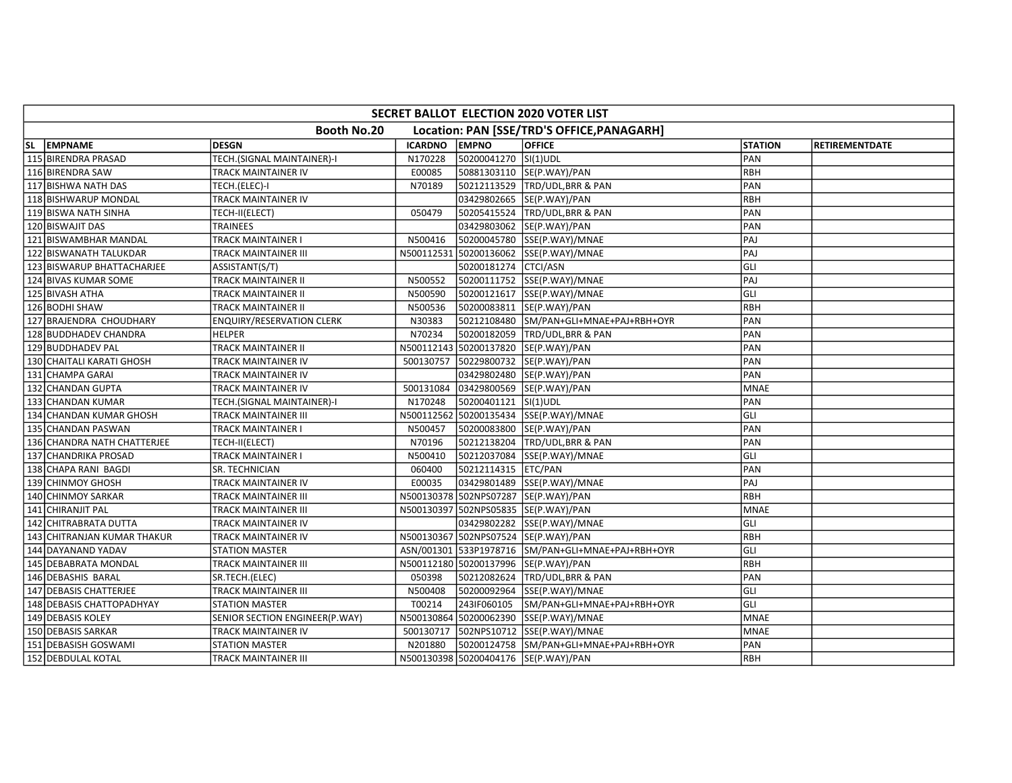| SECRET BALLOT ELECTION 2020 VOTER LIST                    |                                |                |                      |                                                    |                |                       |  |  |  |  |
|-----------------------------------------------------------|--------------------------------|----------------|----------------------|----------------------------------------------------|----------------|-----------------------|--|--|--|--|
| Booth No.20<br>Location: PAN [SSE/TRD'S OFFICE, PANAGARH] |                                |                |                      |                                                    |                |                       |  |  |  |  |
| SL EMPNAME                                                | <b>DESGN</b>                   | <b>ICARDNO</b> | <b>EMPNO</b>         | <b>OFFICE</b>                                      | <b>STATION</b> | <b>RETIREMENTDATE</b> |  |  |  |  |
| 115 BIRENDRA PRASAD                                       | TECH.(SIGNAL MAINTAINER)-I     | N170228        | 50200041270 SI(1)UDL |                                                    | PAN            |                       |  |  |  |  |
| 116 BIRENDRA SAW                                          | TRACK MAINTAINER IV            | E00085         |                      | 50881303110  SE(P.WAY)/PAN                         | <b>RBH</b>     |                       |  |  |  |  |
| 117 BISHWA NATH DAS                                       | TECH.(ELEC)-I                  | N70189         |                      | 50212113529 TRD/UDL, BRR & PAN                     | PAN            |                       |  |  |  |  |
| 118 BISHWARUP MONDAL                                      | TRACK MAINTAINER IV            |                |                      | 03429802665 SE(P.WAY)/PAN                          | RBH            |                       |  |  |  |  |
| 119 BISWA NATH SINHA                                      | TECH-II(ELECT)                 | 050479         |                      | 50205415524 TRD/UDL,BRR & PAN                      | PAN            |                       |  |  |  |  |
| 120 BISWAJIT DAS                                          | <b>TRAINEES</b>                |                |                      | 03429803062 SE(P.WAY)/PAN                          | PAN            |                       |  |  |  |  |
| 121 BISWAMBHAR MANDAL                                     | TRACK MAINTAINER I             | N500416        |                      | 50200045780 SSE(P.WAY)/MNAE                        | PAJ            |                       |  |  |  |  |
| 122 BISWANATH TALUKDAR                                    | TRACK MAINTAINER III           | N500112531     |                      | 50200136062 SSE(P.WAY)/MNAE                        | PAJ            |                       |  |  |  |  |
| 123 BISWARUP BHATTACHARJEE                                | ASSISTANT(S/T)                 |                | 50200181274 CTCI/ASN |                                                    | GLI            |                       |  |  |  |  |
| 124 BIVAS KUMAR SOME                                      | TRACK MAINTAINER II            | N500552        |                      | 50200111752 SSE(P.WAY)/MNAE                        | PAJ            |                       |  |  |  |  |
| 125 BIVASH ATHA                                           | TRACK MAINTAINER II            | N500590        |                      | 50200121617 SSE(P.WAY)/MNAE                        | GLI            |                       |  |  |  |  |
| 126 BODHI SHAW                                            | TRACK MAINTAINER II            | N500536        |                      |                                                    | <b>RBH</b>     |                       |  |  |  |  |
| 127 BRAJENDRA CHOUDHARY                                   | ENQUIRY/RESERVATION CLERK      | N30383         |                      | 50212108480 SM/PAN+GLI+MNAE+PAJ+RBH+OYR            | PAN            |                       |  |  |  |  |
| 128 BUDDHADEV CHANDRA                                     | <b>HELPER</b>                  | N70234         |                      | 50200182059 TRD/UDL, BRR & PAN                     | PAN            |                       |  |  |  |  |
| 129 BUDDHADEV PAL                                         | <b>TRACK MAINTAINER II</b>     |                |                      | N500112143 50200137820 SE(P.WAY)/PAN               | PAN            |                       |  |  |  |  |
| 130 CHAITALI KARATI GHOSH                                 | TRACK MAINTAINER IV            | 500130757      |                      | 50229800732  SE(P.WAY)/PAN                         | PAN            |                       |  |  |  |  |
| 131 CHAMPA GARAI                                          | TRACK MAINTAINER IV            |                |                      | 03429802480 SE(P.WAY)/PAN                          | PAN            |                       |  |  |  |  |
| 132 CHANDAN GUPTA                                         | TRACK MAINTAINER IV            | 500131084      |                      | 03429800569 SE(P.WAY)/PAN                          | <b>MNAE</b>    |                       |  |  |  |  |
| 133 CHANDAN KUMAR                                         | TECH.(SIGNAL MAINTAINER)-I     | N170248        | 50200401121 SI(1)UDL |                                                    | PAN            |                       |  |  |  |  |
| 134 CHANDAN KUMAR GHOSH                                   | TRACK MAINTAINER III           |                |                      | N500112562 50200135434 SSE(P.WAY)/MNAE             | GLI            |                       |  |  |  |  |
| 135 CHANDAN PASWAN                                        | TRACK MAINTAINER I             | N500457        |                      | 50200083800 SE(P.WAY)/PAN                          | PAN            |                       |  |  |  |  |
| 136 CHANDRA NATH CHATTERJEE                               | TECH-II(ELECT)                 | N70196         |                      | 50212138204   TRD/UDL, BRR & PAN                   | PAN            |                       |  |  |  |  |
| 137 CHANDRIKA PROSAD                                      | TRACK MAINTAINER I             | N500410        |                      | 50212037084  SSE(P.WAY)/MNAE                       | GLI            |                       |  |  |  |  |
| 138 CHAPA RANI BAGDI                                      | SR. TECHNICIAN                 | 060400         | 50212114315 ETC/PAN  |                                                    | PAN            |                       |  |  |  |  |
| 139 CHINMOY GHOSH                                         | TRACK MAINTAINER IV            | E00035         |                      | 03429801489 SSE(P.WAY)/MNAE                        | PAJ            |                       |  |  |  |  |
| 140 CHINMOY SARKAR                                        | TRACK MAINTAINER III           |                |                      | N500130378 502NPS07287 SE(P.WAY)/PAN               | RBH            |                       |  |  |  |  |
| 141 CHIRANJIT PAL                                         | TRACK MAINTAINER III           |                |                      | N500130397 502NPS05835 SE(P.WAY)/PAN               | <b>MNAE</b>    |                       |  |  |  |  |
| 142 CHITRABRATA DUTTA                                     | TRACK MAINTAINER IV            |                |                      | 03429802282 SSE(P.WAY)/MNAE                        | GLI            |                       |  |  |  |  |
| 143 CHITRANJAN KUMAR THAKUR                               | TRACK MAINTAINER IV            |                |                      | N500130367 502NPS07524 SE(P.WAY)/PAN               | RBH            |                       |  |  |  |  |
| 144 DAYANAND YADAV                                        | <b>STATION MASTER</b>          |                |                      | ASN/001301 533P1978716 SM/PAN+GLI+MNAE+PAJ+RBH+OYR | GLI            |                       |  |  |  |  |
| 145 DEBABRATA MONDAL                                      | TRACK MAINTAINER III           |                |                      | N500112180 50200137996 SE(P.WAY)/PAN               | <b>RBH</b>     |                       |  |  |  |  |
| 146 DEBASHIS BARAL                                        | SR.TECH.(ELEC)                 | 050398         |                      | 50212082624 TRD/UDL, BRR & PAN                     | PAN            |                       |  |  |  |  |
| 147 DEBASIS CHATTERJEE                                    | TRACK MAINTAINER III           | N500408        |                      | 50200092964 SSE(P.WAY)/MNAE                        | GLI            |                       |  |  |  |  |
| 148 DEBASIS CHATTOPADHYAY                                 | <b>STATION MASTER</b>          | T00214         |                      | 243IF060105 SM/PAN+GLI+MNAE+PAJ+RBH+OYR            | GLI            |                       |  |  |  |  |
| 149 DEBASIS KOLEY                                         | SENIOR SECTION ENGINEER(P.WAY) |                |                      | N500130864 50200062390 SSE(P.WAY)/MNAE             | <b>MNAE</b>    |                       |  |  |  |  |
| 150 DEBASIS SARKAR                                        | TRACK MAINTAINER IV            | 500130717      |                      | 502NPS10712 SSE(P.WAY)/MNAE                        | <b>MNAE</b>    |                       |  |  |  |  |
| 151 DEBASISH GOSWAMI                                      | STATION MASTER                 | N201880        |                      | 50200124758 SM/PAN+GLI+MNAE+PAJ+RBH+OYR            | PAN            |                       |  |  |  |  |
| 152 DEBDULAL KOTAL                                        | TRACK MAINTAINER III           |                |                      | N500130398 50200404176 SE(P.WAY)/PAN               | RBH            |                       |  |  |  |  |
|                                                           |                                |                |                      |                                                    |                |                       |  |  |  |  |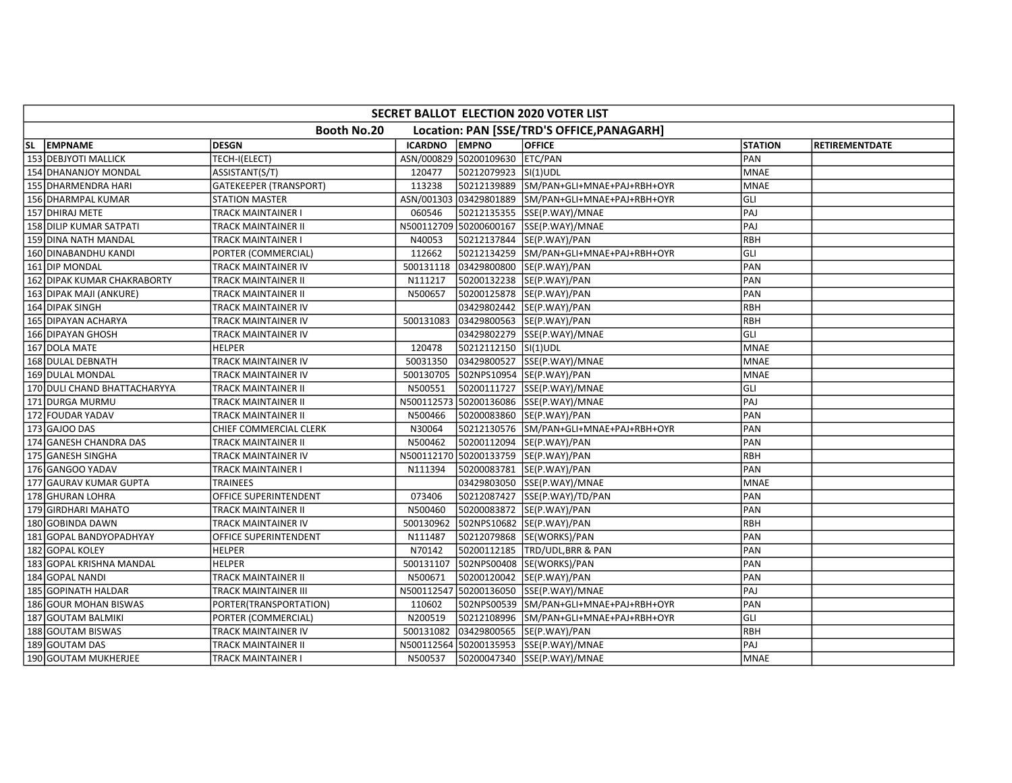| Booth No.20<br>Location: PAN [SSE/TRD'S OFFICE, PANAGARH]<br>SL EMPNAME<br><b>DESGN</b><br><b>ICARDNO</b><br><b>EMPNO</b><br><b>OFFICE</b><br><b>STATION</b><br>153 DEBJYOTI MALLICK<br>ASN/000829 50200109630 ETC/PAN<br>PAN<br>TECH-I(ELECT) | <b>RETIREMENTDATE</b> |
|------------------------------------------------------------------------------------------------------------------------------------------------------------------------------------------------------------------------------------------------|-----------------------|
|                                                                                                                                                                                                                                                |                       |
|                                                                                                                                                                                                                                                |                       |
|                                                                                                                                                                                                                                                |                       |
| 50212079923 SI(1)UDL<br>154 DHANANJOY MONDAL<br>ASSISTANT(S/T)<br>120477<br><b>MNAE</b>                                                                                                                                                        |                       |
| GATEKEEPER (TRANSPORT)<br>113238<br>50212139889 SM/PAN+GLI+MNAE+PAJ+RBH+OYR<br><b>MNAE</b><br>155 DHARMENDRA HARI                                                                                                                              |                       |
| GLI<br>156 DHARMPAL KUMAR<br>ASN/001303 03429801889 SM/PAN+GLI+MNAE+PAJ+RBH+OYR<br>STATION MASTER                                                                                                                                              |                       |
| PAJ<br>157 DHIRAJ METE<br>060546<br>50212135355 SSE(P.WAY)/MNAE<br>TRACK MAINTAINER I                                                                                                                                                          |                       |
| PAJ<br>N500112709 50200600167 SSE(P.WAY)/MNAE<br>158 DILIP KUMAR SATPATI<br>TRACK MAINTAINER II                                                                                                                                                |                       |
| RBH<br>159 DINA NATH MANDAL<br>TRACK MAINTAINER I<br>N40053<br>50212137844 SE(P.WAY)/PAN                                                                                                                                                       |                       |
| GLI<br>160 DINABANDHU KANDI<br>112662<br>50212134259 SM/PAN+GLI+MNAE+PAJ+RBH+OYR<br>PORTER (COMMERCIAL)                                                                                                                                        |                       |
| PAN<br>161 DIP MONDAL<br>TRACK MAINTAINER IV<br>500131118<br>03429800800 SE(P.WAY)/PAN                                                                                                                                                         |                       |
| 50200132238 SE(P.WAY)/PAN<br>PAN<br>162 DIPAK KUMAR CHAKRABORTY<br>TRACK MAINTAINER II<br>N111217                                                                                                                                              |                       |
| 50200125878 SE(P.WAY)/PAN<br>PAN<br>163 DIPAK MAJI (ANKURE)<br>TRACK MAINTAINER II<br>N500657                                                                                                                                                  |                       |
| <b>RBH</b><br>164 DIPAK SINGH<br>TRACK MAINTAINER IV<br>03429802442 SE(P.WAY)/PAN                                                                                                                                                              |                       |
| 03429800563 SE(P.WAY)/PAN<br><b>RBH</b><br>165 DIPAYAN ACHARYA<br>500131083<br>TRACK MAINTAINER IV                                                                                                                                             |                       |
| 03429802279 SSE(P.WAY)/MNAE<br>GLI<br>166 DIPAYAN GHOSH<br>TRACK MAINTAINER IV                                                                                                                                                                 |                       |
| 167 DOLA MATE<br><b>HELPER</b><br>120478<br>50212112150 SI(1)UDL<br><b>MNAE</b>                                                                                                                                                                |                       |
| 168 DULAL DEBNATH<br>03429800527 SSE(P.WAY)/MNAE<br><b>MNAE</b><br>TRACK MAINTAINER IV<br>50031350                                                                                                                                             |                       |
| 500130705<br>502NPS10954 SE(P.WAY)/PAN<br><b>MNAE</b><br>169 DULAL MONDAL<br>TRACK MAINTAINER IV                                                                                                                                               |                       |
| GLI<br>170 DULI CHAND BHATTACHARYYA<br>N500551<br>50200111727  SSE(P.WAY)/MNAE<br>TRACK MAINTAINER II                                                                                                                                          |                       |
| PAJ<br>N500112573 50200136086 SSE(P.WAY)/MNAE<br>171 DURGA MURMU<br>TRACK MAINTAINER II                                                                                                                                                        |                       |
| 172 FOUDAR YADAV<br>TRACK MAINTAINER II<br>N500466<br>50200083860 SE(P.WAY)/PAN<br>PAN                                                                                                                                                         |                       |
| 173 GAJOO DAS<br>CHIEF COMMERCIAL CLERK<br>N30064<br>50212130576 SM/PAN+GLI+MNAE+PAJ+RBH+OYR<br>PAN                                                                                                                                            |                       |
| PAN<br>174 GANESH CHANDRA DAS<br>50200112094 SE(P.WAY)/PAN<br>TRACK MAINTAINER II<br>N500462                                                                                                                                                   |                       |
| RBH<br>175 GANESH SINGHA<br>N500112170 50200133759 SE(P.WAY)/PAN<br>TRACK MAINTAINER IV                                                                                                                                                        |                       |
| PAN<br>176 GANGOO YADAV<br>N111394<br>50200083781 SE(P.WAY)/PAN<br>TRACK MAINTAINER I                                                                                                                                                          |                       |
| 177 GAURAV KUMAR GUPTA<br><b>TRAINEES</b><br>03429803050 SSE(P.WAY)/MNAE<br><b>MNAE</b>                                                                                                                                                        |                       |
| 178 GHURAN LOHRA<br>OFFICE SUPERINTENDENT<br>073406<br>50212087427 SSE(P.WAY)/TD/PAN<br>PAN                                                                                                                                                    |                       |
| PAN<br>179 GIRDHARI MAHATO<br>N500460<br> 50200083872  SE(P.WAY)/PAN<br>TRACK MAINTAINER II                                                                                                                                                    |                       |
| RBH<br>180 GOBINDA DAWN<br>500130962<br>502NPS10682 SE(P.WAY)/PAN<br>TRACK MAINTAINER IV                                                                                                                                                       |                       |
| PAN<br>181 GOPAL BANDYOPADHYAY<br>OFFICE SUPERINTENDENT<br>N111487                                                                                                                                                                             |                       |
| 182 GOPAL KOLEY<br><b>HELPER</b><br>N70142<br>50200112185 TRD/UDL, BRR & PAN<br>PAN                                                                                                                                                            |                       |
| 502NPS00408 SE(WORKS)/PAN<br>PAN<br>183 GOPAL KRISHNA MANDAL<br><b>HELPER</b><br>500131107                                                                                                                                                     |                       |
| 50200120042  SE(P.WAY)/PAN<br>PAN<br>184 GOPAL NANDI<br>TRACK MAINTAINER II<br>N500671                                                                                                                                                         |                       |
| PAJ<br>185 GOPINATH HALDAR<br>N500112547<br>/ 50200136050 SSE(P.WAY)/MNAE<br>TRACK MAINTAINER III                                                                                                                                              |                       |
| 110602<br>502NPS00539 SM/PAN+GLI+MNAE+PAJ+RBH+OYR<br>PAN<br>186 GOUR MOHAN BISWAS<br>PORTER(TRANSPORTATION)                                                                                                                                    |                       |
| GLI<br>50212108996 SM/PAN+GLI+MNAE+PAJ+RBH+OYR<br>187 GOUTAM BALMIKI<br>PORTER (COMMERCIAL)<br>N200519                                                                                                                                         |                       |
| 188 GOUTAM BISWAS<br>500131082<br>03429800565 SE(P.WAY)/PAN<br><b>RBH</b><br>TRACK MAINTAINER IV                                                                                                                                               |                       |
| PAJ<br>189 GOUTAM DAS<br>N500112564 50200135953 SSE(P.WAY)/MNAE<br>TRACK MAINTAINER II                                                                                                                                                         |                       |
| 190 GOUTAM MUKHERJEE<br>50200047340 SSE(P.WAY)/MNAE<br>TRACK MAINTAINER I<br>N500537<br><b>MNAE</b>                                                                                                                                            |                       |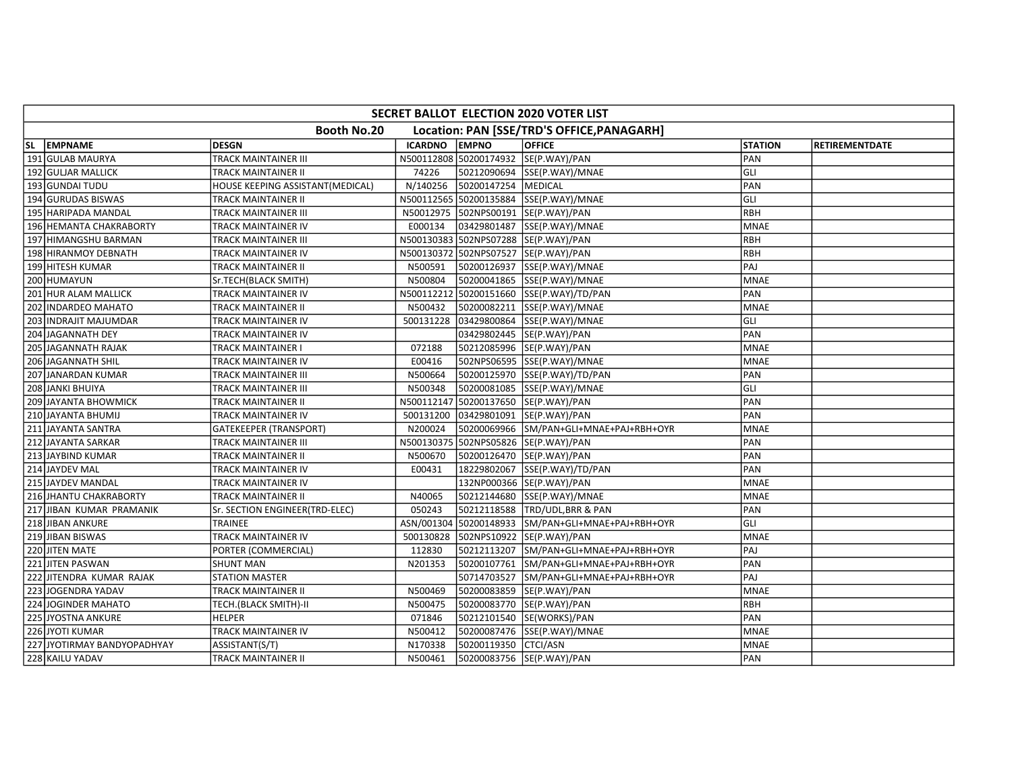| SECRET BALLOT ELECTION 2020 VOTER LIST                    |                                  |                |                       |                                         |                |                       |  |  |  |  |
|-----------------------------------------------------------|----------------------------------|----------------|-----------------------|-----------------------------------------|----------------|-----------------------|--|--|--|--|
| Booth No.20<br>Location: PAN [SSE/TRD'S OFFICE, PANAGARH] |                                  |                |                       |                                         |                |                       |  |  |  |  |
| SL EMPNAME                                                | <b>DESGN</b>                     | <b>ICARDNO</b> | <b>EMPNO</b>          | <b>OFFICE</b>                           | <b>STATION</b> | <b>RETIREMENTDATE</b> |  |  |  |  |
| 191 GULAB MAURYA                                          | TRACK MAINTAINER III             |                |                       | N500112808 50200174932 SE(P.WAY)/PAN    | PAN            |                       |  |  |  |  |
| 192 GULJAR MALLICK                                        | TRACK MAINTAINER II              | 74226          |                       | 50212090694 SSE(P.WAY)/MNAE             | GLI            |                       |  |  |  |  |
| 193 GUNDAI TUDU                                           | HOUSE KEEPING ASSISTANT(MEDICAL) | N/140256       | 50200147254   MEDICAL |                                         | PAN            |                       |  |  |  |  |
| 194 GURUDAS BISWAS                                        | TRACK MAINTAINER II              |                |                       | N500112565 50200135884 SSE(P.WAY)/MNAE  | GLI            |                       |  |  |  |  |
| 195 HARIPADA MANDAL                                       | TRACK MAINTAINER III             |                |                       | N50012975 502NPS00191 SE(P.WAY)/PAN     | RBH            |                       |  |  |  |  |
| 196 HEMANTA CHAKRABORTY                                   | TRACK MAINTAINER IV              | E000134        |                       | 03429801487 SSE(P.WAY)/MNAE             | <b>MNAE</b>    |                       |  |  |  |  |
| 197 HIMANGSHU BARMAN                                      | TRACK MAINTAINER III             |                |                       | N500130383 502NPS07288 SE(P.WAY)/PAN    | RBH            |                       |  |  |  |  |
| 198 HIRANMOY DEBNATH                                      | TRACK MAINTAINER IV              |                |                       | N500130372 502NPS07527 SE(P.WAY)/PAN    | <b>RBH</b>     |                       |  |  |  |  |
| 199 HITESH KUMAR                                          | TRACK MAINTAINER II              | N500591        |                       | 50200126937 SSE(P.WAY)/MNAE             | PAJ            |                       |  |  |  |  |
| 200 HUMAYUN                                               | Sr.TECH(BLACK SMITH)             | N500804        |                       | 50200041865 SSE(P.WAY)/MNAE             | <b>MNAE</b>    |                       |  |  |  |  |
| 201 HUR ALAM MALLICK                                      | TRACK MAINTAINER IV              | N500112212     |                       | 50200151660  SSE(P.WAY)/TD/PAN          | PAN            |                       |  |  |  |  |
| 202 IINDARDEO MAHATO                                      | TRACK MAINTAINER II              | N500432        |                       | 50200082211  SSE(P.WAY)/MNAE            | <b>MNAE</b>    |                       |  |  |  |  |
| 203 INDRAJIT MAJUMDAR                                     | TRACK MAINTAINER IV              | 500131228      |                       | 03429800864 SSE(P.WAY)/MNAE             | GLI            |                       |  |  |  |  |
| 204 JAGANNATH DEY                                         | TRACK MAINTAINER IV              |                |                       | 03429802445  SE(P.WAY)/PAN              | PAN            |                       |  |  |  |  |
| 205 JAGANNATH RAJAK                                       | TRACK MAINTAINER I               | 072188         |                       | 50212085996 SE(P.WAY)/PAN               | <b>MNAE</b>    |                       |  |  |  |  |
| 206 JAGANNATH SHIL                                        | TRACK MAINTAINER IV              | E00416         |                       | 502NPS06595 SSE(P.WAY)/MNAE             | <b>MNAE</b>    |                       |  |  |  |  |
| 207 JANARDAN KUMAR                                        | TRACK MAINTAINER III             | N500664        |                       | 50200125970 SSE(P.WAY)/TD/PAN           | PAN            |                       |  |  |  |  |
| 208 JANKI BHUIYA                                          | TRACK MAINTAINER III             | N500348        |                       | 50200081085 SSE(P.WAY)/MNAE             | GLI            |                       |  |  |  |  |
| 209 JAYANTA BHOWMICK                                      | TRACK MAINTAINER II              |                |                       | N500112147 50200137650 SE(P.WAY)/PAN    | PAN            |                       |  |  |  |  |
| 210 JAYANTA BHUMIJ                                        | TRACK MAINTAINER IV              | 500131200      |                       | 03429801091 SE(P.WAY)/PAN               | PAN            |                       |  |  |  |  |
| 211 JAYANTA SANTRA                                        | GATEKEEPER (TRANSPORT)           | N200024        |                       | 50200069966 SM/PAN+GLI+MNAE+PAJ+RBH+OYR | <b>MNAE</b>    |                       |  |  |  |  |
| 212 JAYANTA SARKAR                                        | TRACK MAINTAINER III             |                |                       | N500130375 502NPS05826 SE(P.WAY)/PAN    | PAN            |                       |  |  |  |  |
| 213 JAYBIND KUMAR                                         | TRACK MAINTAINER II              | N500670        |                       | 50200126470 SE(P.WAY)/PAN               | PAN            |                       |  |  |  |  |
| 214 JAYDEV MAL                                            | TRACK MAINTAINER IV              | E00431         |                       | 18229802067 SSE(P.WAY)/TD/PAN           | PAN            |                       |  |  |  |  |
| 215 JAYDEV MANDAL                                         | TRACK MAINTAINER IV              |                |                       | 132NP000366 SE(P.WAY)/PAN               | <b>MNAE</b>    |                       |  |  |  |  |
| 216 JHANTU CHAKRABORTY                                    | TRACK MAINTAINER II              | N40065         |                       | 50212144680 SSE(P.WAY)/MNAE             | <b>MNAE</b>    |                       |  |  |  |  |
| 217 JIBAN KUMAR PRAMANIK                                  | Sr. SECTION ENGINEER(TRD-ELEC)   | 050243         |                       | 50212118588 TRD/UDL,BRR & PAN           | PAN            |                       |  |  |  |  |
| 218 JIBAN ANKURE                                          | TRAINEE                          | ASN/001304     |                       | 50200148933 SM/PAN+GLI+MNAE+PAJ+RBH+OYR | GLI            |                       |  |  |  |  |
| 219 JIBAN BISWAS                                          | <b>TRACK MAINTAINER IV</b>       | 500130828      |                       | 502NPS10922 SE(P.WAY)/PAN               | <b>MNAE</b>    |                       |  |  |  |  |
| 220 JITEN MATE                                            | PORTER (COMMERCIAL)              | 112830         |                       | 50212113207 SM/PAN+GLI+MNAE+PAJ+RBH+OYR | PAJ            |                       |  |  |  |  |
| 221 JITEN PASWAN                                          | SHUNT MAN                        | N201353        |                       | 50200107761 SM/PAN+GLI+MNAE+PAJ+RBH+OYR | PAN            |                       |  |  |  |  |
| 222 JITENDRA KUMAR RAJAK                                  | STATION MASTER                   |                |                       | 50714703527 SM/PAN+GLI+MNAE+PAJ+RBH+OYR | PAJ            |                       |  |  |  |  |
| 223 JOGENDRA YADAV                                        | TRACK MAINTAINER II              | N500469        |                       | 50200083859 SE(P.WAY)/PAN               | <b>MNAE</b>    |                       |  |  |  |  |
| 224 JOGINDER MAHATO                                       | TECH.(BLACK SMITH)-II            | N500475        |                       | 50200083770 SE(P.WAY)/PAN               | RBH            |                       |  |  |  |  |
| 225 JYOSTNA ANKURE                                        | <b>HELPER</b>                    | 071846         |                       | 50212101540 SE(WORKS)/PAN               | PAN            |                       |  |  |  |  |
| 226 JYOTI KUMAR                                           | TRACK MAINTAINER IV              | N500412        |                       | 50200087476 SSE(P.WAY)/MNAE             | <b>MNAE</b>    |                       |  |  |  |  |
| 227 JYOTIRMAY BANDYOPADHYAY                               | ASSISTANT(S/T)                   | N170338        | 50200119350 CTCI/ASN  |                                         | <b>MNAE</b>    |                       |  |  |  |  |
| 228 KAILU YADAV                                           | TRACK MAINTAINER II              | N500461        |                       | 50200083756 SE(P.WAY)/PAN               | PAN            |                       |  |  |  |  |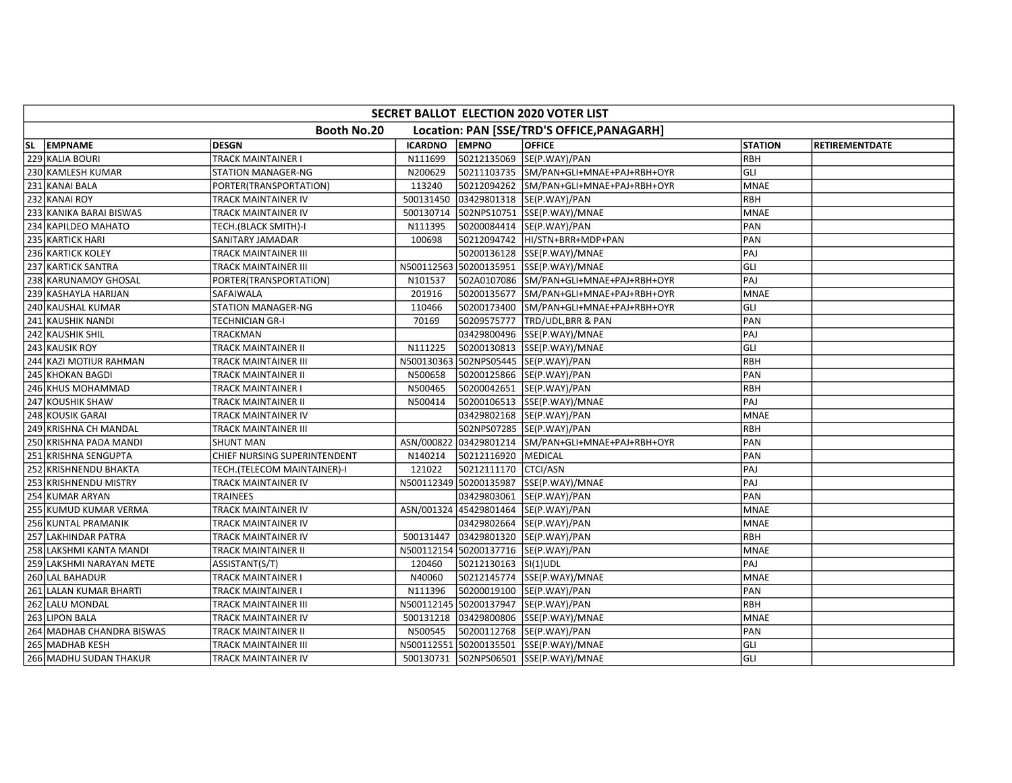| SECRET BALLOT ELECTION 2020 VOTER LIST                    |                              |                |                       |                                                    |                |                       |  |  |  |  |
|-----------------------------------------------------------|------------------------------|----------------|-----------------------|----------------------------------------------------|----------------|-----------------------|--|--|--|--|
| Booth No.20<br>Location: PAN [SSE/TRD'S OFFICE, PANAGARH] |                              |                |                       |                                                    |                |                       |  |  |  |  |
| SL EMPNAME                                                | <b>DESGN</b>                 | <b>ICARDNO</b> | <b>EMPNO</b>          | <b>OFFICE</b>                                      | <b>STATION</b> | <b>RETIREMENTDATE</b> |  |  |  |  |
| 229 KALIA BOURI                                           | <b>TRACK MAINTAINER I</b>    | N111699        |                       | 50212135069 SE(P.WAY)/PAN                          | <b>RBH</b>     |                       |  |  |  |  |
| 230 KAMLESH KUMAR                                         | STATION MANAGER-NG           | N200629        |                       | 50211103735 SM/PAN+GLI+MNAE+PAJ+RBH+OYR            | GLI            |                       |  |  |  |  |
| 231 KANAI BALA                                            | PORTER(TRANSPORTATION)       | 113240         |                       | 50212094262 SM/PAN+GLI+MNAE+PAJ+RBH+OYR            | <b>MNAE</b>    |                       |  |  |  |  |
| 232 KANAI ROY                                             | TRACK MAINTAINER IV          | 500131450      |                       | 03429801318 SE(P.WAY)/PAN                          | RBH            |                       |  |  |  |  |
| 233 KANIKA BARAI BISWAS                                   | TRACK MAINTAINER IV          | 500130714      |                       | 502NPS10751 SSE(P.WAY)/MNAE                        | <b>MNAE</b>    |                       |  |  |  |  |
| 234 KAPILDEO MAHATO                                       | TECH.(BLACK SMITH)-I         | N111395        |                       | 50200084414 SE(P.WAY)/PAN                          | PAN            |                       |  |  |  |  |
| 235 KARTICK HARI                                          | SANITARY JAMADAR             | 100698         |                       | 50212094742 HI/STN+BRR+MDP+PAN                     | PAN            |                       |  |  |  |  |
| 236 KARTICK KOLEY                                         | TRACK MAINTAINER III         |                |                       | 50200136128 SSE(P.WAY)/MNAE                        | PAJ            |                       |  |  |  |  |
| 237 KARTICK SANTRA                                        | TRACK MAINTAINER III         |                |                       | N500112563 50200135951 SSE(P.WAY)/MNAE             | GLI            |                       |  |  |  |  |
| 238 KARUNAMOY GHOSAL                                      | PORTER(TRANSPORTATION)       | N101537        |                       | 502A0107086  SM/PAN+GLI+MNAE+PAJ+RBH+OYR           | PAJ            |                       |  |  |  |  |
| 239 KASHAYLA HARIJAN                                      | SAFAIWALA                    | 201916         |                       | 50200135677 SM/PAN+GLI+MNAE+PAJ+RBH+OYR            | <b>MNAE</b>    |                       |  |  |  |  |
| 240 KAUSHAL KUMAR                                         | STATION MANAGER-NG           | 110466         |                       | 50200173400 SM/PAN+GLI+MNAE+PAJ+RBH+OYR            | GLI            |                       |  |  |  |  |
| 241 KAUSHIK NANDI                                         | TECHNICIAN GR-I              | 70169          |                       | 50209575777 TRD/UDL,BRR & PAN                      | PAN            |                       |  |  |  |  |
| 242 KAUSHIK SHIL                                          | TRACKMAN                     |                |                       | 03429800496 SSE(P.WAY)/MNAE                        | PAJ            |                       |  |  |  |  |
| 243 KAUSIK ROY                                            | TRACK MAINTAINER II          | N111225        |                       | 50200130813 SSE(P.WAY)/MNAE                        | GLI            |                       |  |  |  |  |
| 244 KAZI MOTIUR RAHMAN                                    | TRACK MAINTAINER III         |                |                       | N500130363 502NPS05445 SE(P.WAY)/PAN               | <b>RBH</b>     |                       |  |  |  |  |
| 245 KHOKAN BAGDI                                          | TRACK MAINTAINER II          | N500658        |                       | 50200125866 SE(P.WAY)/PAN                          | PAN            |                       |  |  |  |  |
| 246 KHUS MOHAMMAD                                         | TRACK MAINTAINER I           | N500465        |                       | 50200042651 SE(P.WAY)/PAN                          | <b>RBH</b>     |                       |  |  |  |  |
| 247 KOUSHIK SHAW                                          | TRACK MAINTAINER II          | N500414        |                       | 50200106513 SSE(P.WAY)/MNAE                        | PAJ            |                       |  |  |  |  |
| 248 KOUSIK GARAI                                          | TRACK MAINTAINER IV          |                |                       | 03429802168 SE(P.WAY)/PAN                          | <b>MNAE</b>    |                       |  |  |  |  |
| 249 KRISHNA CH MANDAL                                     | TRACK MAINTAINER III         |                |                       | 502NPS07285 SE(P.WAY)/PAN                          | RBH            |                       |  |  |  |  |
| 250 KRISHNA PADA MANDI                                    | SHUNT MAN                    |                |                       | ASN/000822 03429801214 SM/PAN+GLI+MNAE+PAJ+RBH+OYR | PAN            |                       |  |  |  |  |
| 251 KRISHNA SENGUPTA                                      | CHIEF NURSING SUPERINTENDENT | N140214        | 50212116920   MEDICAL |                                                    | PAN            |                       |  |  |  |  |
| 252 KRISHNENDU BHAKTA                                     | TECH.(TELECOM MAINTAINER)-I  | 121022         | 50212111170 CTCI/ASN  |                                                    | PAJ            |                       |  |  |  |  |
| 253 KRISHNENDU MISTRY                                     | TRACK MAINTAINER IV          |                |                       | N500112349 50200135987 SSE(P.WAY)/MNAE             | PAJ            |                       |  |  |  |  |
| 254 KUMAR ARYAN                                           | <b>TRAINEES</b>              |                |                       | 03429803061 SE(P.WAY)/PAN                          | PAN            |                       |  |  |  |  |
| 255 KUMUD KUMAR VERMA                                     | TRACK MAINTAINER IV          |                |                       | ASN/001324 45429801464 SE(P.WAY)/PAN               | <b>MNAE</b>    |                       |  |  |  |  |
| 256 KUNTAL PRAMANIK                                       | TRACK MAINTAINER IV          |                |                       | 03429802664 SE(P.WAY)/PAN                          | <b>MNAE</b>    |                       |  |  |  |  |
| 257 LAKHINDAR PATRA                                       | TRACK MAINTAINER IV          | 500131447      |                       | 03429801320 SE(P.WAY)/PAN                          | RBH            |                       |  |  |  |  |
| 258 LAKSHMI KANTA MANDI                                   | TRACK MAINTAINER II          |                |                       | N500112154 50200137716 SE(P.WAY)/PAN               | <b>MNAE</b>    |                       |  |  |  |  |
| 259 LAKSHMI NARAYAN METE                                  | ASSISTANT(S/T)               | 120460         | 50212130163  SI(1)UDL |                                                    | PAJ            |                       |  |  |  |  |
| 260 LAL BAHADUR                                           | TRACK MAINTAINER I           | N40060         |                       | 50212145774 SSE(P.WAY)/MNAE                        | <b>MNAE</b>    |                       |  |  |  |  |
| 261 LALAN KUMAR BHARTI                                    | TRACK MAINTAINER I           | N111396        |                       | 50200019100 SE(P.WAY)/PAN                          | PAN            |                       |  |  |  |  |
| 262 LALU MONDAL                                           | TRACK MAINTAINER III         |                |                       | N500112145 50200137947 SE(P.WAY)/PAN               | RBH            |                       |  |  |  |  |
| 263 LIPON BALA                                            | TRACK MAINTAINER IV          | 500131218      |                       | 03429800806 SSE(P.WAY)/MNAE                        | <b>MNAE</b>    |                       |  |  |  |  |
| 264 MADHAB CHANDRA BISWAS                                 | TRACK MAINTAINER II          | N500545        |                       | 50200112768 SE(P.WAY)/PAN                          | PAN            |                       |  |  |  |  |
| 265 MADHAB KESH                                           | TRACK MAINTAINER III         |                |                       | N500112551 50200135501 SSE(P.WAY)/MNAE             | GLI            |                       |  |  |  |  |
| 266 MADHU SUDAN THAKUR                                    | TRACK MAINTAINER IV          |                |                       | 500130731 502NPS06501 SSE(P.WAY)/MNAE              | GLI            |                       |  |  |  |  |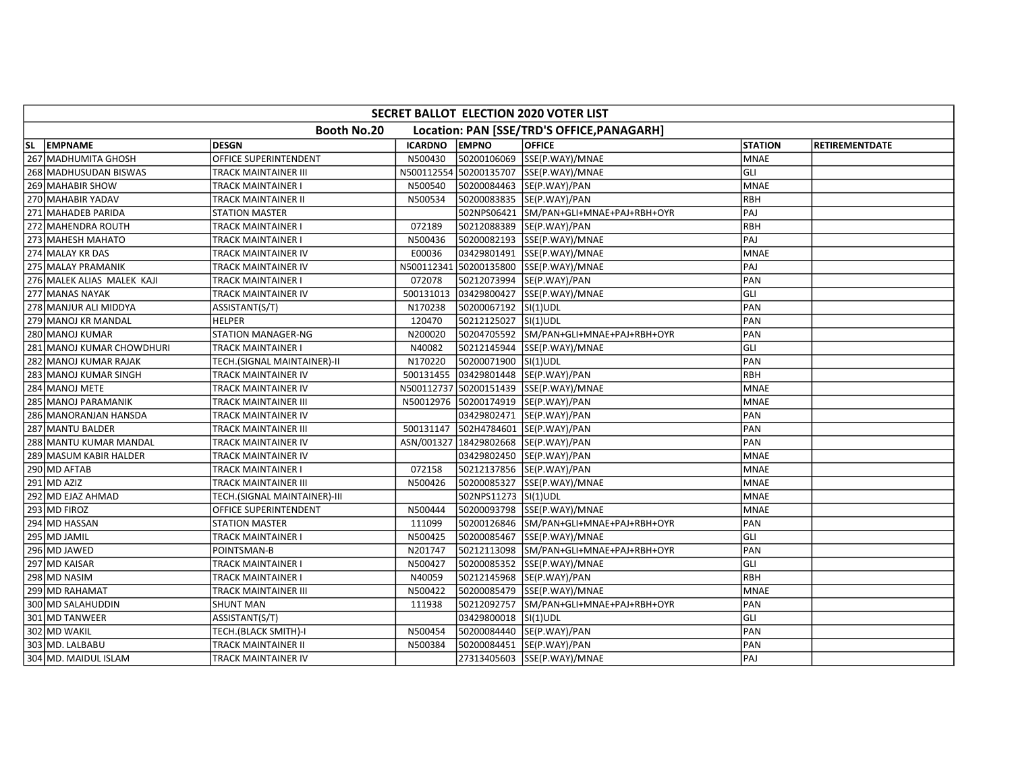| SECRET BALLOT ELECTION 2020 VOTER LIST |                              |                |                      |                                            |                |                       |  |  |  |
|----------------------------------------|------------------------------|----------------|----------------------|--------------------------------------------|----------------|-----------------------|--|--|--|
|                                        | Booth No.20                  |                |                      | Location: PAN [SSE/TRD'S OFFICE, PANAGARH] |                |                       |  |  |  |
| SL EMPNAME                             | <b>DESGN</b>                 | <b>ICARDNO</b> | <b>EMPNO</b>         | <b>OFFICE</b>                              | <b>STATION</b> | <b>RETIREMENTDATE</b> |  |  |  |
| 267 MADHUMITA GHOSH                    | OFFICE SUPERINTENDENT        | N500430        |                      | 50200106069 SSE(P.WAY)/MNAE                | <b>MNAE</b>    |                       |  |  |  |
| 268 MADHUSUDAN BISWAS                  | TRACK MAINTAINER III         |                |                      | N500112554 50200135707 SSE(P.WAY)/MNAE     | GLI            |                       |  |  |  |
| 269 MAHABIR SHOW                       | TRACK MAINTAINER I           | N500540        |                      | 50200084463 SE(P.WAY)/PAN                  | <b>MNAE</b>    |                       |  |  |  |
| 270 MAHABIR YADAV                      | TRACK MAINTAINER II          | N500534        |                      | 50200083835 SE(P.WAY)/PAN                  | RBH            |                       |  |  |  |
| 271 MAHADEB PARIDA                     | <b>STATION MASTER</b>        |                |                      | 502NPS06421 SM/PAN+GLI+MNAE+PAJ+RBH+OYR    | PAJ            |                       |  |  |  |
| 272 MAHENDRA ROUTH                     | TRACK MAINTAINER I           | 072189         |                      | 50212088389 SE(P.WAY)/PAN                  | <b>RBH</b>     |                       |  |  |  |
| 273 MAHESH MAHATO                      | TRACK MAINTAINER I           | N500436        |                      | 50200082193 SSE(P.WAY)/MNAE                | PAJ            |                       |  |  |  |
| 274 MALAY KR DAS                       | TRACK MAINTAINER IV          | E00036         |                      | 03429801491 SSE(P.WAY)/MNAE                | <b>MNAE</b>    |                       |  |  |  |
| 275 MALAY PRAMANIK                     | TRACK MAINTAINER IV          | N500112341     |                      | 50200135800 SSE(P.WAY)/MNAE                | PAJ            |                       |  |  |  |
| 276 MALEK ALIAS MALEK KAJI             | TRACK MAINTAINER I           | 072078         |                      | 50212073994 SE(P.WAY)/PAN                  | PAN            |                       |  |  |  |
| 277 MANAS NAYAK                        | TRACK MAINTAINER IV          | 500131013      |                      | 03429800427 SSE(P.WAY)/MNAE                | GLI            |                       |  |  |  |
| 278 MANJUR ALI MIDDYA                  | ASSISTANT(S/T)               | N170238        | 50200067192 SI(1)UDL |                                            | PAN            |                       |  |  |  |
| 279 MANOJ KR MANDAL                    | <b>HELPER</b>                | 120470         | 50212125027 SI(1)UDL |                                            | PAN            |                       |  |  |  |
| 280 MANOJ KUMAR                        | <b>STATION MANAGER-NG</b>    | N200020        |                      | 50204705592 SM/PAN+GLI+MNAE+PAJ+RBH+OYR    | PAN            |                       |  |  |  |
| 281 MANOJ KUMAR CHOWDHURI              | TRACK MAINTAINER I           | N40082         |                      | 50212145944 SSE(P.WAY)/MNAE                | GLI            |                       |  |  |  |
| 282 MANOJ KUMAR RAJAK                  | TECH.(SIGNAL MAINTAINER)-II  | N170220        | 50200071900 SI(1)UDL |                                            | PAN            |                       |  |  |  |
| 283 MANOJ KUMAR SINGH                  | TRACK MAINTAINER IV          | 500131455      |                      | 03429801448 SE(P.WAY)/PAN                  | RBH            |                       |  |  |  |
| 284 MANOJ METE                         | TRACK MAINTAINER IV          |                |                      | N500112737 50200151439 SSE(P.WAY)/MNAE     | <b>MNAE</b>    |                       |  |  |  |
| 285 MANOJ PARAMANIK                    | TRACK MAINTAINER III         | N50012976      |                      | 50200174919 SE(P.WAY)/PAN                  | <b>MNAE</b>    |                       |  |  |  |
| 286 MANORANJAN HANSDA                  | TRACK MAINTAINER IV          |                |                      | 03429802471 SE(P.WAY)/PAN                  | PAN            |                       |  |  |  |
| 287 MANTU BALDER                       | TRACK MAINTAINER III         | 500131147      |                      | 502H4784601 SE(P.WAY)/PAN                  | PAN            |                       |  |  |  |
| 288 MANTU KUMAR MANDAL                 | TRACK MAINTAINER IV          |                |                      | ASN/001327   18429802668   SE(P.WAY)/PAN   | PAN            |                       |  |  |  |
| 289 MASUM KABIR HALDER                 | TRACK MAINTAINER IV          |                |                      | 03429802450 SE(P.WAY)/PAN                  | <b>MNAE</b>    |                       |  |  |  |
| 290 MD AFTAB                           | TRACK MAINTAINER I           | 072158         |                      | 50212137856 SE(P.WAY)/PAN                  | <b>MNAE</b>    |                       |  |  |  |
| $291$ MD AZIZ                          | TRACK MAINTAINER III         | N500426        |                      | 50200085327 SSE(P.WAY)/MNAE                | <b>MNAE</b>    |                       |  |  |  |
| 292 MD EJAZ AHMAD                      | TECH.(SIGNAL MAINTAINER)-III |                | 502NPS11273 SI(1)UDL |                                            | <b>MNAE</b>    |                       |  |  |  |
| 293 MD FIROZ                           | OFFICE SUPERINTENDENT        | N500444        |                      | 50200093798 SSE(P.WAY)/MNAE                | <b>MNAE</b>    |                       |  |  |  |
| 294 MD HASSAN                          | <b>STATION MASTER</b>        | 111099         |                      | 50200126846 SM/PAN+GLI+MNAE+PAJ+RBH+OYR    | PAN            |                       |  |  |  |
| 295 MD JAMIL                           | TRACK MAINTAINER I           | N500425        |                      | 50200085467 SSE(P.WAY)/MNAE                | GLI            |                       |  |  |  |
| 296 MD JAWED                           | POINTSMAN-B                  | N201747        |                      | 50212113098 SM/PAN+GLI+MNAE+PAJ+RBH+OYR    | PAN            |                       |  |  |  |
| 297 MD KAISAR                          | TRACK MAINTAINER I           | N500427        |                      | 50200085352 SSE(P.WAY)/MNAE                | GLI            |                       |  |  |  |
| 298 MD NASIM                           | TRACK MAINTAINER I           | N40059         |                      | 50212145968 SE(P.WAY)/PAN                  | RBH            |                       |  |  |  |
| 299 MD RAHAMAT                         | TRACK MAINTAINER III         | N500422        |                      | 50200085479 SSE(P.WAY)/MNAE                | <b>MNAE</b>    |                       |  |  |  |
| 300 MD SALAHUDDIN                      | <b>SHUNT MAN</b>             | 111938         |                      | 50212092757 SM/PAN+GLI+MNAE+PAJ+RBH+OYR    | PAN            |                       |  |  |  |
| 301 MD TANWEER                         | ASSISTANT(S/T)               |                | 03429800018 SI(1)UDL |                                            | GLI            |                       |  |  |  |
| 302 MD WAKIL                           | TECH.(BLACK SMITH)-I         | N500454        |                      | 50200084440 SE(P.WAY)/PAN                  | PAN            |                       |  |  |  |
| 303 MD. LALBABU                        | TRACK MAINTAINER II          | N500384        |                      | 50200084451 SE(P.WAY)/PAN                  | PAN            |                       |  |  |  |
| 304 MD. MAIDUL ISLAM                   | TRACK MAINTAINER IV          |                |                      | 27313405603 SSE(P.WAY)/MNAE                | PAJ            |                       |  |  |  |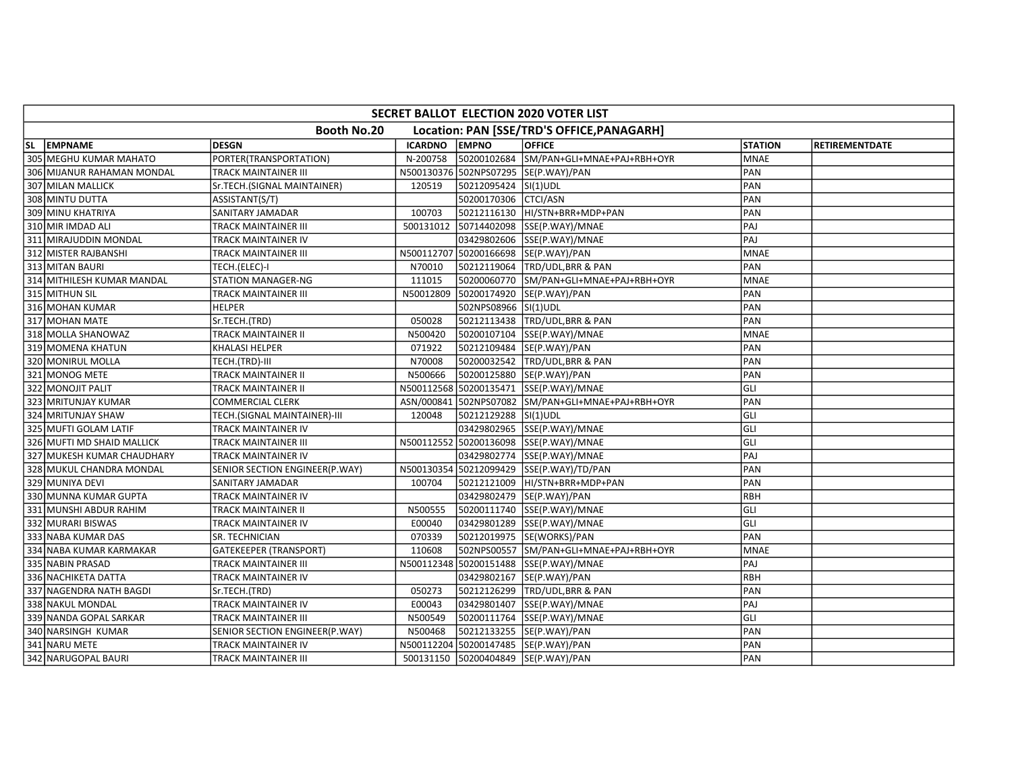| SECRET BALLOT ELECTION 2020 VOTER LIST                    |                                |                |                      |                                                    |                |                       |  |  |  |
|-----------------------------------------------------------|--------------------------------|----------------|----------------------|----------------------------------------------------|----------------|-----------------------|--|--|--|
| Booth No.20<br>Location: PAN [SSE/TRD'S OFFICE, PANAGARH] |                                |                |                      |                                                    |                |                       |  |  |  |
| SL EMPNAME                                                | <b>DESGN</b>                   | <b>ICARDNO</b> | <b>EMPNO</b>         | <b>OFFICE</b>                                      | <b>STATION</b> | <b>RETIREMENTDATE</b> |  |  |  |
| 305 MEGHU KUMAR MAHATO                                    | PORTER(TRANSPORTATION)         | N-200758       |                      | 50200102684 SM/PAN+GLI+MNAE+PAJ+RBH+OYR            | <b>MNAE</b>    |                       |  |  |  |
| 306 MIJANUR RAHAMAN MONDAL                                | TRACK MAINTAINER III           |                |                      | N500130376 502NPS07295 SE(P.WAY)/PAN               | PAN            |                       |  |  |  |
| 307 MILAN MALLICK                                         | Sr.TECH.(SIGNAL MAINTAINER)    | 120519         | 50212095424 SI(1)UDL |                                                    | PAN            |                       |  |  |  |
| 308 MINTU DUTTA                                           | ASSISTANT(S/T)                 |                | 50200170306 CTCI/ASN |                                                    | PAN            |                       |  |  |  |
| 309 MINU KHATRIYA                                         | SANITARY JAMADAR               | 100703         |                      |                                                    | PAN            |                       |  |  |  |
| 310 MIR IMDAD ALI                                         | TRACK MAINTAINER III           | 500131012      |                      | 50714402098 SSE(P.WAY)/MNAE                        | PAJ            |                       |  |  |  |
| 311 MIRAJUDDIN MONDAL                                     | TRACK MAINTAINER IV            |                |                      | 03429802606 SSE(P.WAY)/MNAE                        | PAJ            |                       |  |  |  |
| 312 MISTER RAJBANSHI                                      | TRACK MAINTAINER III           |                |                      | N500112707 50200166698 SE(P.WAY)/PAN               | <b>MNAE</b>    |                       |  |  |  |
| 313 MITAN BAURI                                           | TECH.(ELEC)-I                  | N70010         |                      | 50212119064 TRD/UDL, BRR & PAN                     | PAN            |                       |  |  |  |
| 314 MITHILESH KUMAR MANDAL                                | <b>STATION MANAGER-NG</b>      | 111015         |                      |                                                    | <b>MNAE</b>    |                       |  |  |  |
| 315 MITHUN SIL                                            | TRACK MAINTAINER III           | N50012809      |                      | 50200174920 SE(P.WAY)/PAN                          | PAN            |                       |  |  |  |
| 316 MOHAN KUMAR                                           | <b>HELPER</b>                  |                | 502NPS08966 SI(1)UDL |                                                    | PAN            |                       |  |  |  |
| 317 MOHAN MATE                                            | Sr.TECH.(TRD)                  | 050028         |                      | 50212113438 TRD/UDL, BRR & PAN                     | PAN            |                       |  |  |  |
| 318 MOLLA SHANOWAZ                                        | TRACK MAINTAINER II            | N500420        |                      | 50200107104 SSE(P.WAY)/MNAE                        | <b>MNAE</b>    |                       |  |  |  |
| 319 MOMENA KHATUN                                         | <b>KHALASI HELPER</b>          | 071922         |                      | 50212109484 SE(P.WAY)/PAN                          | PAN            |                       |  |  |  |
| 320 MONIRUL MOLLA                                         | TECH.(TRD)-III                 | N70008         |                      | 50200032542 TRD/UDL, BRR & PAN                     | PAN            |                       |  |  |  |
| 321 MONOG METE                                            | TRACK MAINTAINER II            | N500666        |                      | 50200125880 SE(P.WAY)/PAN                          | PAN            |                       |  |  |  |
| 322 MONOJIT PALIT                                         | TRACK MAINTAINER II            |                |                      | N500112568 50200135471 SSE(P.WAY)/MNAE             | GLI            |                       |  |  |  |
| 323 MRITUNJAY KUMAR                                       | COMMERCIAL CLERK               |                |                      | ASN/000841 502NPS07082 SM/PAN+GLI+MNAE+PAJ+RBH+OYR | PAN            |                       |  |  |  |
| 324 MRITUNJAY SHAW                                        | TECH.(SIGNAL MAINTAINER)-III   | 120048         | 50212129288 SI(1)UDL |                                                    | GLI            |                       |  |  |  |
| 325 MUFTI GOLAM LATIF                                     | TRACK MAINTAINER IV            |                |                      | 03429802965 SSE(P.WAY)/MNAE                        | GLI            |                       |  |  |  |
| 326 MUFTI MD SHAID MALLICK                                | TRACK MAINTAINER III           |                |                      | N500112552 50200136098 SSE(P.WAY)/MNAE             | GLI            |                       |  |  |  |
| 327 MUKESH KUMAR CHAUDHARY                                | TRACK MAINTAINER IV            |                |                      | 03429802774 SSE(P.WAY)/MNAE                        | PAJ            |                       |  |  |  |
| 328 MUKUL CHANDRA MONDAL                                  | SENIOR SECTION ENGINEER(P.WAY) |                |                      | N500130354 50212099429 SSE(P.WAY)/TD/PAN           | PAN            |                       |  |  |  |
| 329 MUNIYA DEVI                                           | SANITARY JAMADAR               | 100704         |                      | 50212121009 HI/STN+BRR+MDP+PAN                     | PAN            |                       |  |  |  |
| 330 MUNNA KUMAR GUPTA                                     | TRACK MAINTAINER IV            |                |                      | 03429802479 SE(P.WAY)/PAN                          | RBH            |                       |  |  |  |
| 331 MUNSHI ABDUR RAHIM                                    | TRACK MAINTAINER II            | N500555        |                      | 50200111740 SSE(P.WAY)/MNAE                        | GLI            |                       |  |  |  |
| 332 MURARI BISWAS                                         | TRACK MAINTAINER IV            | E00040         | 03429801289          | SSE(P.WAY)/MNAE                                    | GLI            |                       |  |  |  |
| 333 NABA KUMAR DAS                                        | <b>SR. TECHNICIAN</b>          | 070339         |                      | 50212019975 SE(WORKS)/PAN                          | PAN            |                       |  |  |  |
| 334 NABA KUMAR KARMAKAR                                   | <b>GATEKEEPER (TRANSPORT)</b>  | 110608         |                      | 502NPS00557 SM/PAN+GLI+MNAE+PAJ+RBH+OYR            | <b>MNAE</b>    |                       |  |  |  |
| 335 NABIN PRASAD                                          | TRACK MAINTAINER III           |                |                      | N500112348 50200151488 SSE(P.WAY)/MNAE             | PAJ            |                       |  |  |  |
| 336 NACHIKETA DATTA                                       | TRACK MAINTAINER IV            |                |                      | 03429802167 SE(P.WAY)/PAN                          | RBH            |                       |  |  |  |
| 337 NAGENDRA NATH BAGDI                                   | Sr.TECH.(TRD)                  | 050273         |                      | 50212126299 TRD/UDL, BRR & PAN                     | PAN            |                       |  |  |  |
| 338 NAKUL MONDAL                                          | TRACK MAINTAINER IV            | E00043         |                      | 03429801407 SSE(P.WAY)/MNAE                        | PAJ            |                       |  |  |  |
| 339 NANDA GOPAL SARKAR                                    | TRACK MAINTAINER III           | N500549        |                      | 50200111764 SSE(P.WAY)/MNAE                        | GLI            |                       |  |  |  |
| 340 NARSINGH KUMAR                                        | SENIOR SECTION ENGINEER(P.WAY) | N500468        |                      | 50212133255 SE(P.WAY)/PAN                          | PAN            |                       |  |  |  |
| 341 NARU METE                                             | TRACK MAINTAINER IV            |                |                      | N500112204 50200147485 SE(P.WAY)/PAN               | PAN            |                       |  |  |  |
| 342 NARUGOPAL BAURI                                       | TRACK MAINTAINER III           |                |                      | 500131150 50200404849 SE(P.WAY)/PAN                | PAN            |                       |  |  |  |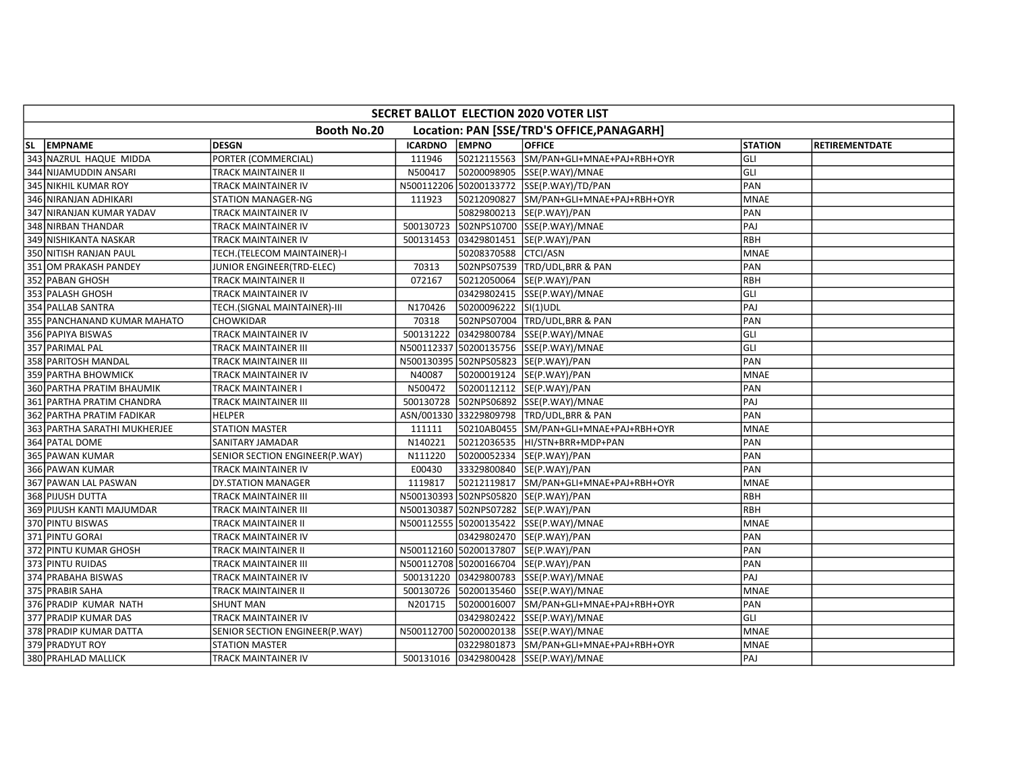| SECRET BALLOT ELECTION 2020 VOTER LIST |                                |                |                      |                                            |                |                       |  |  |  |
|----------------------------------------|--------------------------------|----------------|----------------------|--------------------------------------------|----------------|-----------------------|--|--|--|
|                                        | Booth No.20                    |                |                      | Location: PAN [SSE/TRD'S OFFICE, PANAGARH] |                |                       |  |  |  |
| SL EMPNAME                             | <b>DESGN</b>                   | <b>ICARDNO</b> | <b>EMPNO</b>         | <b>OFFICE</b>                              | <b>STATION</b> | <b>RETIREMENTDATE</b> |  |  |  |
| 343 NAZRUL HAQUE MIDDA                 | PORTER (COMMERCIAL)            | 111946         |                      | 50212115563 SM/PAN+GLI+MNAE+PAJ+RBH+OYR    | GLI            |                       |  |  |  |
| 344 NIJAMUDDIN ANSARI                  | TRACK MAINTAINER II            | N500417        |                      | 50200098905 SSE(P.WAY)/MNAE                | GLI            |                       |  |  |  |
| 345 NIKHIL KUMAR ROY                   | TRACK MAINTAINER IV            |                |                      | N500112206 50200133772 SSE(P.WAY)/TD/PAN   | PAN            |                       |  |  |  |
| 346 NIRANJAN ADHIKARI                  | STATION MANAGER-NG             | 111923         |                      | 50212090827 SM/PAN+GLI+MNAE+PAJ+RBH+OYR    | <b>MNAE</b>    |                       |  |  |  |
| 347 NIRANJAN KUMAR YADAV               | TRACK MAINTAINER IV            |                |                      | 50829800213 SE(P.WAY)/PAN                  | PAN            |                       |  |  |  |
| 348 NIRBAN THANDAR                     | TRACK MAINTAINER IV            | 500130723      |                      | 502NPS10700 SSE(P.WAY)/MNAE                | PAJ            |                       |  |  |  |
| 349 NISHIKANTA NASKAR                  | TRACK MAINTAINER IV            | 500131453      |                      | 03429801451 SE(P.WAY)/PAN                  | RBH            |                       |  |  |  |
| 350 NITISH RANJAN PAUL                 | TECH.(TELECOM MAINTAINER)-I    |                | 50208370588 CTCI/ASN |                                            | <b>MNAE</b>    |                       |  |  |  |
| 351 OM PRAKASH PANDEY                  | JUNIOR ENGINEER(TRD-ELEC)      | 70313          |                      | 502NPS07539 TRD/UDL, BRR & PAN             | PAN            |                       |  |  |  |
| 352 PABAN GHOSH                        | TRACK MAINTAINER II            | 072167         |                      | 50212050064 SE(P.WAY)/PAN                  | RBH            |                       |  |  |  |
| 353 PALASH GHOSH                       | TRACK MAINTAINER IV            |                |                      | 03429802415 SSE(P.WAY)/MNAE                | GLI            |                       |  |  |  |
| 354 PALLAB SANTRA                      | TECH.(SIGNAL MAINTAINER)-III   | N170426        | 50200096222 SI(1)UDL |                                            | PAJ            |                       |  |  |  |
| 355 PANCHANAND KUMAR MAHATO            | CHOWKIDAR                      | 70318          |                      | 502NPS07004 TRD/UDL, BRR & PAN             | PAN            |                       |  |  |  |
| 356 PAPIYA BISWAS                      | TRACK MAINTAINER IV            | 500131222      |                      | 03429800784 SSE(P.WAY)/MNAE                | GLI            |                       |  |  |  |
| 357 PARIMAL PAL                        | TRACK MAINTAINER III           |                |                      | N500112337 50200135756 SSE(P.WAY)/MNAE     | GLI            |                       |  |  |  |
| 358 PARITOSH MANDAL                    | TRACK MAINTAINER III           |                |                      | N500130395 502NPS05823 SE(P.WAY)/PAN       | PAN            |                       |  |  |  |
| 359 PARTHA BHOWMICK                    | TRACK MAINTAINER IV            | N40087         |                      | 50200019124  SE(P.WAY)/PAN                 | <b>MNAE</b>    |                       |  |  |  |
| 360 PARTHA PRATIM BHAUMIK              | TRACK MAINTAINER I             | N500472        |                      | 50200112112  SE(P.WAY)/PAN                 | PAN            |                       |  |  |  |
| 361 PARTHA PRATIM CHANDRA              | TRACK MAINTAINER III           | 500130728      |                      | 502NPS06892 SSE(P.WAY)/MNAE                | PAJ            |                       |  |  |  |
| 362 PARTHA PRATIM FADIKAR              | <b>HELPER</b>                  | ASN/001330     |                      | 33229809798 TRD/UDL, BRR & PAN             | PAN            |                       |  |  |  |
| 363 PARTHA SARATHI MUKHERJEE           | <b>STATION MASTER</b>          | 111111         |                      | 50210AB0455 SM/PAN+GLI+MNAE+PAJ+RBH+OYR    | <b>MNAE</b>    |                       |  |  |  |
| 364 PATAL DOME                         | SANITARY JAMADAR               | N140221        |                      | 50212036535 HI/STN+BRR+MDP+PAN             | PAN            |                       |  |  |  |
| 365 PAWAN KUMAR                        | SENIOR SECTION ENGINEER(P.WAY) | N111220        |                      | 50200052334 SE(P.WAY)/PAN                  | PAN            |                       |  |  |  |
| 366 PAWAN KUMAR                        | TRACK MAINTAINER IV            | E00430         |                      | 33329800840 SE(P.WAY)/PAN                  | PAN            |                       |  |  |  |
| 367 PAWAN LAL PASWAN                   | DY.STATION MANAGER             | 1119817        |                      | 50212119817 SM/PAN+GLI+MNAE+PAJ+RBH+OYR    | <b>MNAE</b>    |                       |  |  |  |
| 368 PIJUSH DUTTA                       | TRACK MAINTAINER III           |                |                      | N500130393 502NPS05820 SE(P.WAY)/PAN       | RBH            |                       |  |  |  |
| 369 PIJUSH KANTI MAJUMDAR              | TRACK MAINTAINER III           |                |                      | N500130387 502NPS07282 SE(P.WAY)/PAN       | RBH            |                       |  |  |  |
| 370 PINTU BISWAS                       | TRACK MAINTAINER II            |                |                      | N500112555 50200135422 SSE(P.WAY)/MNAE     | <b>MNAE</b>    |                       |  |  |  |
| 371 PINTU GORAI                        | TRACK MAINTAINER IV            |                |                      | 03429802470 SE(P.WAY)/PAN                  | PAN            |                       |  |  |  |
| 372 PINTU KUMAR GHOSH                  | TRACK MAINTAINER II            |                |                      | N500112160 50200137807 SE(P.WAY)/PAN       | PAN            |                       |  |  |  |
| 373 PINTU RUIDAS                       | TRACK MAINTAINER III           |                |                      | N500112708 50200166704 SE(P.WAY)/PAN       | PAN            |                       |  |  |  |
| 374 PRABAHA BISWAS                     | TRACK MAINTAINER IV            | 500131220      |                      | 03429800783 SSE(P.WAY)/MNAE                | PAJ            |                       |  |  |  |
| 375 PRABIR SAHA                        | TRACK MAINTAINER II            | 500130726      |                      | 50200135460 SSE(P.WAY)/MNAE                | <b>MNAE</b>    |                       |  |  |  |
| 376 PRADIP KUMAR NATH                  | <b>SHUNT MAN</b>               | N201715        |                      | 50200016007 SM/PAN+GLI+MNAE+PAJ+RBH+OYR    | PAN            |                       |  |  |  |
| 377 PRADIP KUMAR DAS                   | TRACK MAINTAINER IV            |                |                      | 03429802422 SSE(P.WAY)/MNAE                | GLI            |                       |  |  |  |
| 378 PRADIP KUMAR DATTA                 | SENIOR SECTION ENGINEER(P.WAY) |                |                      | N500112700 50200020138 SSE(P.WAY)/MNAE     | <b>MNAE</b>    |                       |  |  |  |
| 379 PRADYUT ROY                        | <b>STATION MASTER</b>          |                |                      | 03229801873 SM/PAN+GLI+MNAE+PAJ+RBH+OYR    | <b>MNAE</b>    |                       |  |  |  |
| 380 PRAHLAD MALLICK                    | TRACK MAINTAINER IV            |                |                      | 500131016 03429800428 SSE(P.WAY)/MNAE      | PAJ            |                       |  |  |  |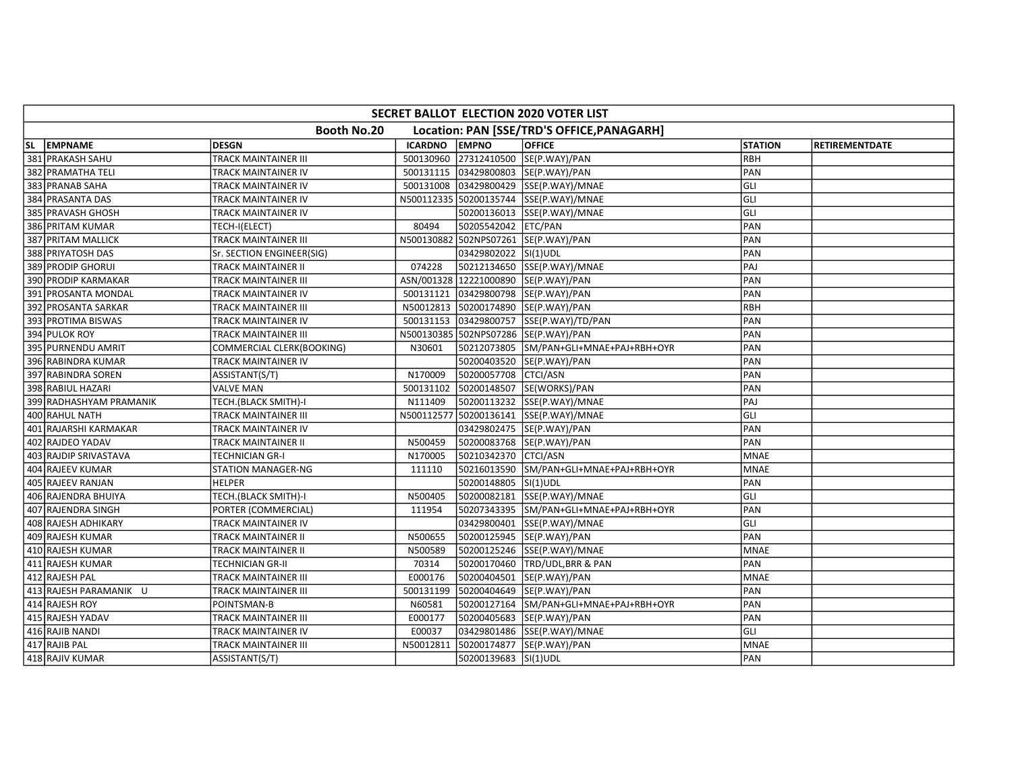| Booth No.20<br>Location: PAN [SSE/TRD'S OFFICE, PANAGARH]<br>SL EMPNAME<br><b>DESGN</b><br><b>ICARDNO</b><br><b>EMPNO</b><br><b>OFFICE</b><br><b>STATION</b> | <b>RETIREMENTDATE</b> |
|--------------------------------------------------------------------------------------------------------------------------------------------------------------|-----------------------|
|                                                                                                                                                              |                       |
|                                                                                                                                                              |                       |
| 381 PRAKASH SAHU<br>TRACK MAINTAINER III<br>500130960<br>27312410500 SE(P.WAY)/PAN<br><b>RBH</b>                                                             |                       |
| 500131115 03429800803 SE(P.WAY)/PAN<br>PAN<br>382 PRAMATHA TELI<br>TRACK MAINTAINER IV                                                                       |                       |
| GLI<br>383 PRANAB SAHA<br>03429800429 SSE(P.WAY)/MNAE<br>TRACK MAINTAINER IV<br>500131008                                                                    |                       |
| GLI<br>384 PRASANTA DAS<br>N500112335 50200135744 SSE(P.WAY)/MNAE<br>TRACK MAINTAINER IV                                                                     |                       |
| GLI<br>385 PRAVASH GHOSH<br>50200136013 SSE(P.WAY)/MNAE<br>TRACK MAINTAINER IV                                                                               |                       |
| 386 PRITAM KUMAR<br>80494<br>50205542042 ETC/PAN<br>PAN<br>TECH-I(ELECT)                                                                                     |                       |
| PAN<br>387 PRITAM MALLICK<br>TRACK MAINTAINER III<br>N500130882<br>502NPS07261 SE(P.WAY)/PAN                                                                 |                       |
| PAN<br>388 PRIYATOSH DAS<br>03429802022 SI(1)UDL<br>Sr. SECTION ENGINEER(SIG)                                                                                |                       |
| 074228<br>50212134650 SSE(P.WAY)/MNAE<br>PAJ<br>389 PRODIP GHORUI<br>TRACK MAINTAINER II                                                                     |                       |
| ASN/001328 12221000890 SE(P.WAY)/PAN<br>PAN<br>390 PRODIP KARMAKAR<br>TRACK MAINTAINER III                                                                   |                       |
| 03429800798 SE(P.WAY)/PAN<br>391 PROSANTA MONDAL<br>500131121<br>PAN<br>TRACK MAINTAINER IV                                                                  |                       |
| <b>RBH</b><br>392 PROSANTA SARKAR<br>TRACK MAINTAINER III<br>N50012813<br>50200174890 SE(P.WAY)/PAN                                                          |                       |
| PAN<br>500131153<br>03429800757 SSE(P.WAY)/TD/PAN<br>393 PROTIMA BISWAS<br>TRACK MAINTAINER IV                                                               |                       |
| N500130385 502NPS07286 SE(P.WAY)/PAN<br>PAN<br>394 PULOK ROY<br>TRACK MAINTAINER III                                                                         |                       |
| 395 PURNENDU AMRIT<br>COMMERCIAL CLERK(BOOKING)<br>50212073805 SM/PAN+GLI+MNAE+PAJ+RBH+OYR<br>PAN<br>N30601                                                  |                       |
| 396 RABINDRA KUMAR<br>50200403520 SE(P.WAY)/PAN<br>PAN<br>TRACK MAINTAINER IV                                                                                |                       |
| N170009<br>50200057708 CTCI/ASN<br>PAN<br>397 RABINDRA SOREN<br>ASSISTANT(S/T)                                                                               |                       |
| PAN<br>398 RABIUL HAZARI<br><b>VALVE MAN</b><br>500131102<br>50200148507 SE(WORKS)/PAN                                                                       |                       |
| PAJ<br>399 RADHASHYAM PRAMANIK<br>TECH.(BLACK SMITH)-I<br>N111409<br>50200113232 SSE(P.WAY)/MNAE                                                             |                       |
| 50200136141 SSE(P.WAY)/MNAE<br>GLI<br>400 RAHUL NATH<br>TRACK MAINTAINER III<br>N500112577                                                                   |                       |
| PAN<br>401 RAJARSHI KARMAKAR<br>TRACK MAINTAINER IV<br>03429802475  SE(P.WAY)/PAN                                                                            |                       |
| PAN<br>402 RAJDEO YADAV<br>N500459<br>50200083768 SE(P.WAY)/PAN<br>TRACK MAINTAINER II                                                                       |                       |
| 50210342370 CTCI/ASN<br><b>MNAE</b><br>403 RAJDIP SRIVASTAVA<br>TECHNICIAN GR-I<br>N170005                                                                   |                       |
| <b>MNAE</b><br>404 RAJEEV KUMAR<br><b>STATION MANAGER-NG</b><br>111110<br>50216013590 SM/PAN+GLI+MNAE+PAJ+RBH+OYR                                            |                       |
| 405 RAJEEV RANJAN<br><b>HELPER</b><br>50200148805 SI(1)UDL<br>PAN                                                                                            |                       |
| 50200082181 SSE(P.WAY)/MNAE<br>GLI<br>406 RAJENDRA BHUIYA<br>TECH.(BLACK SMITH)-I<br>N500405                                                                 |                       |
| PAN<br>407 RAJENDRA SINGH<br>111954<br>PORTER (COMMERCIAL)                                                                                                   |                       |
| GLI<br>03429800401 SSE(P.WAY)/MNAE<br>408 RAJESH ADHIKARY<br>TRACK MAINTAINER IV                                                                             |                       |
| PAN<br>409 RAJESH KUMAR<br>N500655<br>50200125945 SE(P.WAY)/PAN<br>TRACK MAINTAINER II                                                                       |                       |
| 410 RAJESH KUMAR<br>N500589<br>50200125246 SSE(P.WAY)/MNAE<br><b>MNAE</b><br>TRACK MAINTAINER II                                                             |                       |
| 70314<br>50200170460 TRD/UDL, BRR & PAN<br>PAN<br>411 RAJESH KUMAR<br>TECHNICIAN GR-II                                                                       |                       |
| 412 RAJESH PAL<br>E000176<br>50200404501 SE(P.WAY)/PAN<br><b>MNAE</b><br>TRACK MAINTAINER III                                                                |                       |
| 413 RAJESH PARAMANIK U<br>500131199<br>50200404649 SE(P.WAY)/PAN<br>PAN<br>TRACK MAINTAINER III                                                              |                       |
| 414 RAJESH ROY<br>POINTSMAN-B<br>N60581<br>50200127164 SM/PAN+GLI+MNAE+PAJ+RBH+OYR<br>PAN                                                                    |                       |
| 415 RAJESH YADAV<br>50200405683 SE(P.WAY)/PAN<br>PAN<br>TRACK MAINTAINER III<br>E000177                                                                      |                       |
| GLI<br>416 RAJIB NANDI<br>TRACK MAINTAINER IV<br>E00037<br>03429801486 SSE(P.WAY)/MNAE                                                                       |                       |
| 417 RAJIB PAL<br>N50012811<br>50200174877 SE(P.WAY)/PAN<br><b>MNAE</b><br>TRACK MAINTAINER III                                                               |                       |
| 418 RAJIV KUMAR<br>PAN<br>ASSISTANT(S/T)<br>50200139683 SI(1)UDL                                                                                             |                       |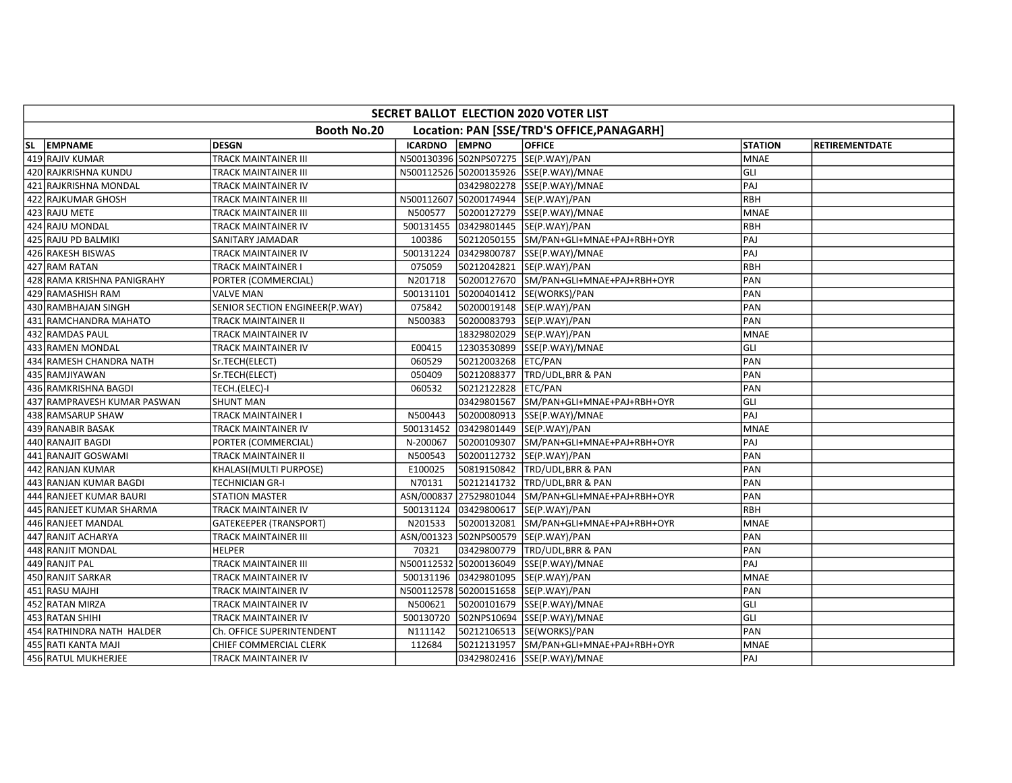| SECRET BALLOT ELECTION 2020 VOTER LIST                    |                                |                |                     |                                         |                |                       |  |  |  |  |
|-----------------------------------------------------------|--------------------------------|----------------|---------------------|-----------------------------------------|----------------|-----------------------|--|--|--|--|
| Booth No.20<br>Location: PAN [SSE/TRD'S OFFICE, PANAGARH] |                                |                |                     |                                         |                |                       |  |  |  |  |
| SL EMPNAME                                                | <b>DESGN</b>                   | <b>ICARDNO</b> | <b>EMPNO</b>        | <b>OFFICE</b>                           | <b>STATION</b> | <b>RETIREMENTDATE</b> |  |  |  |  |
| 419 RAJIV KUMAR                                           | TRACK MAINTAINER III           |                |                     | N500130396 502NPS07275 SE(P.WAY)/PAN    | <b>MNAE</b>    |                       |  |  |  |  |
| 420 RAJKRISHNA KUNDU                                      | TRACK MAINTAINER III           |                |                     | N500112526 50200135926 SSE(P.WAY)/MNAE  | GLI            |                       |  |  |  |  |
| 421 RAJKRISHNA MONDAL                                     | TRACK MAINTAINER IV            |                |                     | 03429802278 SSE(P.WAY)/MNAE             | PAJ            |                       |  |  |  |  |
| 422 RAJKUMAR GHOSH                                        | TRACK MAINTAINER III           |                |                     | N500112607 50200174944 SE(P.WAY)/PAN    | RBH            |                       |  |  |  |  |
| 423 RAJU METE                                             | TRACK MAINTAINER III           | N500577        |                     | 50200127279 SSE(P.WAY)/MNAE             | <b>MNAE</b>    |                       |  |  |  |  |
| 424 RAJU MONDAL                                           | TRACK MAINTAINER IV            | 500131455      |                     | 03429801445 SE(P.WAY)/PAN               | <b>RBH</b>     |                       |  |  |  |  |
| 425 RAJU PD BALMIKI                                       | SANITARY JAMADAR               | 100386         |                     | 50212050155 SM/PAN+GLI+MNAE+PAJ+RBH+OYR | PAJ            |                       |  |  |  |  |
| 426 RAKESH BISWAS                                         | TRACK MAINTAINER IV            | 500131224      |                     | 03429800787 SSE(P.WAY)/MNAE             | PAJ            |                       |  |  |  |  |
| 427 RAM RATAN                                             | TRACK MAINTAINER I             | 075059         |                     | 50212042821 SE(P.WAY)/PAN               | RBH            |                       |  |  |  |  |
| 428 RAMA KRISHNA PANIGRAHY                                | PORTER (COMMERCIAL)            | N201718        |                     | 50200127670 SM/PAN+GLI+MNAE+PAJ+RBH+OYR | PAN            |                       |  |  |  |  |
| 429 RAMASHISH RAM                                         | VALVE MAN                      | 500131101      |                     | 50200401412  SE(WORKS)/PAN              | PAN            |                       |  |  |  |  |
| 430 RAMBHAJAN SINGH                                       | SENIOR SECTION ENGINEER(P.WAY) | 075842         |                     | 50200019148 SE(P.WAY)/PAN               | PAN            |                       |  |  |  |  |
| 431 RAMCHANDRA MAHATO                                     | TRACK MAINTAINER II            | N500383        |                     | 50200083793 SE(P.WAY)/PAN               | PAN            |                       |  |  |  |  |
| 432 RAMDAS PAUL                                           | TRACK MAINTAINER IV            |                |                     | 18329802029 SE(P.WAY)/PAN               | <b>MNAE</b>    |                       |  |  |  |  |
| 433 RAMEN MONDAL                                          | TRACK MAINTAINER IV            | E00415         |                     | 12303530899 SSE(P.WAY)/MNAE             | GLI            |                       |  |  |  |  |
| 434 RAMESH CHANDRA NATH                                   | Sr.TECH(ELECT)                 | 060529         | 50212003268 ETC/PAN |                                         | PAN            |                       |  |  |  |  |
| 435 RAMJIYAWAN                                            | Sr.TECH(ELECT)                 | 050409         |                     | 50212088377 TRD/UDL,BRR & PAN           | PAN            |                       |  |  |  |  |
| 436 RAMKRISHNA BAGDI                                      | TECH.(ELEC)-I                  | 060532         | 50212122828 ETC/PAN |                                         | PAN            |                       |  |  |  |  |
| 437 RAMPRAVESH KUMAR PASWAN                               | <b>SHUNT MAN</b>               |                |                     | 03429801567 SM/PAN+GLI+MNAE+PAJ+RBH+OYR | GLI            |                       |  |  |  |  |
| 438 RAMSARUP SHAW                                         | <b>TRACK MAINTAINER I</b>      | N500443        |                     | 50200080913 SSE(P.WAY)/MNAE             | PAJ            |                       |  |  |  |  |
| 439 RANABIR BASAK                                         | TRACK MAINTAINER IV            | 500131452      |                     | 03429801449 SE(P.WAY)/PAN               | <b>MNAE</b>    |                       |  |  |  |  |
| 440 RANAJIT BAGDI                                         | PORTER (COMMERCIAL)            | N-200067       |                     | 50200109307 SM/PAN+GLI+MNAE+PAJ+RBH+OYR | PAJ            |                       |  |  |  |  |
| 441 RANAJIT GOSWAMI                                       | TRACK MAINTAINER II            | N500543        |                     | 50200112732  SE(P.WAY)/PAN              | PAN            |                       |  |  |  |  |
| 442 RANJAN KUMAR                                          | KHALASI(MULTI PURPOSE)         | E100025        |                     | 50819150842 TRD/UDL,BRR & PAN           | PAN            |                       |  |  |  |  |
| 443 RANJAN KUMAR BAGDI                                    | TECHNICIAN GR-I                | N70131         |                     | 50212141732 TRD/UDL,BRR & PAN           | PAN            |                       |  |  |  |  |
| 444 RANJEET KUMAR BAURI                                   | <b>STATION MASTER</b>          | ASN/000837     |                     | 27529801044 SM/PAN+GLI+MNAE+PAJ+RBH+OYR | PAN            |                       |  |  |  |  |
| 445 RANJEET KUMAR SHARMA                                  | TRACK MAINTAINER IV            | 500131124      |                     | 03429800617  SE(P.WAY)/PAN              | RBH            |                       |  |  |  |  |
| 446 RANJEET MANDAL                                        | <b>GATEKEEPER (TRANSPORT)</b>  | N201533        |                     | 50200132081 SM/PAN+GLI+MNAE+PAJ+RBH+OYR | <b>MNAE</b>    |                       |  |  |  |  |
| 447 RANJIT ACHARYA                                        | TRACK MAINTAINER III           |                |                     | ASN/001323 502NPS00579 SE(P.WAY)/PAN    | PAN            |                       |  |  |  |  |
| 448 RANJIT MONDAL                                         | <b>HELPER</b>                  | 70321          |                     | 03429800779 TRD/UDL, BRR & PAN          | PAN            |                       |  |  |  |  |
| 449 RANJIT PAL                                            | TRACK MAINTAINER III           |                |                     | N500112532 50200136049 SSE(P.WAY)/MNAE  | PAJ            |                       |  |  |  |  |
| 450 RANJIT SARKAR                                         | TRACK MAINTAINER IV            | 500131196      |                     | 03429801095  SE(P.WAY)/PAN              | <b>MNAE</b>    |                       |  |  |  |  |
| 451 RASU MAJHI                                            | TRACK MAINTAINER IV            |                |                     | N500112578 50200151658 SE(P.WAY)/PAN    | PAN            |                       |  |  |  |  |
| 452 RATAN MIRZA                                           | TRACK MAINTAINER IV            | N500621        |                     | 50200101679 SSE(P.WAY)/MNAE             | GLI            |                       |  |  |  |  |
| 453 RATAN SHIHI                                           | TRACK MAINTAINER IV            | 500130720      |                     | 502NPS10694 SSE(P.WAY)/MNAE             | GLI            |                       |  |  |  |  |
| 454 RATHINDRA NATH HALDER                                 | Ch. OFFICE SUPERINTENDENT      | N111142        |                     | 50212106513 SE(WORKS)/PAN               | PAN            |                       |  |  |  |  |
| 455 RATI KANTA MAJI                                       | CHIEF COMMERCIAL CLERK         | 112684         |                     | 50212131957 SM/PAN+GLI+MNAE+PAJ+RBH+OYR | <b>MNAE</b>    |                       |  |  |  |  |
| 456 RATUL MUKHERJEE                                       | TRACK MAINTAINER IV            |                |                     | 03429802416 SSE(P.WAY)/MNAE             | PAJ            |                       |  |  |  |  |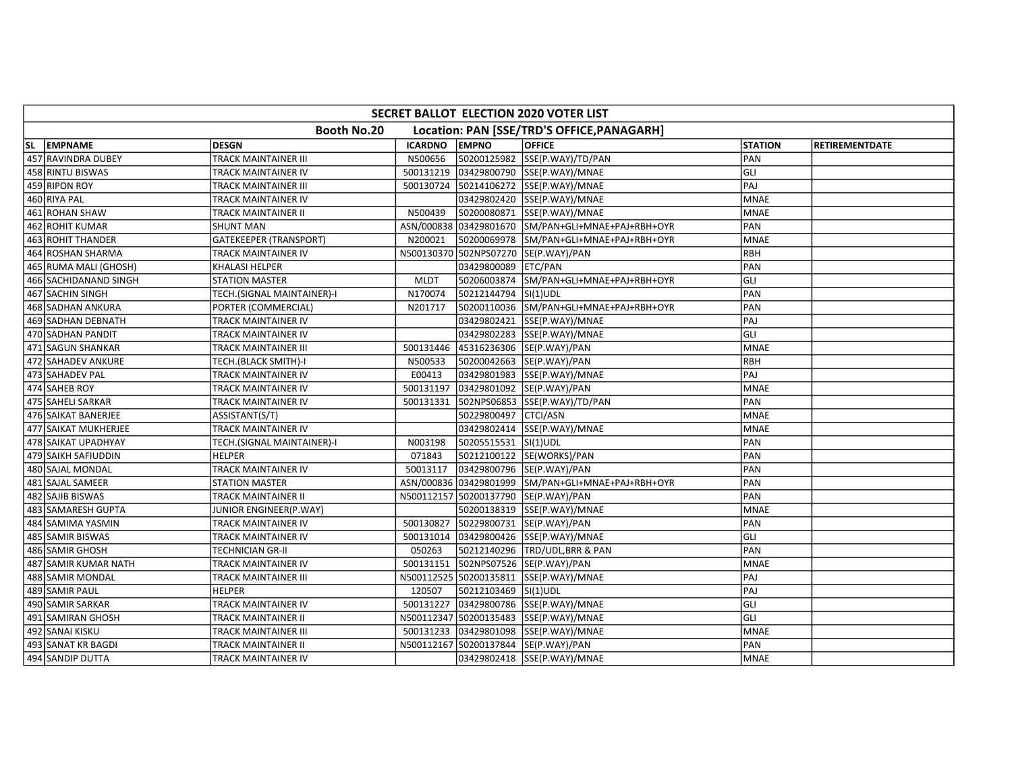| SECRET BALLOT ELECTION 2020 VOTER LIST                    |                               |                |                      |                                                    |                |                       |  |  |  |
|-----------------------------------------------------------|-------------------------------|----------------|----------------------|----------------------------------------------------|----------------|-----------------------|--|--|--|
| Booth No.20<br>Location: PAN [SSE/TRD'S OFFICE, PANAGARH] |                               |                |                      |                                                    |                |                       |  |  |  |
| SL EMPNAME                                                | DESGN                         | <b>ICARDNO</b> | <b>EMPNO</b>         | <b>OFFICE</b>                                      | <b>STATION</b> | <b>RETIREMENTDATE</b> |  |  |  |
| 457 RAVINDRA DUBEY                                        | <b>TRACK MAINTAINER III</b>   | N500656        |                      | 50200125982 SSE(P.WAY)/TD/PAN                      | PAN            |                       |  |  |  |
| 458 RINTU BISWAS                                          | TRACK MAINTAINER IV           | 500131219      |                      | 03429800790 SSE(P.WAY)/MNAE                        | GLI            |                       |  |  |  |
| 459 RIPON ROY                                             | TRACK MAINTAINER III          | 500130724      |                      | 50214106272 SSE(P.WAY)/MNAE                        | PAJ            |                       |  |  |  |
| 460 RIYA PAL                                              | TRACK MAINTAINER IV           |                |                      | 03429802420 SSE(P.WAY)/MNAE                        | <b>MNAE</b>    |                       |  |  |  |
| 461 ROHAN SHAW                                            | TRACK MAINTAINER II           | N500439        |                      | 50200080871 SSE(P.WAY)/MNAE                        | <b>MNAE</b>    |                       |  |  |  |
| 462 ROHIT KUMAR                                           | <b>SHUNT MAN</b>              |                |                      | ASN/000838 03429801670 SM/PAN+GLI+MNAE+PAJ+RBH+OYR | PAN            |                       |  |  |  |
| 463 ROHIT THANDER                                         | <b>GATEKEEPER (TRANSPORT)</b> | N200021        |                      | 50200069978 SM/PAN+GLI+MNAE+PAJ+RBH+OYR            | <b>MNAE</b>    |                       |  |  |  |
| 464 ROSHAN SHARMA                                         | TRACK MAINTAINER IV           |                |                      | N500130370 502NPS07270 SE(P.WAY)/PAN               | RBH            |                       |  |  |  |
| 465 RUMA MALI (GHOSH)                                     | KHALASI HELPER                |                | 03429800089 ETC/PAN  |                                                    | PAN            |                       |  |  |  |
| 466 SACHIDANAND SINGH                                     | <b>STATION MASTER</b>         | <b>MLDT</b>    |                      | 50206003874 SM/PAN+GLI+MNAE+PAJ+RBH+OYR            | GLI            |                       |  |  |  |
| 467 SACHIN SINGH                                          | TECH.(SIGNAL MAINTAINER)-I    | N170074        | 50212144794 SI(1)UDL |                                                    | PAN            |                       |  |  |  |
| 468 SADHAN ANKURA                                         | PORTER (COMMERCIAL)           | N201717        |                      | 50200110036 SM/PAN+GLI+MNAE+PAJ+RBH+OYR            | PAN            |                       |  |  |  |
| 469 SADHAN DEBNATH                                        | TRACK MAINTAINER IV           |                |                      | 03429802421 SSE(P.WAY)/MNAE                        | PAJ            |                       |  |  |  |
| 470 SADHAN PANDIT                                         | TRACK MAINTAINER IV           |                |                      | 03429802283 SSE(P.WAY)/MNAE                        | GLI            |                       |  |  |  |
| 471 SAGUN SHANKAR                                         | TRACK MAINTAINER III          | 500131446      |                      | 45316236306 SE(P.WAY)/PAN                          | <b>MNAE</b>    |                       |  |  |  |
| 472 SAHADEV ANKURE                                        | TECH.(BLACK SMITH)-I          | N500533        |                      | 50200042663 SE(P.WAY)/PAN                          | <b>RBH</b>     |                       |  |  |  |
| 473 SAHADEV PAL                                           | TRACK MAINTAINER IV           | E00413         |                      | 03429801983 SSE(P.WAY)/MNAE                        | PAJ            |                       |  |  |  |
| 474 SAHEB ROY                                             | TRACK MAINTAINER IV           | 500131197      |                      | 03429801092 SE(P.WAY)/PAN                          | <b>MNAE</b>    |                       |  |  |  |
| 475 SAHELI SARKAR                                         | TRACK MAINTAINER IV           | 500131331      |                      | 502NPS06853 SSE(P.WAY)/TD/PAN                      | PAN            |                       |  |  |  |
| 476 SAIKAT BANERJEE                                       | ASSISTANT(S/T)                |                | 50229800497 CTCI/ASN |                                                    | <b>MNAE</b>    |                       |  |  |  |
| 477 SAIKAT MUKHERJEE                                      | TRACK MAINTAINER IV           |                |                      | 03429802414 SSE(P.WAY)/MNAE                        | <b>MNAE</b>    |                       |  |  |  |
| 478 SAIKAT UPADHYAY                                       | TECH.(SIGNAL MAINTAINER)-I    | N003198        | 50205515531 SI(1)UDL |                                                    | PAN            |                       |  |  |  |
| 479 SAIKH SAFIUDDIN                                       | <b>HELPER</b>                 | 071843         |                      | 50212100122 SE(WORKS)/PAN                          | PAN            |                       |  |  |  |
| 480 SAJAL MONDAL                                          | <b>TRACK MAINTAINER IV</b>    | 50013117       |                      | 03429800796 SE(P.WAY)/PAN                          | PAN            |                       |  |  |  |
| 481 SAJAL SAMEER                                          | <b>STATION MASTER</b>         |                |                      | ASN/000836 03429801999 SM/PAN+GLI+MNAE+PAJ+RBH+OYR | PAN            |                       |  |  |  |
| 482 SAJIB BISWAS                                          | TRACK MAINTAINER II           |                |                      | N500112157 50200137790 SE(P.WAY)/PAN               | PAN            |                       |  |  |  |
| 483 SAMARESH GUPTA                                        | JUNIOR ENGINEER(P.WAY)        |                |                      | 50200138319 SSE(P.WAY)/MNAE                        | <b>MNAE</b>    |                       |  |  |  |
| 484 SAMIMA YASMIN                                         | TRACK MAINTAINER IV           | 500130827      |                      | 50229800731 SE(P.WAY)/PAN                          | PAN            |                       |  |  |  |
| 485 SAMIR BISWAS                                          | TRACK MAINTAINER IV           | 500131014      |                      | 03429800426 SSE(P.WAY)/MNAE                        | lgul           |                       |  |  |  |
| 486 SAMIR GHOSH                                           | TECHNICIAN GR-II              | 050263         |                      | 50212140296 TRD/UDL, BRR & PAN                     | PAN            |                       |  |  |  |
| 487 SAMIR KUMAR NATH                                      | TRACK MAINTAINER IV           | 500131151      |                      | 502NPS07526 SE(P.WAY)/PAN                          | <b>MNAE</b>    |                       |  |  |  |
| 488 SAMIR MONDAL                                          | TRACK MAINTAINER III          |                |                      | N500112525 50200135811 SSE(P.WAY)/MNAE             | PAJ            |                       |  |  |  |
| 489 SAMIR PAUL                                            | <b>HELPER</b>                 | 120507         | 50212103469 SI(1)UDL |                                                    | PAJ            |                       |  |  |  |
| 490 SAMIR SARKAR                                          | TRACK MAINTAINER IV           | 500131227      |                      | 03429800786 SSE(P.WAY)/MNAE                        | GLI            |                       |  |  |  |
| 491 SAMIRAN GHOSH                                         | TRACK MAINTAINER II           |                |                      | N500112347 50200135483 SSE(P.WAY)/MNAE             | lgul           |                       |  |  |  |
| 492 SANAI KISKU                                           | TRACK MAINTAINER III          | 500131233      |                      | 03429801098 SSE(P.WAY)/MNAE                        | <b>MNAE</b>    |                       |  |  |  |
| 493 SANAT KR BAGDI                                        | TRACK MAINTAINER II           |                |                      | N500112167 50200137844 SE(P.WAY)/PAN               | PAN            |                       |  |  |  |
| 494 SANDIP DUTTA                                          | TRACK MAINTAINER IV           |                |                      | 03429802418 SSE(P.WAY)/MNAE                        | <b>MNAE</b>    |                       |  |  |  |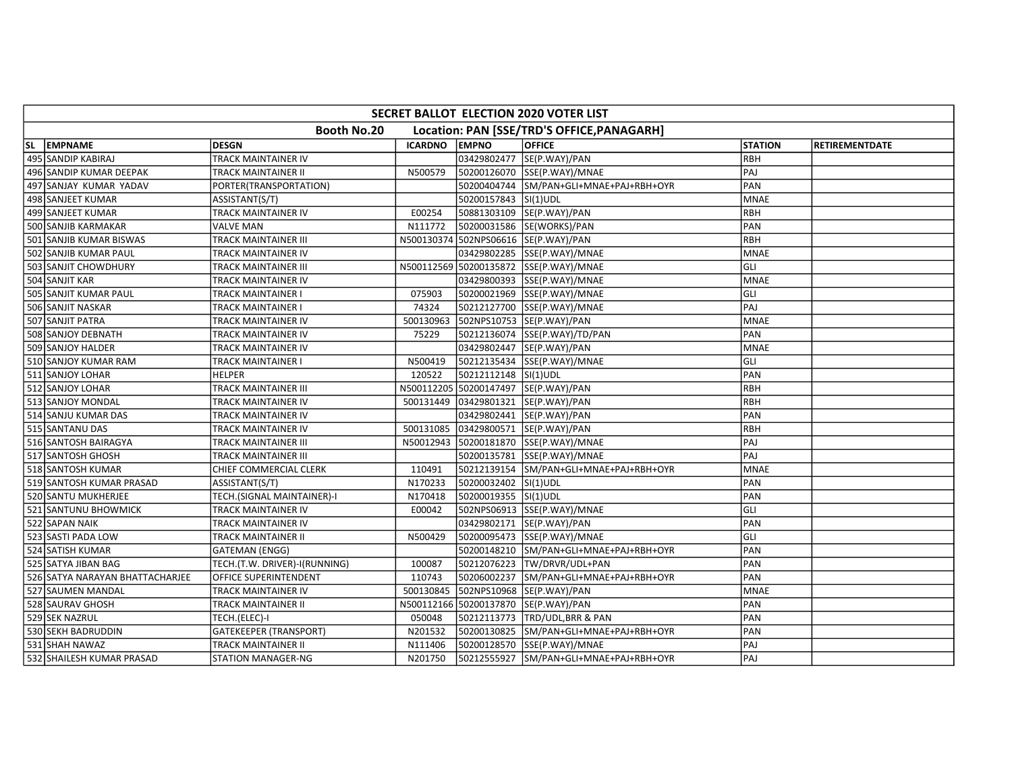| SECRET BALLOT ELECTION 2020 VOTER LIST                    |                               |                |                      |                                         |                |                       |  |  |  |
|-----------------------------------------------------------|-------------------------------|----------------|----------------------|-----------------------------------------|----------------|-----------------------|--|--|--|
| Booth No.20<br>Location: PAN [SSE/TRD'S OFFICE, PANAGARH] |                               |                |                      |                                         |                |                       |  |  |  |
| SL EMPNAME                                                | <b>DESGN</b>                  | <b>ICARDNO</b> | <b>EMPNO</b>         | <b>OFFICE</b>                           | <b>STATION</b> | <b>RETIREMENTDATE</b> |  |  |  |
| 495 SANDIP KABIRAJ                                        | <b>TRACK MAINTAINER IV</b>    |                |                      | 03429802477  SE(P.WAY)/PAN              | RBH            |                       |  |  |  |
| 496 SANDIP KUMAR DEEPAK                                   | TRACK MAINTAINER II           | N500579        |                      | 50200126070 SSE(P.WAY)/MNAE             | PAJ            |                       |  |  |  |
| 497 SANJAY KUMAR YADAV                                    | PORTER(TRANSPORTATION)        |                |                      | 50200404744 SM/PAN+GLI+MNAE+PAJ+RBH+OYR | PAN            |                       |  |  |  |
| 498 SANJEET KUMAR                                         | ASSISTANT(S/T)                |                | 50200157843 SI(1)UDL |                                         | <b>MNAE</b>    |                       |  |  |  |
| 499 SANJEET KUMAR                                         | TRACK MAINTAINER IV           | E00254         |                      | 50881303109 SE(P.WAY)/PAN               | RBH            |                       |  |  |  |
| 500 SANJIB KARMAKAR                                       | <b>VALVE MAN</b>              | N111772        |                      | 50200031586 SE(WORKS)/PAN               | PAN            |                       |  |  |  |
| 501 SANJIB KUMAR BISWAS                                   | TRACK MAINTAINER III          | N500130374     |                      | 502NPS06616 SE(P.WAY)/PAN               | RBH            |                       |  |  |  |
| 502 SANJIB KUMAR PAUL                                     | TRACK MAINTAINER IV           |                |                      | 03429802285 SSE(P.WAY)/MNAE             | MNAE           |                       |  |  |  |
| 503 SANJIT CHOWDHURY                                      | TRACK MAINTAINER III          |                |                      | N500112569 50200135872 SSE(P.WAY)/MNAE  | GLI            |                       |  |  |  |
| 504 SANJIT KAR                                            | TRACK MAINTAINER IV           |                |                      | 03429800393 SSE(P.WAY)/MNAE             | <b>MNAE</b>    |                       |  |  |  |
| 505 SANJIT KUMAR PAUL                                     | TRACK MAINTAINER I            | 075903         |                      | 50200021969 SSE(P.WAY)/MNAE             | GLI            |                       |  |  |  |
| 506 SANJIT NASKAR                                         | TRACK MAINTAINER I            | 74324          |                      | 50212127700 SSE(P.WAY)/MNAE             | PAJ            |                       |  |  |  |
| 507 SANJIT PATRA                                          | TRACK MAINTAINER IV           | 500130963      |                      | 502NPS10753 SE(P.WAY)/PAN               | <b>MNAE</b>    |                       |  |  |  |
| 508 SANJOY DEBNATH                                        | TRACK MAINTAINER IV           | 75229          |                      | 50212136074 SSE(P.WAY)/TD/PAN           | PAN            |                       |  |  |  |
| 509 SANJOY HALDER                                         | TRACK MAINTAINER IV           |                |                      | 03429802447 SE(P.WAY)/PAN               | <b>MNAE</b>    |                       |  |  |  |
| 510 SANJOY KUMAR RAM                                      | TRACK MAINTAINER I            | N500419        |                      | 50212135434 SSE(P.WAY)/MNAE             | GLI            |                       |  |  |  |
| 511 SANJOY LOHAR                                          | <b>HELPER</b>                 | 120522         | 50212112148 SI(1)UDL |                                         | PAN            |                       |  |  |  |
| 512 SANJOY LOHAR                                          | TRACK MAINTAINER III          |                |                      | N500112205 50200147497 SE(P.WAY)/PAN    | <b>RBH</b>     |                       |  |  |  |
| 513 SANJOY MONDAL                                         | TRACK MAINTAINER IV           | 500131449      |                      | 03429801321 SE(P.WAY)/PAN               | RBH            |                       |  |  |  |
| 514 SANJU KUMAR DAS                                       | TRACK MAINTAINER IV           |                |                      | 03429802441 SE(P.WAY)/PAN               | PAN            |                       |  |  |  |
| 515 SANTANU DAS                                           | TRACK MAINTAINER IV           | 500131085      |                      | 03429800571  SE(P.WAY)/PAN              | RBH            |                       |  |  |  |
| 516 SANTOSH BAIRAGYA                                      | TRACK MAINTAINER III          | N50012943      |                      | 50200181870 SSE(P.WAY)/MNAE             | PAJ            |                       |  |  |  |
| 517 SANTOSH GHOSH                                         | TRACK MAINTAINER III          |                |                      | 50200135781 SSE(P.WAY)/MNAE             | PAJ            |                       |  |  |  |
| 518 SANTOSH KUMAR                                         | CHIEF COMMERCIAL CLERK        | 110491         |                      | 50212139154 SM/PAN+GLI+MNAE+PAJ+RBH+OYR | <b>MNAE</b>    |                       |  |  |  |
| 519 SANTOSH KUMAR PRASAD                                  | ASSISTANT(S/T)                | N170233        | 50200032402 SI(1)UDL |                                         | PAN            |                       |  |  |  |
| 520 SANTU MUKHERJEE                                       | TECH.(SIGNAL MAINTAINER)-I    | N170418        | 50200019355 SI(1)UDL |                                         | PAN            |                       |  |  |  |
| 521 SANTUNU BHOWMICK                                      | TRACK MAINTAINER IV           | E00042         |                      | 502NPS06913 SSE(P.WAY)/MNAE             | GLI            |                       |  |  |  |
| 522 SAPAN NAIK                                            | TRACK MAINTAINER IV           |                |                      | 03429802171  SE(P.WAY)/PAN              | PAN            |                       |  |  |  |
| 523 SASTI PADA LOW                                        | TRACK MAINTAINER II           | N500429        |                      |                                         | GLI            |                       |  |  |  |
| 524 SATISH KUMAR                                          | GATEMAN (ENGG)                |                |                      | 50200148210 SM/PAN+GLI+MNAE+PAJ+RBH+OYR | PAN            |                       |  |  |  |
| 525 SATYA JIBAN BAG                                       | TECH.(T.W. DRIVER)-I(RUNNING) | 100087         |                      | 50212076223 TW/DRVR/UDL+PAN             | PAN            |                       |  |  |  |
| 526 SATYA NARAYAN BHATTACHARJEE                           | OFFICE SUPERINTENDENT         | 110743         |                      | 50206002237 SM/PAN+GLI+MNAE+PAJ+RBH+OYR | PAN            |                       |  |  |  |
| 527 SAUMEN MANDAL                                         | TRACK MAINTAINER IV           | 500130845      |                      | 502NPS10968 SE(P.WAY)/PAN               | <b>MNAE</b>    |                       |  |  |  |
| 528 SAURAV GHOSH                                          | TRACK MAINTAINER II           |                |                      | N500112166 50200137870 SE(P.WAY)/PAN    | PAN            |                       |  |  |  |
| 529 SEK NAZRUL                                            | TECH.(ELEC)-I                 | 050048         |                      | 50212113773 TRD/UDL,BRR & PAN           | PAN            |                       |  |  |  |
| 530 SEKH BADRUDDIN                                        | <b>GATEKEEPER (TRANSPORT)</b> | N201532        |                      | 50200130825 SM/PAN+GLI+MNAE+PAJ+RBH+OYR | PAN            |                       |  |  |  |
| 531 SHAH NAWAZ                                            | TRACK MAINTAINER II           | N111406        |                      | 50200128570 SSE(P.WAY)/MNAE             | PAJ            |                       |  |  |  |
| 532 SHAILESH KUMAR PRASAD                                 | <b>STATION MANAGER-NG</b>     | N201750        |                      | 50212555927 SM/PAN+GLI+MNAE+PAJ+RBH+OYR | PAJ            |                       |  |  |  |
|                                                           |                               |                |                      |                                         |                |                       |  |  |  |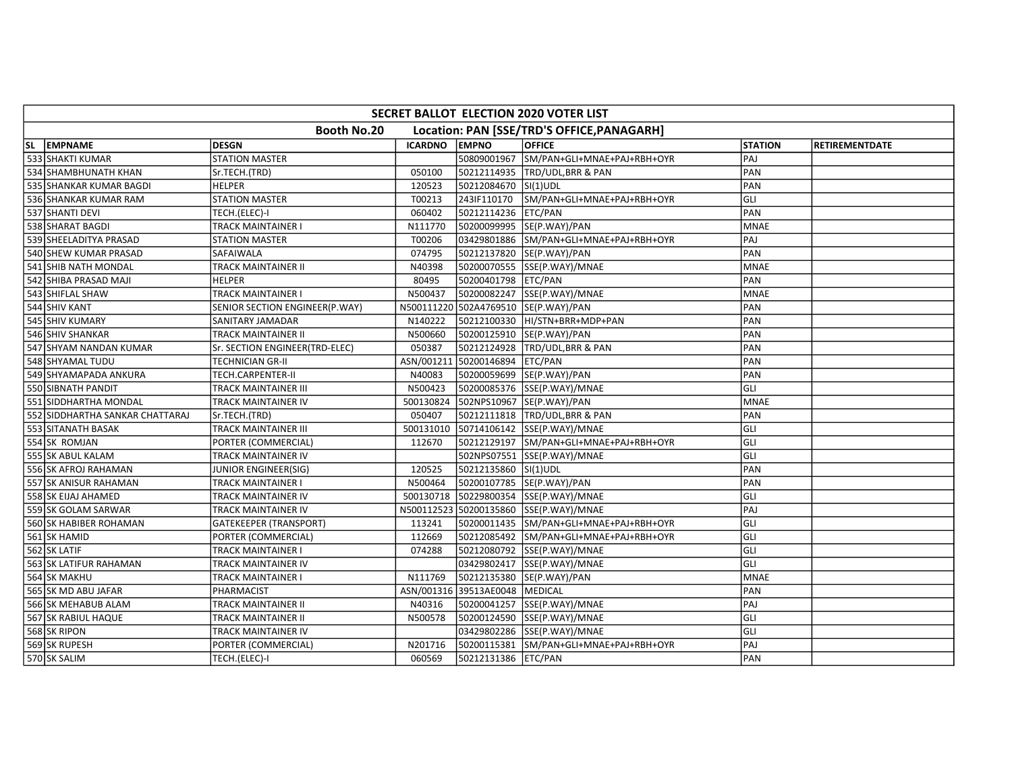| SECRET BALLOT ELECTION 2020 VOTER LIST                    |                                |                |                                |                                         |                |                       |  |  |  |
|-----------------------------------------------------------|--------------------------------|----------------|--------------------------------|-----------------------------------------|----------------|-----------------------|--|--|--|
| Booth No.20<br>Location: PAN [SSE/TRD'S OFFICE, PANAGARH] |                                |                |                                |                                         |                |                       |  |  |  |
| SL EMPNAME                                                | <b>DESGN</b>                   | <b>ICARDNO</b> | <b>EMPNO</b>                   | <b>OFFICE</b>                           | <b>STATION</b> | <b>RETIREMENTDATE</b> |  |  |  |
| 533 SHAKTI KUMAR                                          | <b>STATION MASTER</b>          |                |                                | 50809001967 SM/PAN+GLI+MNAE+PAJ+RBH+OYR | PAJ            |                       |  |  |  |
| 534 SHAMBHUNATH KHAN                                      | Sr.TECH.(TRD)                  | 050100         |                                | 50212114935 TRD/UDL, BRR & PAN          | PAN            |                       |  |  |  |
| 535 SHANKAR KUMAR BAGDI                                   | <b>HELPER</b>                  | 120523         | 50212084670 SI(1)UDL           |                                         | PAN            |                       |  |  |  |
| 536 SHANKAR KUMAR RAM                                     | <b>STATION MASTER</b>          | T00213         |                                | 243IF110170 SM/PAN+GLI+MNAE+PAJ+RBH+OYR | GLI            |                       |  |  |  |
| 537 SHANTI DEVI                                           | TECH.(ELEC)-I                  | 060402         | 50212114236 ETC/PAN            |                                         | PAN            |                       |  |  |  |
| 538 SHARAT BAGDI                                          | TRACK MAINTAINER I             | N111770        |                                | 50200099995 SE(P.WAY)/PAN               | <b>MNAE</b>    |                       |  |  |  |
| 539 SHEELADITYA PRASAD                                    | <b>STATION MASTER</b>          | T00206         |                                | 03429801886 SM/PAN+GLI+MNAE+PAJ+RBH+OYR | PAJ            |                       |  |  |  |
| 540 SHEW KUMAR PRASAD                                     | SAFAIWALA                      | 074795         |                                | 50212137820 SE(P.WAY)/PAN               | PAN            |                       |  |  |  |
| 541 SHIB NATH MONDAL                                      | TRACK MAINTAINER II            | N40398         |                                | 50200070555 SSE(P.WAY)/MNAE             | <b>MNAE</b>    |                       |  |  |  |
| 542 SHIBA PRASAD MAJI                                     | <b>HELPER</b>                  | 80495          | 50200401798 ETC/PAN            |                                         | PAN            |                       |  |  |  |
| 543 SHIFLAL SHAW                                          | TRACK MAINTAINER I             | N500437        |                                | 50200082247 SSE(P.WAY)/MNAE             | <b>MNAE</b>    |                       |  |  |  |
| 544 SHIV KANT                                             | SENIOR SECTION ENGINEER(P.WAY) |                |                                | N500111220 502A4769510 SE(P.WAY)/PAN    | PAN            |                       |  |  |  |
| 545 SHIV KUMARY                                           | SANITARY JAMADAR               | N140222        |                                | 50212100330 HI/STN+BRR+MDP+PAN          | PAN            |                       |  |  |  |
| 546 SHIV SHANKAR                                          | TRACK MAINTAINER II            | N500660        |                                | 50200125910  SE(P.WAY)/PAN              | PAN            |                       |  |  |  |
| 547 SHYAM NANDAN KUMAR                                    | Sr. SECTION ENGINEER(TRD-ELEC) | 050387         |                                | 50212124928 TRD/UDL, BRR & PAN          | PAN            |                       |  |  |  |
| 548 SHYAMAL TUDU                                          | <b>TECHNICIAN GR-II</b>        | ASN/001211     | 50200146894 ETC/PAN            |                                         | PAN            |                       |  |  |  |
| 549 SHYAMAPADA ANKURA                                     | TECH.CARPENTER-II              | N40083         |                                | 50200059699 SE(P.WAY)/PAN               | PAN            |                       |  |  |  |
| 550 SIBNATH PANDIT                                        | TRACK MAINTAINER III           | N500423        |                                | 50200085376 SSE(P.WAY)/MNAE             | GLI            |                       |  |  |  |
| 551 SIDDHARTHA MONDAL                                     | TRACK MAINTAINER IV            | 500130824      |                                | 502NPS10967 SE(P.WAY)/PAN               | <b>MNAE</b>    |                       |  |  |  |
| 552 SIDDHARTHA SANKAR CHATTARAJ                           | Sr.TECH.(TRD)                  | 050407         |                                | 50212111818   TRD/UDL, BRR & PAN        | PAN            |                       |  |  |  |
| 553 SITANATH BASAK                                        | TRACK MAINTAINER III           | 500131010      |                                | 50714106142 SSE(P.WAY)/MNAE             | GLI            |                       |  |  |  |
| 554 SK ROMJAN                                             | PORTER (COMMERCIAL)            | 112670         |                                | 50212129197 SM/PAN+GLI+MNAE+PAJ+RBH+OYR | GLI            |                       |  |  |  |
| 555 SK ABUL KALAM                                         | TRACK MAINTAINER IV            |                |                                | 502NPS07551 SSE(P.WAY)/MNAE             | GLI            |                       |  |  |  |
| 556 SK AFROJ RAHAMAN                                      | JUNIOR ENGINEER(SIG)           | 120525         | 50212135860 SI(1)UDL           |                                         | PAN            |                       |  |  |  |
| 557 SK ANISUR RAHAMAN                                     | TRACK MAINTAINER I             | N500464        |                                | 50200107785 SE(P.WAY)/PAN               | PAN            |                       |  |  |  |
| 558 SK EIJAJ AHAMED                                       | TRACK MAINTAINER IV            | 500130718      |                                | 50229800354 SSE(P.WAY)/MNAE             | GLI            |                       |  |  |  |
| 559 SK GOLAM SARWAR                                       | TRACK MAINTAINER IV            |                |                                | N500112523 50200135860 SSE(P.WAY)/MNAE  | PAJ            |                       |  |  |  |
| 560 SK HABIBER ROHAMAN                                    | <b>GATEKEEPER (TRANSPORT)</b>  | 113241         |                                | 50200011435 SM/PAN+GLI+MNAE+PAJ+RBH+OYR | GLI            |                       |  |  |  |
| 561 SK HAMID                                              | PORTER (COMMERCIAL)            | 112669         |                                | 50212085492 SM/PAN+GLI+MNAE+PAJ+RBH+OYR | GLI            |                       |  |  |  |
| 562 SK LATIF                                              | TRACK MAINTAINER I             | 074288         |                                | 50212080792 SSE(P.WAY)/MNAE             | GLI            |                       |  |  |  |
| 563 SK LATIFUR RAHAMAN                                    | <b>TRACK MAINTAINER IV</b>     |                |                                | 03429802417 SSE(P.WAY)/MNAE             | GLI            |                       |  |  |  |
| 564 SK MAKHU                                              | TRACK MAINTAINER I             | N111769        |                                | 50212135380 SE(P.WAY)/PAN               | <b>MNAE</b>    |                       |  |  |  |
| 565 SK MD ABU JAFAR                                       | PHARMACIST                     |                | ASN/001316 39513AE0048 MEDICAL |                                         | PAN            |                       |  |  |  |
| 566 SK MEHABUB ALAM                                       | <b>TRACK MAINTAINER II</b>     | N40316         |                                | 50200041257 SSE(P.WAY)/MNAE             | PAJ            |                       |  |  |  |
| 567 SK RABIUL HAQUE                                       | TRACK MAINTAINER II            | N500578        |                                | 50200124590 SSE(P.WAY)/MNAE             | GLI            |                       |  |  |  |
| 568 SK RIPON                                              | TRACK MAINTAINER IV            |                |                                | 03429802286 SSE(P.WAY)/MNAE             | GLI            |                       |  |  |  |
| 569 SK RUPESH                                             | PORTER (COMMERCIAL)            | N201716        |                                | 50200115381 SM/PAN+GLI+MNAE+PAJ+RBH+OYR | PAJ            |                       |  |  |  |
| 570 SK SALIM                                              | TECH.(ELEC)-I                  | 060569         | 50212131386 ETC/PAN            |                                         | PAN            |                       |  |  |  |
|                                                           |                                |                |                                |                                         |                |                       |  |  |  |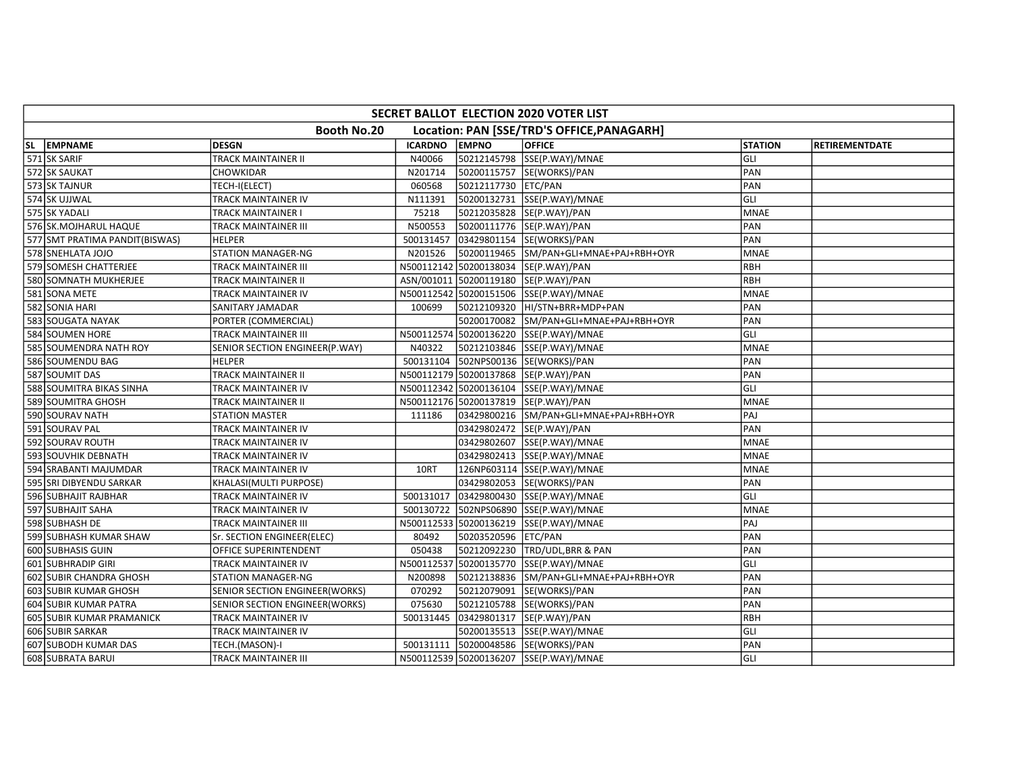| SECRET BALLOT ELECTION 2020 VOTER LIST                    |                                       |                |                     |                                         |                |                       |  |  |  |
|-----------------------------------------------------------|---------------------------------------|----------------|---------------------|-----------------------------------------|----------------|-----------------------|--|--|--|
| Booth No.20<br>Location: PAN [SSE/TRD'S OFFICE, PANAGARH] |                                       |                |                     |                                         |                |                       |  |  |  |
| SL EMPNAME                                                | <b>DESGN</b>                          | <b>ICARDNO</b> | <b>EMPNO</b>        | <b>OFFICE</b>                           | <b>STATION</b> | <b>RETIREMENTDATE</b> |  |  |  |
| 571 SK SARIF                                              | <b>TRACK MAINTAINER II</b>            | N40066         |                     | 50212145798 SSE(P.WAY)/MNAE             | GLI            |                       |  |  |  |
| 572 SK SAUKAT                                             | CHOWKIDAR                             | N201714        |                     | 50200115757 SE(WORKS)/PAN               | PAN            |                       |  |  |  |
| 573 SK TAJNUR                                             | TECH-I(ELECT)                         | 060568         | 50212117730 ETC/PAN |                                         | PAN            |                       |  |  |  |
| 574 SK UJJWAL                                             | TRACK MAINTAINER IV                   | N111391        |                     | 50200132731 SSE(P.WAY)/MNAE             | GLI            |                       |  |  |  |
| 575 SK YADALI                                             | TRACK MAINTAINER I                    | 75218          |                     | 50212035828 SE(P.WAY)/PAN               | <b>MNAE</b>    |                       |  |  |  |
| 576 SK.MOJHARUL HAQUE                                     | TRACK MAINTAINER III                  | N500553        |                     | 50200111776 SE(P.WAY)/PAN               | PAN            |                       |  |  |  |
| 577 SMT PRATIMA PANDIT(BISWAS)                            | <b>HELPER</b>                         | 500131457      |                     | 03429801154  SE(WORKS)/PAN              | PAN            |                       |  |  |  |
| 578 SNEHLATA JOJO                                         | <b>STATION MANAGER-NG</b>             | N201526        |                     | 50200119465 SM/PAN+GLI+MNAE+PAJ+RBH+OYR | <b>MNAE</b>    |                       |  |  |  |
| 579 SOMESH CHATTERJEE                                     | TRACK MAINTAINER III                  |                |                     | N500112142 50200138034 SE(P.WAY)/PAN    | <b>RBH</b>     |                       |  |  |  |
| 580 SOMNATH MUKHERJEE                                     | <b>TRACK MAINTAINER II</b>            |                |                     | ASN/001011 50200119180 SE(P.WAY)/PAN    | RBH            |                       |  |  |  |
| 581 SONA METE                                             | TRACK MAINTAINER IV                   |                |                     | N500112542 50200151506 SSE(P.WAY)/MNAE  | <b>MNAE</b>    |                       |  |  |  |
| 582 SONIA HARI                                            | SANITARY JAMADAR                      | 100699         |                     |                                         | PAN            |                       |  |  |  |
| 583 SOUGATA NAYAK                                         | PORTER (COMMERCIAL)                   |                |                     | 50200170082 SM/PAN+GLI+MNAE+PAJ+RBH+OYR | PAN            |                       |  |  |  |
| 584 SOUMEN HORE                                           | <b>TRACK MAINTAINER III</b>           |                |                     | N500112574 50200136220 SSE(P.WAY)/MNAE  | GLI            |                       |  |  |  |
| 585 SOUMENDRA NATH ROY                                    | SENIOR SECTION ENGINEER(P.WAY)        | N40322         |                     | 50212103846 SSE(P.WAY)/MNAE             | <b>MNAE</b>    |                       |  |  |  |
| 586 SOUMENDU BAG                                          | <b>HELPER</b>                         |                |                     | 500131104 502NPS00136 SE(WORKS)/PAN     | PAN            |                       |  |  |  |
| 587 SOUMIT DAS                                            | TRACK MAINTAINER II                   |                |                     | N500112179 50200137868 SE(P.WAY)/PAN    | PAN            |                       |  |  |  |
| 588 SOUMITRA BIKAS SINHA                                  | TRACK MAINTAINER IV                   |                |                     | N500112342 50200136104 SSE(P.WAY)/MNAE  | GLI            |                       |  |  |  |
| 589 SOUMITRA GHOSH                                        | TRACK MAINTAINER II                   |                |                     | N500112176 50200137819 SE(P.WAY)/PAN    | <b>MNAE</b>    |                       |  |  |  |
| 590 SOURAV NATH                                           | <b>STATION MASTER</b>                 | 111186         |                     | 03429800216 SM/PAN+GLI+MNAE+PAJ+RBH+OYR | PAJ            |                       |  |  |  |
| 591 SOURAV PAL                                            | TRACK MAINTAINER IV                   |                |                     | 03429802472  SE(P.WAY)/PAN              | PAN            |                       |  |  |  |
| 592 SOURAV ROUTH                                          | TRACK MAINTAINER IV                   |                |                     | 03429802607  SSE(P.WAY)/MNAE            | <b>MNAE</b>    |                       |  |  |  |
| 593 SOUVHIK DEBNATH                                       | TRACK MAINTAINER IV                   |                |                     | 03429802413 SSE(P.WAY)/MNAE             | <b>MNAE</b>    |                       |  |  |  |
| 594 SRABANTI MAJUMDAR                                     | TRACK MAINTAINER IV                   | 10RT           |                     | 126NP603114 SSE(P.WAY)/MNAE             | <b>MNAE</b>    |                       |  |  |  |
| 595 SRI DIBYENDU SARKAR                                   | KHALASI(MULTI PURPOSE)                |                |                     | 03429802053  SE(WORKS)/PAN              | PAN            |                       |  |  |  |
| 596 SUBHAJIT RAJBHAR                                      | TRACK MAINTAINER IV                   | 500131017      |                     | 03429800430 SSE(P.WAY)/MNAE             | GLI            |                       |  |  |  |
| 597 SUBHAJIT SAHA                                         | TRACK MAINTAINER IV                   | 500130722      |                     | 502NPS06890 SSE(P.WAY)/MNAE             | <b>MNAE</b>    |                       |  |  |  |
| 598 SUBHASH DE                                            | TRACK MAINTAINER III                  |                |                     | N500112533 50200136219 SSE(P.WAY)/MNAE  | PAJ            |                       |  |  |  |
| 599 SUBHASH KUMAR SHAW                                    | Sr. SECTION ENGINEER(ELEC)            | 80492          | 50203520596 ETC/PAN |                                         | PAN            |                       |  |  |  |
| 600 SUBHASIS GUIN                                         | OFFICE SUPERINTENDENT                 | 050438         |                     | 50212092230 TRD/UDL, BRR & PAN          | PAN            |                       |  |  |  |
| 601 SUBHRADIP GIRI                                        | TRACK MAINTAINER IV                   |                |                     | N500112537 50200135770 SSE(P.WAY)/MNAE  | GLI            |                       |  |  |  |
| 602 SUBIR CHANDRA GHOSH                                   | STATION MANAGER-NG                    | N200898        |                     | 50212138836 SM/PAN+GLI+MNAE+PAJ+RBH+OYR | PAN            |                       |  |  |  |
| 603 SUBIR KUMAR GHOSH                                     | SENIOR SECTION ENGINEER(WORKS)        | 070292         |                     | 50212079091 SE(WORKS)/PAN               | PAN            |                       |  |  |  |
| 604 SUBIR KUMAR PATRA                                     | <b>SENIOR SECTION ENGINEER(WORKS)</b> | 075630         |                     | 50212105788 SE(WORKS)/PAN               | PAN            |                       |  |  |  |
| 605 SUBIR KUMAR PRAMANICK                                 | <b>TRACK MAINTAINER IV</b>            | 500131445      |                     | 03429801317  SE(P.WAY)/PAN              | <b>RBH</b>     |                       |  |  |  |
| 606 SUBIR SARKAR                                          | TRACK MAINTAINER IV                   |                |                     | 50200135513 SSE(P.WAY)/MNAE             | GLI            |                       |  |  |  |
| 607 SUBODH KUMAR DAS                                      | TECH.(MASON)-I                        | 500131111      |                     | 50200048586 SE(WORKS)/PAN               | PAN            |                       |  |  |  |
| 608 SUBRATA BARUI                                         | TRACK MAINTAINER III                  |                |                     | N500112539 50200136207 SSE(P.WAY)/MNAE  | GLI            |                       |  |  |  |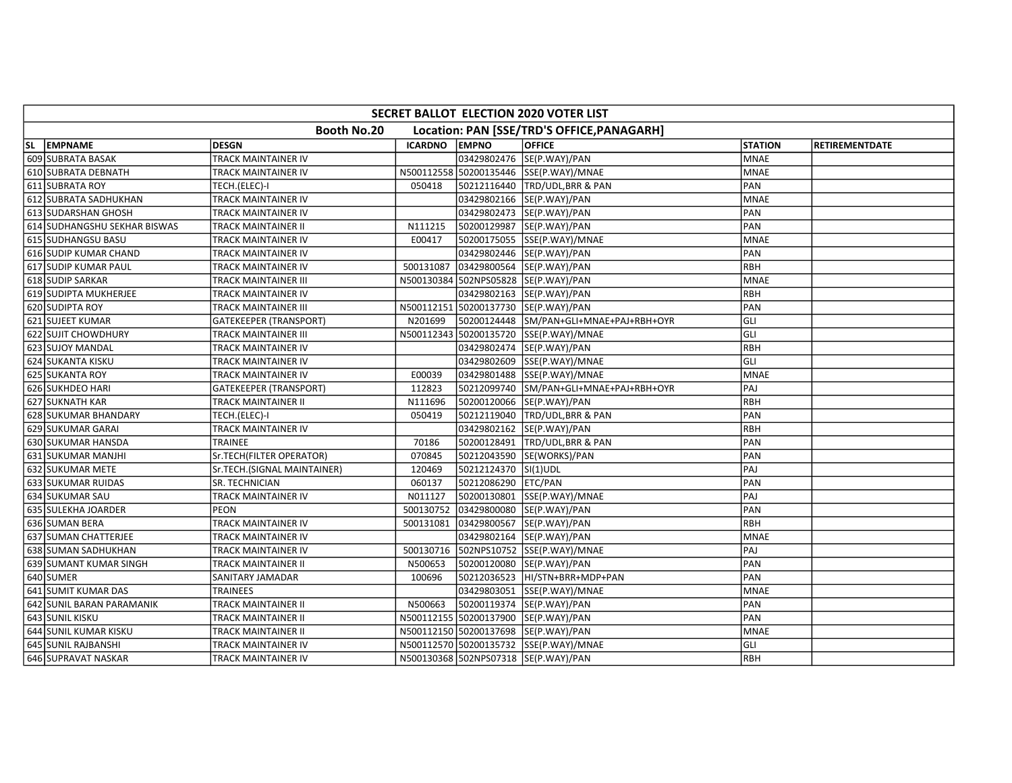| Booth No.20<br>Location: PAN [SSE/TRD'S OFFICE, PANAGARH]<br>SL EMPNAME<br><b>DESGN</b><br><b>ICARDNO</b><br><b>EMPNO</b><br><b>OFFICE</b><br><b>STATION</b><br><b>RETIREMENTDATE</b><br>609 SUBRATA BASAK<br><b>TRACK MAINTAINER IV</b><br>03429802476 SE(P.WAY)/PAN<br><b>MNAE</b><br>610 SUBRATA DEBNATH<br>N500112558 50200135446 SSE(P.WAY)/MNAE<br><b>MNAE</b><br>TRACK MAINTAINER IV<br>611 SUBRATA ROY<br>PAN<br>50212116440   TRD/UDL, BRR & PAN<br>TECH.(ELEC)-I<br>050418<br>612 SUBRATA SADHUKHAN<br>03429802166 SE(P.WAY)/PAN<br><b>MNAE</b><br>TRACK MAINTAINER IV<br>PAN<br>613 SUDARSHAN GHOSH<br>03429802473 SE(P.WAY)/PAN<br>TRACK MAINTAINER IV<br>614 SUDHANGSHU SEKHAR BISWAS<br>50200129987 SE(P.WAY)/PAN<br>PAN<br>TRACK MAINTAINER II<br>N111215<br>615 SUDHANGSU BASU<br>50200175055 SSE(P.WAY)/MNAE<br><b>MNAE</b><br>TRACK MAINTAINER IV<br>E00417<br>PAN<br>616 SUDIP KUMAR CHAND<br>03429802446 SE(P.WAY)/PAN<br>TRACK MAINTAINER IV<br>RBH<br>617 SUDIP KUMAR PAUL<br>TRACK MAINTAINER IV<br>500131087<br>03429800564 SE(P.WAY)/PAN<br>N500130384 502NPS05828 SE(P.WAY)/PAN<br>618 SUDIP SARKAR<br>TRACK MAINTAINER III<br><b>MNAE</b><br>619 SUDIPTA MUKHERJEE<br>RBH<br>03429802163 SE(P.WAY)/PAN<br>TRACK MAINTAINER IV<br>620 SUDIPTA ROY<br>. 50200137730 SE(P.WAY)/PAN<br>PAN<br>N500112151<br>TRACK MAINTAINER III<br>GLI<br>621 SUJEET KUMAR<br>50200124448 SM/PAN+GLI+MNAE+PAJ+RBH+OYR<br>GATEKEEPER (TRANSPORT)<br>N201699<br>GLI<br>N500112343 50200135720 SSE(P.WAY)/MNAE<br>622 SUJIT CHOWDHURY<br>TRACK MAINTAINER III<br>RBH<br>623 SUJOY MANDAL<br>03429802474 SE(P.WAY)/PAN<br>TRACK MAINTAINER IV<br>624 SUKANTA KISKU<br>GLI<br>03429802609 SSE(P.WAY)/MNAE<br>TRACK MAINTAINER IV<br>625 SUKANTA ROY<br><b>MNAE</b><br>TRACK MAINTAINER IV<br>E00039<br>03429801488  SSE(P.WAY)/MNAE<br>PAJ<br>626 SUKHDEO HARI<br>112823<br>50212099740 SM/PAN+GLI+MNAE+PAJ+RBH+OYR<br><b>GATEKEEPER (TRANSPORT)</b><br>RBH<br>627 SUKNATH KAR<br>N111696<br>50200120066 SE(P.WAY)/PAN<br>TRACK MAINTAINER II<br>PAN<br>628 SUKUMAR BHANDARY<br>050419<br>50212119040 TRD/UDL, BRR & PAN<br>TECH.(ELEC)-I<br>629 SUKUMAR GARAI<br>RBH<br>TRACK MAINTAINER IV<br>03429802162 SE(P.WAY)/PAN<br>PAN<br>630 SUKUMAR HANSDA<br>50200128491 TRD/UDL, BRR & PAN<br>TRAINEE<br>70186<br>631 SUKUMAR MANJHI<br>PAN<br>Sr.TECH(FILTER OPERATOR)<br>070845<br>50212043590 SE(WORKS)/PAN<br>PAJ<br>632 SUKUMAR METE<br>Sr.TECH.(SIGNAL MAINTAINER)<br>120469<br>50212124370 SI(1)UDL<br>633 SUKUMAR RUIDAS<br>060137<br>50212086290 ETC/PAN<br>PAN<br><b>SR. TECHNICIAN</b><br>634 SUKUMAR SAU<br>PAJ<br>TRACK MAINTAINER IV<br>N011127<br>50200130801 SSE(P.WAY)/MNAE<br>635 SULEKHA JOARDER<br>03429800080 SE(P.WAY)/PAN<br>PAN<br>PEON<br>500130752<br>636 SUMAN BERA<br>RBH<br>TRACK MAINTAINER IV<br>03429800567 SE(P.WAY)/PAN<br>500131081<br>637 SUMAN CHATTERJEE<br>03429802164 SE(P.WAY)/PAN<br><b>MNAE</b><br>TRACK MAINTAINER IV<br>PAJ<br>638 SUMAN SADHUKHAN<br>500130716<br>502NPS10752 SSE(P.WAY)/MNAE<br>TRACK MAINTAINER IV<br>639 SUMANT KUMAR SINGH<br>PAN<br>TRACK MAINTAINER II<br>N500653<br>50200120080 SE(P.WAY)/PAN<br>640 SUMER<br>PAN<br>50212036523 HI/STN+BRR+MDP+PAN<br>SANITARY JAMADAR<br>100696<br>641 SUMIT KUMAR DAS<br>03429803051 SSE(P.WAY)/MNAE<br><b>MNAE</b><br><b>TRAINEES</b><br>PAN<br>642 SUNIL BARAN PARAMANIK<br><b>TRACK MAINTAINER II</b><br>N500663<br>50200119374 SE(P.WAY)/PAN | SECRET BALLOT ELECTION 2020 VOTER LIST |  |  |  |  |  |  |  |  |
|-----------------------------------------------------------------------------------------------------------------------------------------------------------------------------------------------------------------------------------------------------------------------------------------------------------------------------------------------------------------------------------------------------------------------------------------------------------------------------------------------------------------------------------------------------------------------------------------------------------------------------------------------------------------------------------------------------------------------------------------------------------------------------------------------------------------------------------------------------------------------------------------------------------------------------------------------------------------------------------------------------------------------------------------------------------------------------------------------------------------------------------------------------------------------------------------------------------------------------------------------------------------------------------------------------------------------------------------------------------------------------------------------------------------------------------------------------------------------------------------------------------------------------------------------------------------------------------------------------------------------------------------------------------------------------------------------------------------------------------------------------------------------------------------------------------------------------------------------------------------------------------------------------------------------------------------------------------------------------------------------------------------------------------------------------------------------------------------------------------------------------------------------------------------------------------------------------------------------------------------------------------------------------------------------------------------------------------------------------------------------------------------------------------------------------------------------------------------------------------------------------------------------------------------------------------------------------------------------------------------------------------------------------------------------------------------------------------------------------------------------------------------------------------------------------------------------------------------------------------------------------------------------------------------------------------------------------------------------------------------------------------------------------------------------------------------------------------------------------------------------------------------------------------------------------------------------------------------------------------------------------------------------------------------------------------------------------------------------------------------------------------------------------------------------------------------------------------|----------------------------------------|--|--|--|--|--|--|--|--|
|                                                                                                                                                                                                                                                                                                                                                                                                                                                                                                                                                                                                                                                                                                                                                                                                                                                                                                                                                                                                                                                                                                                                                                                                                                                                                                                                                                                                                                                                                                                                                                                                                                                                                                                                                                                                                                                                                                                                                                                                                                                                                                                                                                                                                                                                                                                                                                                                                                                                                                                                                                                                                                                                                                                                                                                                                                                                                                                                                                                                                                                                                                                                                                                                                                                                                                                                                                                                                                                           |                                        |  |  |  |  |  |  |  |  |
|                                                                                                                                                                                                                                                                                                                                                                                                                                                                                                                                                                                                                                                                                                                                                                                                                                                                                                                                                                                                                                                                                                                                                                                                                                                                                                                                                                                                                                                                                                                                                                                                                                                                                                                                                                                                                                                                                                                                                                                                                                                                                                                                                                                                                                                                                                                                                                                                                                                                                                                                                                                                                                                                                                                                                                                                                                                                                                                                                                                                                                                                                                                                                                                                                                                                                                                                                                                                                                                           |                                        |  |  |  |  |  |  |  |  |
|                                                                                                                                                                                                                                                                                                                                                                                                                                                                                                                                                                                                                                                                                                                                                                                                                                                                                                                                                                                                                                                                                                                                                                                                                                                                                                                                                                                                                                                                                                                                                                                                                                                                                                                                                                                                                                                                                                                                                                                                                                                                                                                                                                                                                                                                                                                                                                                                                                                                                                                                                                                                                                                                                                                                                                                                                                                                                                                                                                                                                                                                                                                                                                                                                                                                                                                                                                                                                                                           |                                        |  |  |  |  |  |  |  |  |
|                                                                                                                                                                                                                                                                                                                                                                                                                                                                                                                                                                                                                                                                                                                                                                                                                                                                                                                                                                                                                                                                                                                                                                                                                                                                                                                                                                                                                                                                                                                                                                                                                                                                                                                                                                                                                                                                                                                                                                                                                                                                                                                                                                                                                                                                                                                                                                                                                                                                                                                                                                                                                                                                                                                                                                                                                                                                                                                                                                                                                                                                                                                                                                                                                                                                                                                                                                                                                                                           |                                        |  |  |  |  |  |  |  |  |
|                                                                                                                                                                                                                                                                                                                                                                                                                                                                                                                                                                                                                                                                                                                                                                                                                                                                                                                                                                                                                                                                                                                                                                                                                                                                                                                                                                                                                                                                                                                                                                                                                                                                                                                                                                                                                                                                                                                                                                                                                                                                                                                                                                                                                                                                                                                                                                                                                                                                                                                                                                                                                                                                                                                                                                                                                                                                                                                                                                                                                                                                                                                                                                                                                                                                                                                                                                                                                                                           |                                        |  |  |  |  |  |  |  |  |
|                                                                                                                                                                                                                                                                                                                                                                                                                                                                                                                                                                                                                                                                                                                                                                                                                                                                                                                                                                                                                                                                                                                                                                                                                                                                                                                                                                                                                                                                                                                                                                                                                                                                                                                                                                                                                                                                                                                                                                                                                                                                                                                                                                                                                                                                                                                                                                                                                                                                                                                                                                                                                                                                                                                                                                                                                                                                                                                                                                                                                                                                                                                                                                                                                                                                                                                                                                                                                                                           |                                        |  |  |  |  |  |  |  |  |
|                                                                                                                                                                                                                                                                                                                                                                                                                                                                                                                                                                                                                                                                                                                                                                                                                                                                                                                                                                                                                                                                                                                                                                                                                                                                                                                                                                                                                                                                                                                                                                                                                                                                                                                                                                                                                                                                                                                                                                                                                                                                                                                                                                                                                                                                                                                                                                                                                                                                                                                                                                                                                                                                                                                                                                                                                                                                                                                                                                                                                                                                                                                                                                                                                                                                                                                                                                                                                                                           |                                        |  |  |  |  |  |  |  |  |
|                                                                                                                                                                                                                                                                                                                                                                                                                                                                                                                                                                                                                                                                                                                                                                                                                                                                                                                                                                                                                                                                                                                                                                                                                                                                                                                                                                                                                                                                                                                                                                                                                                                                                                                                                                                                                                                                                                                                                                                                                                                                                                                                                                                                                                                                                                                                                                                                                                                                                                                                                                                                                                                                                                                                                                                                                                                                                                                                                                                                                                                                                                                                                                                                                                                                                                                                                                                                                                                           |                                        |  |  |  |  |  |  |  |  |
|                                                                                                                                                                                                                                                                                                                                                                                                                                                                                                                                                                                                                                                                                                                                                                                                                                                                                                                                                                                                                                                                                                                                                                                                                                                                                                                                                                                                                                                                                                                                                                                                                                                                                                                                                                                                                                                                                                                                                                                                                                                                                                                                                                                                                                                                                                                                                                                                                                                                                                                                                                                                                                                                                                                                                                                                                                                                                                                                                                                                                                                                                                                                                                                                                                                                                                                                                                                                                                                           |                                        |  |  |  |  |  |  |  |  |
|                                                                                                                                                                                                                                                                                                                                                                                                                                                                                                                                                                                                                                                                                                                                                                                                                                                                                                                                                                                                                                                                                                                                                                                                                                                                                                                                                                                                                                                                                                                                                                                                                                                                                                                                                                                                                                                                                                                                                                                                                                                                                                                                                                                                                                                                                                                                                                                                                                                                                                                                                                                                                                                                                                                                                                                                                                                                                                                                                                                                                                                                                                                                                                                                                                                                                                                                                                                                                                                           |                                        |  |  |  |  |  |  |  |  |
|                                                                                                                                                                                                                                                                                                                                                                                                                                                                                                                                                                                                                                                                                                                                                                                                                                                                                                                                                                                                                                                                                                                                                                                                                                                                                                                                                                                                                                                                                                                                                                                                                                                                                                                                                                                                                                                                                                                                                                                                                                                                                                                                                                                                                                                                                                                                                                                                                                                                                                                                                                                                                                                                                                                                                                                                                                                                                                                                                                                                                                                                                                                                                                                                                                                                                                                                                                                                                                                           |                                        |  |  |  |  |  |  |  |  |
|                                                                                                                                                                                                                                                                                                                                                                                                                                                                                                                                                                                                                                                                                                                                                                                                                                                                                                                                                                                                                                                                                                                                                                                                                                                                                                                                                                                                                                                                                                                                                                                                                                                                                                                                                                                                                                                                                                                                                                                                                                                                                                                                                                                                                                                                                                                                                                                                                                                                                                                                                                                                                                                                                                                                                                                                                                                                                                                                                                                                                                                                                                                                                                                                                                                                                                                                                                                                                                                           |                                        |  |  |  |  |  |  |  |  |
|                                                                                                                                                                                                                                                                                                                                                                                                                                                                                                                                                                                                                                                                                                                                                                                                                                                                                                                                                                                                                                                                                                                                                                                                                                                                                                                                                                                                                                                                                                                                                                                                                                                                                                                                                                                                                                                                                                                                                                                                                                                                                                                                                                                                                                                                                                                                                                                                                                                                                                                                                                                                                                                                                                                                                                                                                                                                                                                                                                                                                                                                                                                                                                                                                                                                                                                                                                                                                                                           |                                        |  |  |  |  |  |  |  |  |
|                                                                                                                                                                                                                                                                                                                                                                                                                                                                                                                                                                                                                                                                                                                                                                                                                                                                                                                                                                                                                                                                                                                                                                                                                                                                                                                                                                                                                                                                                                                                                                                                                                                                                                                                                                                                                                                                                                                                                                                                                                                                                                                                                                                                                                                                                                                                                                                                                                                                                                                                                                                                                                                                                                                                                                                                                                                                                                                                                                                                                                                                                                                                                                                                                                                                                                                                                                                                                                                           |                                        |  |  |  |  |  |  |  |  |
|                                                                                                                                                                                                                                                                                                                                                                                                                                                                                                                                                                                                                                                                                                                                                                                                                                                                                                                                                                                                                                                                                                                                                                                                                                                                                                                                                                                                                                                                                                                                                                                                                                                                                                                                                                                                                                                                                                                                                                                                                                                                                                                                                                                                                                                                                                                                                                                                                                                                                                                                                                                                                                                                                                                                                                                                                                                                                                                                                                                                                                                                                                                                                                                                                                                                                                                                                                                                                                                           |                                        |  |  |  |  |  |  |  |  |
|                                                                                                                                                                                                                                                                                                                                                                                                                                                                                                                                                                                                                                                                                                                                                                                                                                                                                                                                                                                                                                                                                                                                                                                                                                                                                                                                                                                                                                                                                                                                                                                                                                                                                                                                                                                                                                                                                                                                                                                                                                                                                                                                                                                                                                                                                                                                                                                                                                                                                                                                                                                                                                                                                                                                                                                                                                                                                                                                                                                                                                                                                                                                                                                                                                                                                                                                                                                                                                                           |                                        |  |  |  |  |  |  |  |  |
|                                                                                                                                                                                                                                                                                                                                                                                                                                                                                                                                                                                                                                                                                                                                                                                                                                                                                                                                                                                                                                                                                                                                                                                                                                                                                                                                                                                                                                                                                                                                                                                                                                                                                                                                                                                                                                                                                                                                                                                                                                                                                                                                                                                                                                                                                                                                                                                                                                                                                                                                                                                                                                                                                                                                                                                                                                                                                                                                                                                                                                                                                                                                                                                                                                                                                                                                                                                                                                                           |                                        |  |  |  |  |  |  |  |  |
|                                                                                                                                                                                                                                                                                                                                                                                                                                                                                                                                                                                                                                                                                                                                                                                                                                                                                                                                                                                                                                                                                                                                                                                                                                                                                                                                                                                                                                                                                                                                                                                                                                                                                                                                                                                                                                                                                                                                                                                                                                                                                                                                                                                                                                                                                                                                                                                                                                                                                                                                                                                                                                                                                                                                                                                                                                                                                                                                                                                                                                                                                                                                                                                                                                                                                                                                                                                                                                                           |                                        |  |  |  |  |  |  |  |  |
|                                                                                                                                                                                                                                                                                                                                                                                                                                                                                                                                                                                                                                                                                                                                                                                                                                                                                                                                                                                                                                                                                                                                                                                                                                                                                                                                                                                                                                                                                                                                                                                                                                                                                                                                                                                                                                                                                                                                                                                                                                                                                                                                                                                                                                                                                                                                                                                                                                                                                                                                                                                                                                                                                                                                                                                                                                                                                                                                                                                                                                                                                                                                                                                                                                                                                                                                                                                                                                                           |                                        |  |  |  |  |  |  |  |  |
|                                                                                                                                                                                                                                                                                                                                                                                                                                                                                                                                                                                                                                                                                                                                                                                                                                                                                                                                                                                                                                                                                                                                                                                                                                                                                                                                                                                                                                                                                                                                                                                                                                                                                                                                                                                                                                                                                                                                                                                                                                                                                                                                                                                                                                                                                                                                                                                                                                                                                                                                                                                                                                                                                                                                                                                                                                                                                                                                                                                                                                                                                                                                                                                                                                                                                                                                                                                                                                                           |                                        |  |  |  |  |  |  |  |  |
|                                                                                                                                                                                                                                                                                                                                                                                                                                                                                                                                                                                                                                                                                                                                                                                                                                                                                                                                                                                                                                                                                                                                                                                                                                                                                                                                                                                                                                                                                                                                                                                                                                                                                                                                                                                                                                                                                                                                                                                                                                                                                                                                                                                                                                                                                                                                                                                                                                                                                                                                                                                                                                                                                                                                                                                                                                                                                                                                                                                                                                                                                                                                                                                                                                                                                                                                                                                                                                                           |                                        |  |  |  |  |  |  |  |  |
|                                                                                                                                                                                                                                                                                                                                                                                                                                                                                                                                                                                                                                                                                                                                                                                                                                                                                                                                                                                                                                                                                                                                                                                                                                                                                                                                                                                                                                                                                                                                                                                                                                                                                                                                                                                                                                                                                                                                                                                                                                                                                                                                                                                                                                                                                                                                                                                                                                                                                                                                                                                                                                                                                                                                                                                                                                                                                                                                                                                                                                                                                                                                                                                                                                                                                                                                                                                                                                                           |                                        |  |  |  |  |  |  |  |  |
|                                                                                                                                                                                                                                                                                                                                                                                                                                                                                                                                                                                                                                                                                                                                                                                                                                                                                                                                                                                                                                                                                                                                                                                                                                                                                                                                                                                                                                                                                                                                                                                                                                                                                                                                                                                                                                                                                                                                                                                                                                                                                                                                                                                                                                                                                                                                                                                                                                                                                                                                                                                                                                                                                                                                                                                                                                                                                                                                                                                                                                                                                                                                                                                                                                                                                                                                                                                                                                                           |                                        |  |  |  |  |  |  |  |  |
|                                                                                                                                                                                                                                                                                                                                                                                                                                                                                                                                                                                                                                                                                                                                                                                                                                                                                                                                                                                                                                                                                                                                                                                                                                                                                                                                                                                                                                                                                                                                                                                                                                                                                                                                                                                                                                                                                                                                                                                                                                                                                                                                                                                                                                                                                                                                                                                                                                                                                                                                                                                                                                                                                                                                                                                                                                                                                                                                                                                                                                                                                                                                                                                                                                                                                                                                                                                                                                                           |                                        |  |  |  |  |  |  |  |  |
|                                                                                                                                                                                                                                                                                                                                                                                                                                                                                                                                                                                                                                                                                                                                                                                                                                                                                                                                                                                                                                                                                                                                                                                                                                                                                                                                                                                                                                                                                                                                                                                                                                                                                                                                                                                                                                                                                                                                                                                                                                                                                                                                                                                                                                                                                                                                                                                                                                                                                                                                                                                                                                                                                                                                                                                                                                                                                                                                                                                                                                                                                                                                                                                                                                                                                                                                                                                                                                                           |                                        |  |  |  |  |  |  |  |  |
|                                                                                                                                                                                                                                                                                                                                                                                                                                                                                                                                                                                                                                                                                                                                                                                                                                                                                                                                                                                                                                                                                                                                                                                                                                                                                                                                                                                                                                                                                                                                                                                                                                                                                                                                                                                                                                                                                                                                                                                                                                                                                                                                                                                                                                                                                                                                                                                                                                                                                                                                                                                                                                                                                                                                                                                                                                                                                                                                                                                                                                                                                                                                                                                                                                                                                                                                                                                                                                                           |                                        |  |  |  |  |  |  |  |  |
|                                                                                                                                                                                                                                                                                                                                                                                                                                                                                                                                                                                                                                                                                                                                                                                                                                                                                                                                                                                                                                                                                                                                                                                                                                                                                                                                                                                                                                                                                                                                                                                                                                                                                                                                                                                                                                                                                                                                                                                                                                                                                                                                                                                                                                                                                                                                                                                                                                                                                                                                                                                                                                                                                                                                                                                                                                                                                                                                                                                                                                                                                                                                                                                                                                                                                                                                                                                                                                                           |                                        |  |  |  |  |  |  |  |  |
|                                                                                                                                                                                                                                                                                                                                                                                                                                                                                                                                                                                                                                                                                                                                                                                                                                                                                                                                                                                                                                                                                                                                                                                                                                                                                                                                                                                                                                                                                                                                                                                                                                                                                                                                                                                                                                                                                                                                                                                                                                                                                                                                                                                                                                                                                                                                                                                                                                                                                                                                                                                                                                                                                                                                                                                                                                                                                                                                                                                                                                                                                                                                                                                                                                                                                                                                                                                                                                                           |                                        |  |  |  |  |  |  |  |  |
|                                                                                                                                                                                                                                                                                                                                                                                                                                                                                                                                                                                                                                                                                                                                                                                                                                                                                                                                                                                                                                                                                                                                                                                                                                                                                                                                                                                                                                                                                                                                                                                                                                                                                                                                                                                                                                                                                                                                                                                                                                                                                                                                                                                                                                                                                                                                                                                                                                                                                                                                                                                                                                                                                                                                                                                                                                                                                                                                                                                                                                                                                                                                                                                                                                                                                                                                                                                                                                                           |                                        |  |  |  |  |  |  |  |  |
|                                                                                                                                                                                                                                                                                                                                                                                                                                                                                                                                                                                                                                                                                                                                                                                                                                                                                                                                                                                                                                                                                                                                                                                                                                                                                                                                                                                                                                                                                                                                                                                                                                                                                                                                                                                                                                                                                                                                                                                                                                                                                                                                                                                                                                                                                                                                                                                                                                                                                                                                                                                                                                                                                                                                                                                                                                                                                                                                                                                                                                                                                                                                                                                                                                                                                                                                                                                                                                                           |                                        |  |  |  |  |  |  |  |  |
|                                                                                                                                                                                                                                                                                                                                                                                                                                                                                                                                                                                                                                                                                                                                                                                                                                                                                                                                                                                                                                                                                                                                                                                                                                                                                                                                                                                                                                                                                                                                                                                                                                                                                                                                                                                                                                                                                                                                                                                                                                                                                                                                                                                                                                                                                                                                                                                                                                                                                                                                                                                                                                                                                                                                                                                                                                                                                                                                                                                                                                                                                                                                                                                                                                                                                                                                                                                                                                                           |                                        |  |  |  |  |  |  |  |  |
|                                                                                                                                                                                                                                                                                                                                                                                                                                                                                                                                                                                                                                                                                                                                                                                                                                                                                                                                                                                                                                                                                                                                                                                                                                                                                                                                                                                                                                                                                                                                                                                                                                                                                                                                                                                                                                                                                                                                                                                                                                                                                                                                                                                                                                                                                                                                                                                                                                                                                                                                                                                                                                                                                                                                                                                                                                                                                                                                                                                                                                                                                                                                                                                                                                                                                                                                                                                                                                                           |                                        |  |  |  |  |  |  |  |  |
|                                                                                                                                                                                                                                                                                                                                                                                                                                                                                                                                                                                                                                                                                                                                                                                                                                                                                                                                                                                                                                                                                                                                                                                                                                                                                                                                                                                                                                                                                                                                                                                                                                                                                                                                                                                                                                                                                                                                                                                                                                                                                                                                                                                                                                                                                                                                                                                                                                                                                                                                                                                                                                                                                                                                                                                                                                                                                                                                                                                                                                                                                                                                                                                                                                                                                                                                                                                                                                                           |                                        |  |  |  |  |  |  |  |  |
|                                                                                                                                                                                                                                                                                                                                                                                                                                                                                                                                                                                                                                                                                                                                                                                                                                                                                                                                                                                                                                                                                                                                                                                                                                                                                                                                                                                                                                                                                                                                                                                                                                                                                                                                                                                                                                                                                                                                                                                                                                                                                                                                                                                                                                                                                                                                                                                                                                                                                                                                                                                                                                                                                                                                                                                                                                                                                                                                                                                                                                                                                                                                                                                                                                                                                                                                                                                                                                                           |                                        |  |  |  |  |  |  |  |  |
|                                                                                                                                                                                                                                                                                                                                                                                                                                                                                                                                                                                                                                                                                                                                                                                                                                                                                                                                                                                                                                                                                                                                                                                                                                                                                                                                                                                                                                                                                                                                                                                                                                                                                                                                                                                                                                                                                                                                                                                                                                                                                                                                                                                                                                                                                                                                                                                                                                                                                                                                                                                                                                                                                                                                                                                                                                                                                                                                                                                                                                                                                                                                                                                                                                                                                                                                                                                                                                                           |                                        |  |  |  |  |  |  |  |  |
|                                                                                                                                                                                                                                                                                                                                                                                                                                                                                                                                                                                                                                                                                                                                                                                                                                                                                                                                                                                                                                                                                                                                                                                                                                                                                                                                                                                                                                                                                                                                                                                                                                                                                                                                                                                                                                                                                                                                                                                                                                                                                                                                                                                                                                                                                                                                                                                                                                                                                                                                                                                                                                                                                                                                                                                                                                                                                                                                                                                                                                                                                                                                                                                                                                                                                                                                                                                                                                                           |                                        |  |  |  |  |  |  |  |  |
| 643 SUNIL KISKU<br>N500112155 50200137900 SE(P.WAY)/PAN<br>PAN<br>TRACK MAINTAINER II                                                                                                                                                                                                                                                                                                                                                                                                                                                                                                                                                                                                                                                                                                                                                                                                                                                                                                                                                                                                                                                                                                                                                                                                                                                                                                                                                                                                                                                                                                                                                                                                                                                                                                                                                                                                                                                                                                                                                                                                                                                                                                                                                                                                                                                                                                                                                                                                                                                                                                                                                                                                                                                                                                                                                                                                                                                                                                                                                                                                                                                                                                                                                                                                                                                                                                                                                                     |                                        |  |  |  |  |  |  |  |  |
| 644 SUNIL KUMAR KISKU<br>N500112150 50200137698 SE(P.WAY)/PAN<br><b>MNAE</b><br>TRACK MAINTAINER II                                                                                                                                                                                                                                                                                                                                                                                                                                                                                                                                                                                                                                                                                                                                                                                                                                                                                                                                                                                                                                                                                                                                                                                                                                                                                                                                                                                                                                                                                                                                                                                                                                                                                                                                                                                                                                                                                                                                                                                                                                                                                                                                                                                                                                                                                                                                                                                                                                                                                                                                                                                                                                                                                                                                                                                                                                                                                                                                                                                                                                                                                                                                                                                                                                                                                                                                                       |                                        |  |  |  |  |  |  |  |  |
| 645 SUNIL RAJBANSHI<br>GLI<br>N500112570 50200135732 SSE(P.WAY)/MNAE<br>TRACK MAINTAINER IV                                                                                                                                                                                                                                                                                                                                                                                                                                                                                                                                                                                                                                                                                                                                                                                                                                                                                                                                                                                                                                                                                                                                                                                                                                                                                                                                                                                                                                                                                                                                                                                                                                                                                                                                                                                                                                                                                                                                                                                                                                                                                                                                                                                                                                                                                                                                                                                                                                                                                                                                                                                                                                                                                                                                                                                                                                                                                                                                                                                                                                                                                                                                                                                                                                                                                                                                                               |                                        |  |  |  |  |  |  |  |  |
| 646 SUPRAVAT NASKAR<br>N500130368 502NPS07318 SE(P.WAY)/PAN<br>RBH<br>TRACK MAINTAINER IV                                                                                                                                                                                                                                                                                                                                                                                                                                                                                                                                                                                                                                                                                                                                                                                                                                                                                                                                                                                                                                                                                                                                                                                                                                                                                                                                                                                                                                                                                                                                                                                                                                                                                                                                                                                                                                                                                                                                                                                                                                                                                                                                                                                                                                                                                                                                                                                                                                                                                                                                                                                                                                                                                                                                                                                                                                                                                                                                                                                                                                                                                                                                                                                                                                                                                                                                                                 |                                        |  |  |  |  |  |  |  |  |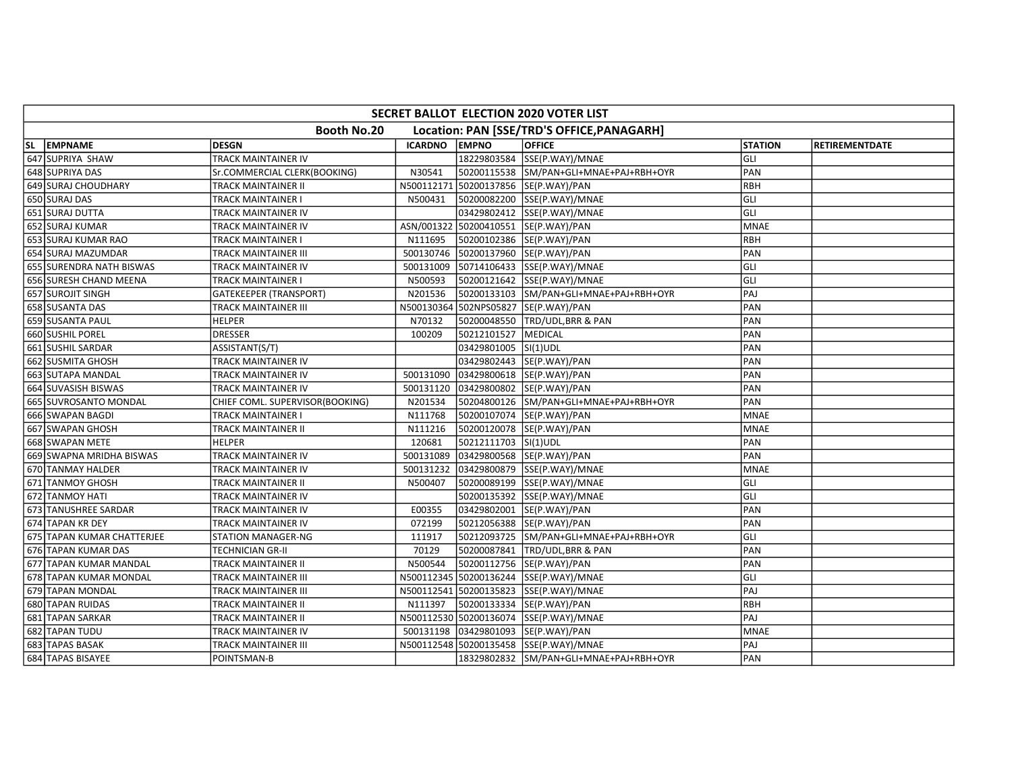| SECRET BALLOT ELECTION 2020 VOTER LIST                    |                                 |                |                      |                                            |                |                       |  |  |  |
|-----------------------------------------------------------|---------------------------------|----------------|----------------------|--------------------------------------------|----------------|-----------------------|--|--|--|
| Booth No.20<br>Location: PAN [SSE/TRD'S OFFICE, PANAGARH] |                                 |                |                      |                                            |                |                       |  |  |  |
| SL EMPNAME                                                | <b>DESGN</b>                    | <b>ICARDNO</b> | <b>EMPNO</b>         | <b>OFFICE</b>                              | <b>STATION</b> | <b>RETIREMENTDATE</b> |  |  |  |
| 647 SUPRIYA SHAW                                          | TRACK MAINTAINER IV             |                |                      | 18229803584 SSE(P.WAY)/MNAE                | GLI            |                       |  |  |  |
| 648 SUPRIYA DAS                                           | Sr.COMMERCIAL CLERK(BOOKING)    | N30541         |                      | 50200115538 SM/PAN+GLI+MNAE+PAJ+RBH+OYR    | PAN            |                       |  |  |  |
| 649 SURAJ CHOUDHARY                                       | TRACK MAINTAINER II             |                |                      | N500112171 50200137856 SE(P.WAY)/PAN       | RBH            |                       |  |  |  |
| 650 SURAJ DAS                                             | TRACK MAINTAINER I              | N500431        |                      | 50200082200 SSE(P.WAY)/MNAE                | GLI            |                       |  |  |  |
| 651 SURAJ DUTTA                                           | TRACK MAINTAINER IV             |                |                      | 03429802412 SSE(P.WAY)/MNAE                | GLI            |                       |  |  |  |
| 652 SURAJ KUMAR                                           | TRACK MAINTAINER IV             |                |                      | ASN/001322 50200410551 SE(P.WAY)/PAN       | <b>MNAE</b>    |                       |  |  |  |
| 653 SURAJ KUMAR RAO                                       | TRACK MAINTAINER I              | N111695        |                      | 50200102386 SE(P.WAY)/PAN                  | <b>RBH</b>     |                       |  |  |  |
| 654 SURAJ MAZUMDAR                                        | TRACK MAINTAINER III            | 500130746      |                      | 50200137960 SE(P.WAY)/PAN                  | PAN            |                       |  |  |  |
| 655 SURENDRA NATH BISWAS                                  | TRACK MAINTAINER IV             | 500131009      |                      | 50714106433 SSE(P.WAY)/MNAE                | GLI            |                       |  |  |  |
| 656 SURESH CHAND MEENA                                    | TRACK MAINTAINER I              | N500593        |                      | 50200121642 SSE(P.WAY)/MNAE                | GLI            |                       |  |  |  |
| 657 SUROJIT SINGH                                         | GATEKEEPER (TRANSPORT)          | N201536        |                      | 50200133103 SM/PAN+GLI+MNAE+PAJ+RBH+OYR    | PAJ            |                       |  |  |  |
| 658 SUSANTA DAS                                           | TRACK MAINTAINER III            |                |                      | N500130364 502NPS05827 SE(P.WAY)/PAN       | PAN            |                       |  |  |  |
| 659 SUSANTA PAUL                                          | <b>HELPER</b>                   | N70132         | 50200048550          | <b>TRD/UDL, BRR &amp; PAN</b>              | PAN            |                       |  |  |  |
| 660 SUSHIL POREL                                          | <b>DRESSER</b>                  | 100209         | 50212101527          | MEDICAL                                    | PAN            |                       |  |  |  |
| 661 SUSHIL SARDAR                                         | ASSISTANT(S/T)                  |                | 03429801005 SI(1)UDL |                                            | PAN            |                       |  |  |  |
| 662 SUSMITA GHOSH                                         | TRACK MAINTAINER IV             |                |                      | 03429802443  SE(P.WAY)/PAN                 | PAN            |                       |  |  |  |
| 663 SUTAPA MANDAL                                         | TRACK MAINTAINER IV             | 500131090      |                      | 03429800618 SE(P.WAY)/PAN                  | PAN            |                       |  |  |  |
| 664 SUVASISH BISWAS                                       | TRACK MAINTAINER IV             | 500131120      |                      | 03429800802 SE(P.WAY)/PAN                  | PAN            |                       |  |  |  |
| 665 SUVROSANTO MONDAL                                     | CHIEF COML. SUPERVISOR(BOOKING) | N201534        |                      | 50204800126 SM/PAN+GLI+MNAE+PAJ+RBH+OYR    | PAN            |                       |  |  |  |
| 666 SWAPAN BAGDI                                          | TRACK MAINTAINER I              | N111768        |                      | 50200107074  SE(P.WAY)/PAN                 | <b>MNAE</b>    |                       |  |  |  |
| 667 SWAPAN GHOSH                                          | TRACK MAINTAINER II             | N111216        |                      | 50200120078 SE(P.WAY)/PAN                  | <b>MNAE</b>    |                       |  |  |  |
| 668 SWAPAN METE                                           | <b>HELPER</b>                   | 120681         |                      |                                            | PAN            |                       |  |  |  |
| 669 SWAPNA MRIDHA BISWAS                                  | TRACK MAINTAINER IV             | 500131089      |                      | 03429800568 SE(P.WAY)/PAN                  | PAN            |                       |  |  |  |
| 670 TANMAY HALDER                                         | TRACK MAINTAINER IV             | 500131232      |                      | 03429800879 SSE(P.WAY)/MNAE                | <b>MNAE</b>    |                       |  |  |  |
| 671 TANMOY GHOSH                                          | TRACK MAINTAINER II             | N500407        |                      | 50200089199 SSE(P.WAY)/MNAE                | GLI            |                       |  |  |  |
| 672 TANMOY HATI                                           | TRACK MAINTAINER IV             |                |                      | 50200135392 SSE(P.WAY)/MNAE                | GLI            |                       |  |  |  |
| 673 TANUSHREE SARDAR                                      | TRACK MAINTAINER IV             | E00355         |                      | 03429802001 SE(P.WAY)/PAN                  | PAN            |                       |  |  |  |
| 674 TAPAN KR DEY                                          | TRACK MAINTAINER IV             | 072199         |                      | 50212056388 SE(P.WAY)/PAN                  | PAN            |                       |  |  |  |
| 675 TAPAN KUMAR CHATTERJEE                                | <b>STATION MANAGER-NG</b>       | 111917         |                      | 50212093725 SM/PAN+GLI+MNAE+PAJ+RBH+OYR    | GLI            |                       |  |  |  |
| 676 TAPAN KUMAR DAS                                       | TECHNICIAN GR-II                | 70129          | 50200087841          | <b>TRD/UDL, BRR &amp; PAN</b>              | PAN            |                       |  |  |  |
| 677 TAPAN KUMAR MANDAL                                    | TRACK MAINTAINER II             | N500544        |                      | 50200112756 SE(P.WAY)/PAN                  | PAN            |                       |  |  |  |
| 678 TAPAN KUMAR MONDAL                                    | TRACK MAINTAINER III            |                |                      | N500112345   50200136244   SSE(P.WAY)/MNAE | GLI            |                       |  |  |  |
| 679 TAPAN MONDAL                                          | TRACK MAINTAINER III            |                |                      | N500112541 50200135823 SSE(P.WAY)/MNAE     | PAJ            |                       |  |  |  |
| 680 TAPAN RUIDAS                                          | TRACK MAINTAINER II             | N111397        |                      | 50200133334 SE(P.WAY)/PAN                  | RBH            |                       |  |  |  |
| 681 TAPAN SARKAR                                          | TRACK MAINTAINER II             |                |                      | N500112530 50200136074 SSE(P.WAY)/MNAE     | PAJ            |                       |  |  |  |
| 682 TAPAN TUDU                                            | TRACK MAINTAINER IV             | 500131198      |                      | 03429801093 SE(P.WAY)/PAN                  | <b>MNAE</b>    |                       |  |  |  |
| 683 TAPAS BASAK                                           | TRACK MAINTAINER III            |                |                      | N500112548 50200135458 SSE(P.WAY)/MNAE     | PAJ            |                       |  |  |  |
| 684 TAPAS BISAYEE                                         | POINTSMAN-B                     |                |                      | 18329802832 SM/PAN+GLI+MNAE+PAJ+RBH+OYR    | PAN            |                       |  |  |  |
|                                                           |                                 |                |                      |                                            |                |                       |  |  |  |